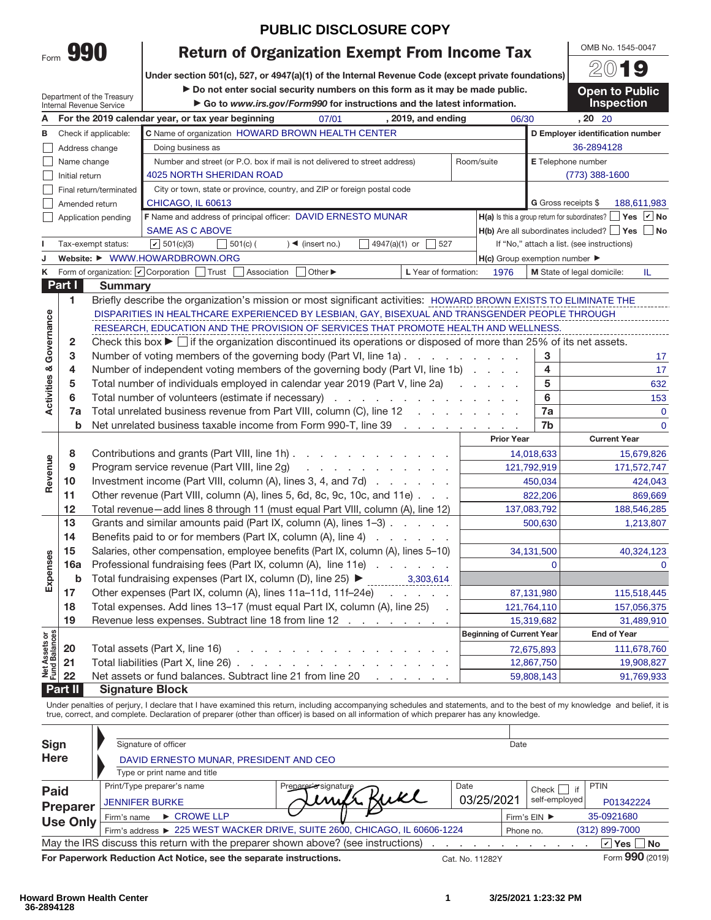|      | Y TIL |
|------|-------|
| Form |       |

# **PUBLIC DISCLOSURE COPY**

**Return of Organization Exempt From Income Tax Under section 501(c), 527, or 4947(a)(1) of the Internal Revenue Code (except private foundations)**

Department of the Treasury Internal Revenue Service

▶ Do not enter social security numbers on this form as it may be made public. ▶ Go to *www.irs.gov/Form990* for instructions and the latest information.

**Open to Public Inspection**

OMB No. 1545-0047 20**19**

| A                                  |                | ntonnan rovonido oorvioo                                                                                      | For the 2019 calendar year, or tax year beginning<br>, 2019, and ending<br>07/01                                                            | 06/30                                               |                                                                      | , 20 20                                    |  |  |  |  |  |  |
|------------------------------------|----------------|---------------------------------------------------------------------------------------------------------------|---------------------------------------------------------------------------------------------------------------------------------------------|-----------------------------------------------------|----------------------------------------------------------------------|--------------------------------------------|--|--|--|--|--|--|
| в                                  |                | C Name of organization HOWARD BROWN HEALTH CENTER<br>Check if applicable:<br>D Employer identification number |                                                                                                                                             |                                                     |                                                                      |                                            |  |  |  |  |  |  |
|                                    |                | Address change                                                                                                | Doing business as                                                                                                                           |                                                     |                                                                      | 36-2894128                                 |  |  |  |  |  |  |
|                                    | Name change    |                                                                                                               | Number and street (or P.O. box if mail is not delivered to street address)                                                                  | Room/suite                                          |                                                                      | E Telephone number                         |  |  |  |  |  |  |
|                                    | Initial return |                                                                                                               |                                                                                                                                             | (773) 388-1600                                      |                                                                      |                                            |  |  |  |  |  |  |
|                                    |                | Final return/terminated                                                                                       | City or town, state or province, country, and ZIP or foreign postal code                                                                    |                                                     |                                                                      |                                            |  |  |  |  |  |  |
|                                    |                | Amended return                                                                                                | CHICAGO, IL 60613                                                                                                                           |                                                     |                                                                      | <b>G</b> Gross receipts \$<br>188,611,983  |  |  |  |  |  |  |
|                                    |                | Application pending                                                                                           | F Name and address of principal officer: DAVID ERNESTO MUNAR                                                                                |                                                     | $H(a)$ Is this a group return for subordinates? $\Box$ Yes $\Box$ No |                                            |  |  |  |  |  |  |
|                                    |                |                                                                                                               |                                                                                                                                             |                                                     | $H(b)$ Are all subordinates included? $\Box$ Yes $\Box$ No           |                                            |  |  |  |  |  |  |
|                                    |                | Tax-exempt status:                                                                                            | $\vert \mathbf{v} \vert$ 501(c)(3)<br>527<br>$501(c)$ (<br>$\rightarrow$ (insert no.)<br>4947(a)(1) or                                      |                                                     |                                                                      | If "No," attach a list. (see instructions) |  |  |  |  |  |  |
| J                                  |                |                                                                                                               | Website: ▶ WWW.HOWARDBROWN.ORG                                                                                                              | $H(c)$ Group exemption number $\blacktriangleright$ |                                                                      |                                            |  |  |  |  |  |  |
| Κ                                  |                | Form of organization: <i>O</i> Corporation                                                                    | Trust<br>Association<br>Other ▶<br>L Year of formation:                                                                                     | 1976                                                |                                                                      | M State of legal domicile:<br>IL           |  |  |  |  |  |  |
|                                    | Part I         | <b>Summary</b>                                                                                                |                                                                                                                                             |                                                     |                                                                      |                                            |  |  |  |  |  |  |
|                                    | 1.             |                                                                                                               | Briefly describe the organization's mission or most significant activities: HOWARD BROWN EXISTS TO ELIMINATE THE                            |                                                     |                                                                      |                                            |  |  |  |  |  |  |
|                                    |                |                                                                                                               | DISPARITIES IN HEALTHCARE EXPERIENCED BY LESBIAN, GAY, BISEXUAL AND TRANSGENDER PEOPLE THROUGH                                              |                                                     |                                                                      |                                            |  |  |  |  |  |  |
|                                    |                |                                                                                                               | RESEARCH, EDUCATION AND THE PROVISION OF SERVICES THAT PROMOTE HEALTH AND WELLNESS.                                                         |                                                     |                                                                      |                                            |  |  |  |  |  |  |
|                                    | 2              |                                                                                                               | Check this box $\blacktriangleright$ $\Box$ if the organization discontinued its operations or disposed of more than 25% of its net assets. |                                                     |                                                                      |                                            |  |  |  |  |  |  |
|                                    | 3              |                                                                                                               | Number of voting members of the governing body (Part VI, line 1a).                                                                          | and the company of the company of                   | 3                                                                    | 17                                         |  |  |  |  |  |  |
|                                    | 4              |                                                                                                               | Number of independent voting members of the governing body (Part VI, line 1b)                                                               |                                                     | 4                                                                    | 17                                         |  |  |  |  |  |  |
|                                    | 5              |                                                                                                               | Total number of individuals employed in calendar year 2019 (Part V, line 2a)                                                                |                                                     | 5                                                                    | 632                                        |  |  |  |  |  |  |
| <b>Activities &amp; Governance</b> | 6              |                                                                                                               | Total number of volunteers (estimate if necessary)                                                                                          |                                                     | 6                                                                    | 153                                        |  |  |  |  |  |  |
|                                    | 7a             |                                                                                                               | Total unrelated business revenue from Part VIII, column (C), line 12                                                                        |                                                     | 7a                                                                   | $\bf{0}$                                   |  |  |  |  |  |  |
|                                    | b              |                                                                                                               | Net unrelated business taxable income from Form 990-T, line 39<br>and a state of the state                                                  |                                                     | 7b                                                                   | $\mathbf{0}$                               |  |  |  |  |  |  |
|                                    |                |                                                                                                               |                                                                                                                                             | <b>Prior Year</b>                                   |                                                                      | <b>Current Year</b>                        |  |  |  |  |  |  |
|                                    | 8              |                                                                                                               | Contributions and grants (Part VIII, line 1h) $\ldots$                                                                                      |                                                     | 14,018,633                                                           | 15,679,826                                 |  |  |  |  |  |  |
| Revenue                            | 9              |                                                                                                               | Program service revenue (Part VIII, line 2g)<br>.                                                                                           |                                                     | 121,792,919                                                          | 171,572,747                                |  |  |  |  |  |  |
|                                    | 10             |                                                                                                               | Investment income (Part VIII, column (A), lines 3, 4, and 7d)                                                                               |                                                     | 450,034                                                              | 424,043                                    |  |  |  |  |  |  |
|                                    | 11             |                                                                                                               | Other revenue (Part VIII, column (A), lines 5, 6d, 8c, 9c, 10c, and 11e)                                                                    |                                                     | 822,206                                                              | 869,669                                    |  |  |  |  |  |  |
|                                    | 12             |                                                                                                               | Total revenue-add lines 8 through 11 (must equal Part VIII, column (A), line 12)                                                            |                                                     | 137,083,792                                                          | 188,546,285                                |  |  |  |  |  |  |
|                                    | 13             |                                                                                                               | Grants and similar amounts paid (Part IX, column (A), lines 1-3)                                                                            |                                                     | 500,630                                                              | 1,213,807                                  |  |  |  |  |  |  |
|                                    | 14             |                                                                                                               | Benefits paid to or for members (Part IX, column (A), line 4)                                                                               |                                                     |                                                                      |                                            |  |  |  |  |  |  |
|                                    | 15             |                                                                                                               | Salaries, other compensation, employee benefits (Part IX, column (A), lines 5-10)                                                           |                                                     | 34,131,500                                                           | 40,324,123                                 |  |  |  |  |  |  |
| Expenses                           | 16a            |                                                                                                               | Professional fundraising fees (Part IX, column (A), line 11e)                                                                               |                                                     | $\Omega$                                                             | $\Omega$                                   |  |  |  |  |  |  |
|                                    | $\mathbf b$    |                                                                                                               | Total fundraising expenses (Part IX, column (D), line 25) ▶<br>3,303,614                                                                    |                                                     |                                                                      |                                            |  |  |  |  |  |  |
|                                    | 17             |                                                                                                               | Other expenses (Part IX, column (A), lines 11a–11d, 11f–24e)<br>a na manana a                                                               |                                                     | 87,131,980                                                           | 115,518,445                                |  |  |  |  |  |  |
|                                    | 18             |                                                                                                               | Total expenses. Add lines 13-17 (must equal Part IX, column (A), line 25)                                                                   |                                                     | 121,764,110                                                          | 157,056,375                                |  |  |  |  |  |  |
|                                    | 19             |                                                                                                               | Revenue less expenses. Subtract line 18 from line 12                                                                                        |                                                     | 15,319,682                                                           | 31,489,910                                 |  |  |  |  |  |  |
| Net Assets or<br>Fund Balances     |                |                                                                                                               |                                                                                                                                             | <b>Beginning of Current Year</b>                    |                                                                      | <b>End of Year</b>                         |  |  |  |  |  |  |
|                                    | 20             |                                                                                                               | Total assets (Part X, line 16)<br>the contract of the contract of the                                                                       |                                                     | 72,675,893                                                           | 111,678,760                                |  |  |  |  |  |  |
|                                    | 21             |                                                                                                               | Total liabilities (Part X, line 26).<br>and a state of the state of the                                                                     |                                                     | 12,867,750                                                           | 19,908,827                                 |  |  |  |  |  |  |
|                                    | 22             |                                                                                                               | Net assets or fund balances. Subtract line 21 from line 20<br>$\mathcal{L}$<br><b>Contractor</b>                                            |                                                     | 59,808,143                                                           | 91,769,933                                 |  |  |  |  |  |  |
|                                    | Part II        |                                                                                                               | <b>Signature Block</b>                                                                                                                      |                                                     |                                                                      |                                            |  |  |  |  |  |  |

Under penalties of perjury, I declare that I have examined this return, including accompanying schedules and statements, and to the best of my knowledge and belief, it is true, correct, and complete. Declaration of preparer (other than officer) is based on all information of which preparer has any knowledge.

| Sign<br><b>Here</b>                                                                                      | Signature of officer<br>DAVID ERNESTO MUNAR, PRESIDENT AND CEO                    |                      |            | Date                               |                                   |  |  |  |  |
|----------------------------------------------------------------------------------------------------------|-----------------------------------------------------------------------------------|----------------------|------------|------------------------------------|-----------------------------------|--|--|--|--|
|                                                                                                          | Type or print name and title                                                      |                      |            |                                    |                                   |  |  |  |  |
| <b>Paid</b>                                                                                              | Print/Type preparer's name                                                        | Preparer's signature | Date       | $Check$     if                     | <b>PTIN</b>                       |  |  |  |  |
| Preparer                                                                                                 | <b>JENNIFER BURKE</b>                                                             |                      | 03/25/2021 | self-employed                      | P01342224                         |  |  |  |  |
|                                                                                                          | $\triangleright$ CROWE LLP<br>Firm's name                                         |                      |            | Firm's $EIN$ $\blacktriangleright$ | 35-0921680                        |  |  |  |  |
| <b>Use Only</b>                                                                                          | Firm's address ▶ 225 WEST WACKER DRIVE, SUITE 2600, CHICAGO, IL 60606-1224        |                      | Phone no.  | $(312) 899 - 7000$                 |                                   |  |  |  |  |
|                                                                                                          | May the IRS discuss this return with the preparer shown above? (see instructions) |                      |            |                                    | $\triangleright$ Yes $\square$ No |  |  |  |  |
| Form 990 (2019)<br>For Paperwork Reduction Act Notice, see the separate instructions.<br>Cat. No. 11282Y |                                                                                   |                      |            |                                    |                                   |  |  |  |  |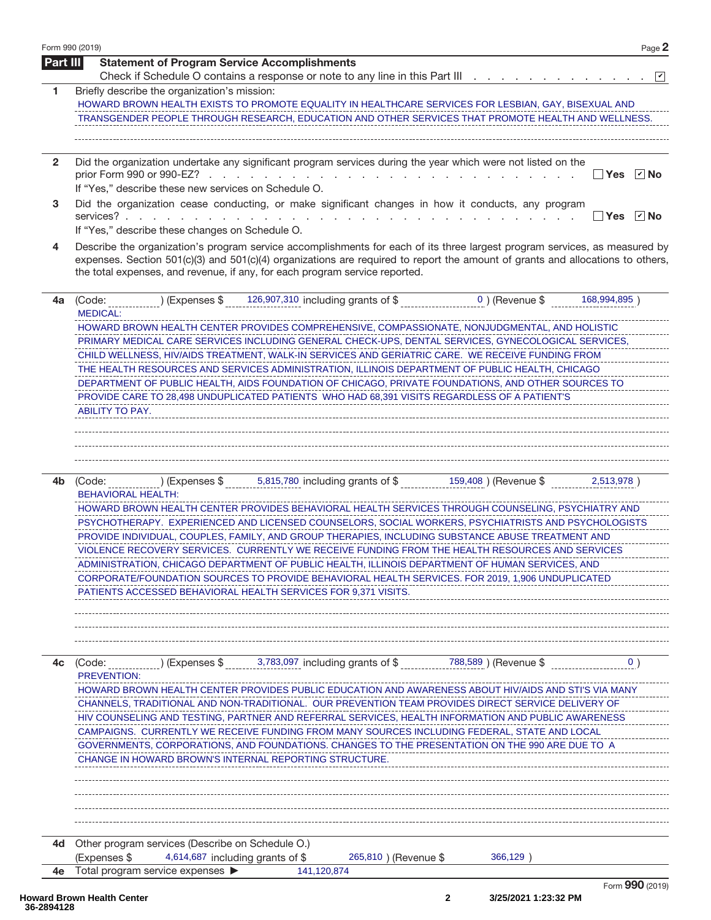| Form 990 (2019) | Page 2                                                                                                                                                                                                                                                                                                                                                                                                                                                                                                                                                                                                                                                                                                                                                                                                                                                             |
|-----------------|--------------------------------------------------------------------------------------------------------------------------------------------------------------------------------------------------------------------------------------------------------------------------------------------------------------------------------------------------------------------------------------------------------------------------------------------------------------------------------------------------------------------------------------------------------------------------------------------------------------------------------------------------------------------------------------------------------------------------------------------------------------------------------------------------------------------------------------------------------------------|
| Part III        | <b>Statement of Program Service Accomplishments</b><br>Check if Schedule O contains a response or note to any line in this Part III<br>$\boxed{\checkmark}$                                                                                                                                                                                                                                                                                                                                                                                                                                                                                                                                                                                                                                                                                                        |
| 1               | Briefly describe the organization's mission:                                                                                                                                                                                                                                                                                                                                                                                                                                                                                                                                                                                                                                                                                                                                                                                                                       |
|                 | HOWARD BROWN HEALTH EXISTS TO PROMOTE EQUALITY IN HEALTHCARE SERVICES FOR LESBIAN, GAY, BISEXUAL AND<br>TRANSGENDER PEOPLE THROUGH RESEARCH, EDUCATION AND OTHER SERVICES THAT PROMOTE HEALTH AND WELLNESS.                                                                                                                                                                                                                                                                                                                                                                                                                                                                                                                                                                                                                                                        |
| $\mathbf{2}$    | Did the organization undertake any significant program services during the year which were not listed on the<br>$\Box$ Yes $\Box$ No<br>If "Yes," describe these new services on Schedule O.                                                                                                                                                                                                                                                                                                                                                                                                                                                                                                                                                                                                                                                                       |
| 3               | Did the organization cease conducting, or make significant changes in how it conducts, any program<br>$\Box$ Yes $\Box$ No<br>If "Yes," describe these changes on Schedule O.                                                                                                                                                                                                                                                                                                                                                                                                                                                                                                                                                                                                                                                                                      |
| 4               | Describe the organization's program service accomplishments for each of its three largest program services, as measured by<br>expenses. Section 501(c)(3) and 501(c)(4) organizations are required to report the amount of grants and allocations to others,<br>the total expenses, and revenue, if any, for each program service reported.                                                                                                                                                                                                                                                                                                                                                                                                                                                                                                                        |
| 4a              | ) (Expenses \$1,126,907,310 including grants of \$1,100,000 (Revenue \$1,190)<br>168,994,895)<br>(Code:<br><b>MEDICAL:</b>                                                                                                                                                                                                                                                                                                                                                                                                                                                                                                                                                                                                                                                                                                                                         |
|                 | HOWARD BROWN HEALTH CENTER PROVIDES COMPREHENSIVE, COMPASSIONATE, NONJUDGMENTAL, AND HOLISTIC<br>PRIMARY MEDICAL CARE SERVICES INCLUDING GENERAL CHECK-UPS, DENTAL SERVICES, GYNECOLOGICAL SERVICES,<br>CHILD WELLNESS, HIV/AIDS TREATMENT, WALK-IN SERVICES AND GERIATRIC CARE. WE RECEIVE FUNDING FROM<br>THE HEALTH RESOURCES AND SERVICES ADMINISTRATION, ILLINOIS DEPARTMENT OF PUBLIC HEALTH, CHICAGO<br>DEPARTMENT OF PUBLIC HEALTH, AIDS FOUNDATION OF CHICAGO, PRIVATE FOUNDATIONS, AND OTHER SOURCES TO<br>PROVIDE CARE TO 28,498 UNDUPLICATED PATIENTS WHO HAD 68,391 VISITS REGARDLESS OF A PATIENT'S<br><b>ABILITY TO PAY.</b>                                                                                                                                                                                                                        |
| 4b              | ) (Expenses \$1,1978) (Expenses \$1,1978) (5,815,780 including grants of \$1,199,408) (Revenue \$1,199,108) (Revenue \$1,1978)<br>(Code:<br><b>BEHAVIORAL HEALTH:</b><br>HOWARD BROWN HEALTH CENTER PROVIDES BEHAVIORAL HEALTH SERVICES THROUGH COUNSELING, PSYCHIATRY AND<br>PSYCHOTHERAPY. EXPERIENCED AND LICENSED COUNSELORS, SOCIAL WORKERS, PSYCHIATRISTS AND PSYCHOLOGISTS<br>PROVIDE INDIVIDUAL, COUPLES, FAMILY, AND GROUP THERAPIES, INCLUDING SUBSTANCE ABUSE TREATMENT AND<br>VIOLENCE RECOVERY SERVICES. CURRENTLY WE RECEIVE FUNDING FROM THE HEALTH RESOURCES AND SERVICES<br>ADMINISTRATION, CHICAGO DEPARTMENT OF PUBLIC HEALTH, ILLINOIS DEPARTMENT OF HUMAN SERVICES, AND<br>CORPORATE/FOUNDATION SOURCES TO PROVIDE BEHAVIORAL HEALTH SERVICES. FOR 2019, 1,906 UNDUPLICATED<br>PATIENTS ACCESSED BEHAVIORAL HEALTH SERVICES FOR 9,371 VISITS. |
| 4c              | 3,783,097 including grants of \$<br>788,589)(Revenue \$<br>(Code:<br>) (Expenses \$<br>$\overline{0}$ )<br><b>PREVENTION:</b><br>HOWARD BROWN HEALTH CENTER PROVIDES PUBLIC EDUCATION AND AWARENESS ABOUT HIV/AIDS AND STI'S VIA MANY<br>CHANNELS, TRADITIONAL AND NON-TRADITIONAL. OUR PREVENTION TEAM PROVIDES DIRECT SERVICE DELIVERY OF<br>HIV COUNSELING AND TESTING, PARTNER AND REFERRAL SERVICES, HEALTH INFORMATION AND PUBLIC AWARENESS<br>CAMPAIGNS. CURRENTLY WE RECEIVE FUNDING FROM MANY SOURCES INCLUDING FEDERAL, STATE AND LOCAL<br>GOVERNMENTS, CORPORATIONS, AND FOUNDATIONS. CHANGES TO THE PRESENTATION ON THE 990 ARE DUE TO A<br>CHANGE IN HOWARD BROWN'S INTERNAL REPORTING STRUCTURE.                                                                                                                                                     |
| 4d              | Other program services (Describe on Schedule O.)<br>(Expenses \$<br>4,614,687 including grants of \$<br>265,810 ) (Revenue \$<br>366,129                                                                                                                                                                                                                                                                                                                                                                                                                                                                                                                                                                                                                                                                                                                           |
| 4е              | Total program service expenses ▶<br>141,120,874                                                                                                                                                                                                                                                                                                                                                                                                                                                                                                                                                                                                                                                                                                                                                                                                                    |
|                 | Form 990 (2019)                                                                                                                                                                                                                                                                                                                                                                                                                                                                                                                                                                                                                                                                                                                                                                                                                                                    |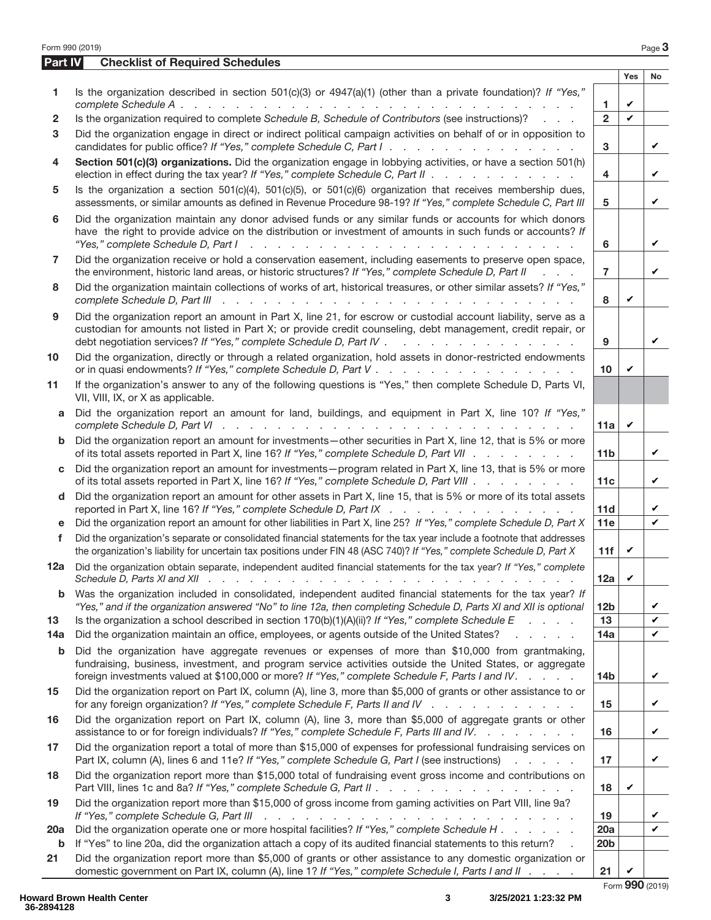| Form 990 (2019) |                                                                                                                                                                                                                                                                                                                  |                 |            | Page $3$ |  |  |  |  |  |
|-----------------|------------------------------------------------------------------------------------------------------------------------------------------------------------------------------------------------------------------------------------------------------------------------------------------------------------------|-----------------|------------|----------|--|--|--|--|--|
| Part IV         | <b>Checklist of Required Schedules</b>                                                                                                                                                                                                                                                                           |                 |            |          |  |  |  |  |  |
|                 |                                                                                                                                                                                                                                                                                                                  |                 | <b>Yes</b> | No       |  |  |  |  |  |
| 1               | Is the organization described in section $501(c)(3)$ or $4947(a)(1)$ (other than a private foundation)? If "Yes,"                                                                                                                                                                                                |                 |            |          |  |  |  |  |  |
|                 |                                                                                                                                                                                                                                                                                                                  | 1               | V<br>V     |          |  |  |  |  |  |
| 2               | Is the organization required to complete Schedule B, Schedule of Contributors (see instructions)?                                                                                                                                                                                                                | $\overline{2}$  |            |          |  |  |  |  |  |
| 3               | Did the organization engage in direct or indirect political campaign activities on behalf of or in opposition to<br>candidates for public office? If "Yes," complete Schedule C, Part I.                                                                                                                         | 3               |            | V        |  |  |  |  |  |
| 4               | Section 501(c)(3) organizations. Did the organization engage in lobbying activities, or have a section 501(h)<br>election in effect during the tax year? If "Yes," complete Schedule C, Part II                                                                                                                  | 4               |            | V        |  |  |  |  |  |
| 5               | Is the organization a section $501(c)(4)$ , $501(c)(5)$ , or $501(c)(6)$ organization that receives membership dues,<br>assessments, or similar amounts as defined in Revenue Procedure 98-19? If "Yes," complete Schedule C, Part III                                                                           | 5               |            | V        |  |  |  |  |  |
| 6               | Did the organization maintain any donor advised funds or any similar funds or accounts for which donors<br>have the right to provide advice on the distribution or investment of amounts in such funds or accounts? If                                                                                           |                 |            |          |  |  |  |  |  |
| 7               | Did the organization receive or hold a conservation easement, including easements to preserve open space,<br>the environment, historic land areas, or historic structures? If "Yes," complete Schedule D, Part II<br>$\overline{7}$                                                                              |                 |            |          |  |  |  |  |  |
| 8               | Did the organization maintain collections of works of art, historical treasures, or other similar assets? If "Yes,"                                                                                                                                                                                              | 8               | V          |          |  |  |  |  |  |
| 9               | Did the organization report an amount in Part X, line 21, for escrow or custodial account liability, serve as a<br>custodian for amounts not listed in Part X; or provide credit counseling, debt management, credit repair, or<br>debt negotiation services? If "Yes," complete Schedule D, Part IV             | 9               |            | V        |  |  |  |  |  |
| 10              | Did the organization, directly or through a related organization, hold assets in donor-restricted endowments<br>10                                                                                                                                                                                               |                 |            |          |  |  |  |  |  |
| 11              | If the organization's answer to any of the following questions is "Yes," then complete Schedule D, Parts VI,<br>VII, VIII, IX, or X as applicable.                                                                                                                                                               |                 |            |          |  |  |  |  |  |
| a               | Did the organization report an amount for land, buildings, and equipment in Part X, line 10? If "Yes,"<br>11a                                                                                                                                                                                                    |                 |            |          |  |  |  |  |  |
| b               | Did the organization report an amount for investments-other securities in Part X, line 12, that is 5% or more<br>of its total assets reported in Part X, line 16? If "Yes," complete Schedule D, Part VII                                                                                                        | 11 <sub>b</sub> |            | V        |  |  |  |  |  |
| C               | Did the organization report an amount for investments - program related in Part X, line 13, that is 5% or more<br>of its total assets reported in Part X, line 16? If "Yes," complete Schedule D, Part VIII<br>11c                                                                                               |                 |            |          |  |  |  |  |  |
| d               | Did the organization report an amount for other assets in Part X, line 15, that is 5% or more of its total assets<br>reported in Part X, line 16? If "Yes," complete Schedule D, Part IX<br>11d                                                                                                                  |                 |            |          |  |  |  |  |  |
| е               | Did the organization report an amount for other liabilities in Part X, line 25? If "Yes," complete Schedule D, Part X<br>11e                                                                                                                                                                                     |                 |            |          |  |  |  |  |  |
| f               | Did the organization's separate or consolidated financial statements for the tax year include a footnote that addresses<br>the organization's liability for uncertain tax positions under FIN 48 (ASC 740)? If "Yes," complete Schedule D, Part X<br>11f                                                         |                 |            |          |  |  |  |  |  |
| 12a             | Did the organization obtain separate, independent audited financial statements for the tax year? If "Yes," complete                                                                                                                                                                                              | 12a             | V          |          |  |  |  |  |  |
| b               | Was the organization included in consolidated, independent audited financial statements for the tax year? If<br>"Yes," and if the organization answered "No" to line 12a, then completing Schedule D, Parts XI and XII is optional                                                                               |                 |            |          |  |  |  |  |  |
| 13              | Is the organization a school described in section $170(b)(1)(A)(ii)?$ If "Yes," complete Schedule E<br><b>Contract Contract</b>                                                                                                                                                                                  | 13              |            | V        |  |  |  |  |  |
| 14a             | Did the organization maintain an office, employees, or agents outside of the United States?                                                                                                                                                                                                                      | 14a             |            | V        |  |  |  |  |  |
| b               | Did the organization have aggregate revenues or expenses of more than \$10,000 from grantmaking,<br>fundraising, business, investment, and program service activities outside the United States, or aggregate<br>foreign investments valued at \$100,000 or more? If "Yes," complete Schedule F, Parts I and IV. | 14 <sub>b</sub> |            | V        |  |  |  |  |  |
| 15              | Did the organization report on Part IX, column (A), line 3, more than \$5,000 of grants or other assistance to or<br>for any foreign organization? If "Yes," complete Schedule F, Parts II and IV                                                                                                                | 15              |            | V        |  |  |  |  |  |
| 16              | Did the organization report on Part IX, column (A), line 3, more than \$5,000 of aggregate grants or other<br>assistance to or for foreign individuals? If "Yes," complete Schedule F, Parts III and IV.                                                                                                         | 16              |            | V        |  |  |  |  |  |
| 17              | Did the organization report a total of more than \$15,000 of expenses for professional fundraising services on<br>Part IX, column (A), lines 6 and 11e? If "Yes," complete Schedule G, Part I (see instructions)<br>and a state of the state                                                                     | 17              |            | V        |  |  |  |  |  |
| 18              | Did the organization report more than \$15,000 total of fundraising event gross income and contributions on                                                                                                                                                                                                      | 18              | V          |          |  |  |  |  |  |
| 19              | Did the organization report more than \$15,000 of gross income from gaming activities on Part VIII, line 9a?<br>If "Yes," complete Schedule G, Part III<br>and the contract of the contract of the contract of the contract of the contract of                                                                   | 19              |            | V        |  |  |  |  |  |
| <b>20a</b>      | Did the organization operate one or more hospital facilities? If "Yes," complete Schedule H                                                                                                                                                                                                                      | 20a             |            | V        |  |  |  |  |  |
| b               | If "Yes" to line 20a, did the organization attach a copy of its audited financial statements to this return?                                                                                                                                                                                                     | 20 <sub>b</sub> |            |          |  |  |  |  |  |
| 21              | Did the organization report more than \$5,000 of grants or other assistance to any domestic organization or<br>domestic government on Part IX, column (A), line 1? If "Yes," complete Schedule I, Parts I and II                                                                                                 | 21              | V          |          |  |  |  |  |  |
|                 |                                                                                                                                                                                                                                                                                                                  |                 |            |          |  |  |  |  |  |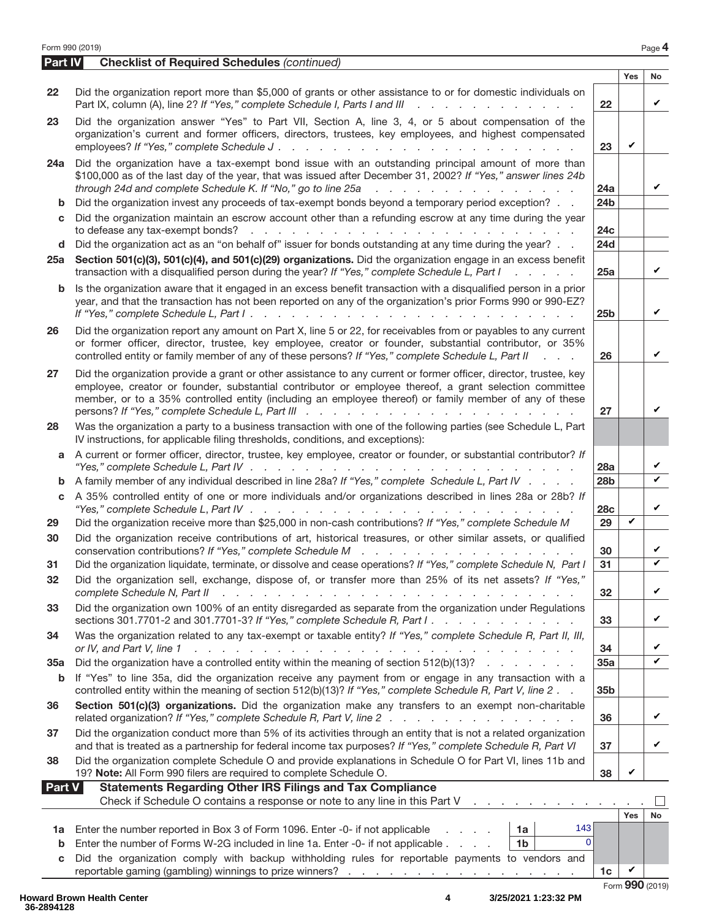| Form 990 (2019) |
|-----------------|
|-----------------|

|                | Form 990 (2019)                                                                                                                                                                                                                                                                                                                                                                |                 |            | Page 4       |
|----------------|--------------------------------------------------------------------------------------------------------------------------------------------------------------------------------------------------------------------------------------------------------------------------------------------------------------------------------------------------------------------------------|-----------------|------------|--------------|
| <b>Part IV</b> | <b>Checklist of Required Schedules (continued)</b>                                                                                                                                                                                                                                                                                                                             |                 |            |              |
|                |                                                                                                                                                                                                                                                                                                                                                                                |                 | Yes        | No           |
| 22             | Did the organization report more than \$5,000 of grants or other assistance to or for domestic individuals on<br>Part IX, column (A), line 2? If "Yes," complete Schedule I, Parts I and III                                                                                                                                                                                   | 22              |            | V            |
| 23             | Did the organization answer "Yes" to Part VII, Section A, line 3, 4, or 5 about compensation of the<br>organization's current and former officers, directors, trustees, key employees, and highest compensated                                                                                                                                                                 | 23              | V          |              |
| 24a            | Did the organization have a tax-exempt bond issue with an outstanding principal amount of more than<br>\$100,000 as of the last day of the year, that was issued after December 31, 2002? If "Yes," answer lines 24b<br>through 24d and complete Schedule K. If "No," go to line 25a<br>والمتعاون والمتعاون والمتعاون والمتعاون والمتعاون                                      | 24a             |            | V            |
| b              | Did the organization invest any proceeds of tax-exempt bonds beyond a temporary period exception?                                                                                                                                                                                                                                                                              | 24 <sub>b</sub> |            |              |
| C              | Did the organization maintain an escrow account other than a refunding escrow at any time during the year<br>to defease any tax-exempt bonds?<br>a construction of the construction of the construction of the construction of the construction of the construction of the construction of the construction of the construction of the construction of the construction of the | 24c             |            |              |
| d              | Did the organization act as an "on behalf of" issuer for bonds outstanding at any time during the year?                                                                                                                                                                                                                                                                        | <b>24d</b>      |            |              |
| 25a            | Section 501(c)(3), 501(c)(4), and 501(c)(29) organizations. Did the organization engage in an excess benefit<br>transaction with a disqualified person during the year? If "Yes," complete Schedule L, Part I<br>.                                                                                                                                                             | 25a             |            | V            |
| b              | Is the organization aware that it engaged in an excess benefit transaction with a disqualified person in a prior<br>year, and that the transaction has not been reported on any of the organization's prior Forms 990 or 990-EZ?                                                                                                                                               | 25 <sub>b</sub> |            | V            |
| 26             | Did the organization report any amount on Part X, line 5 or 22, for receivables from or payables to any current<br>or former officer, director, trustee, key employee, creator or founder, substantial contributor, or 35%<br>controlled entity or family member of any of these persons? If "Yes," complete Schedule L, Part II<br><b>Contract Contract</b>                   | 26              |            | V            |
| 27             | Did the organization provide a grant or other assistance to any current or former officer, director, trustee, key<br>employee, creator or founder, substantial contributor or employee thereof, a grant selection committee<br>member, or to a 35% controlled entity (including an employee thereof) or family member of any of these                                          | 27              |            | V            |
| 28             | Was the organization a party to a business transaction with one of the following parties (see Schedule L, Part<br>IV instructions, for applicable filing thresholds, conditions, and exceptions):                                                                                                                                                                              |                 |            |              |
| a              | A current or former officer, director, trustee, key employee, creator or founder, or substantial contributor? If                                                                                                                                                                                                                                                               | 28a             |            | V            |
| b              | A family member of any individual described in line 28a? If "Yes," complete Schedule L, Part IV                                                                                                                                                                                                                                                                                | 28 <sub>b</sub> |            | V            |
| C              | A 35% controlled entity of one or more individuals and/or organizations described in lines 28a or 28b? If<br>"Yes," complete Schedule L, Part IV $\ldots$ , $\ldots$ , $\ldots$ , $\ldots$ , $\ldots$ , $\ldots$                                                                                                                                                               | <b>28c</b>      |            | V            |
| 29             | Did the organization receive more than \$25,000 in non-cash contributions? If "Yes," complete Schedule M                                                                                                                                                                                                                                                                       | 29              | V          |              |
| 30             | Did the organization receive contributions of art, historical treasures, or other similar assets, or qualified                                                                                                                                                                                                                                                                 | 30              |            | V            |
| 31             | Did the organization liquidate, terminate, or dissolve and cease operations? If "Yes," complete Schedule N, Part I                                                                                                                                                                                                                                                             | $\overline{31}$ |            |              |
| 32             | Did the organization sell, exchange, dispose of, or transfer more than 25% of its net assets? If "Yes,"<br>complete Schedule N, Part II<br>and the contract of the contract of the contract of the contract of the contract of the contract of the contract of the contract of the contract of the contract of the contract of the contract of the contract of the contra      | 32              |            | V            |
| 33             | Did the organization own 100% of an entity disregarded as separate from the organization under Regulations<br>sections 301.7701-2 and 301.7701-3? If "Yes," complete Schedule R, Part I.                                                                                                                                                                                       | 33              |            | V            |
| 34             | Was the organization related to any tax-exempt or taxable entity? If "Yes," complete Schedule R, Part II, III,<br>or IV, and Part V, line 1<br>المتعاون والمتعاون والمتعاون والمتعاون والمتعاونة والمتعاونة والمتعاونة والمتعاونة والمتعاونة والمتعاونة                                                                                                                        | 34              |            | V            |
| 35a            | Did the organization have a controlled entity within the meaning of section 512(b)(13)?                                                                                                                                                                                                                                                                                        | 35a             |            | $\checkmark$ |
| b              | If "Yes" to line 35a, did the organization receive any payment from or engage in any transaction with a<br>controlled entity within the meaning of section 512(b)(13)? If "Yes," complete Schedule R, Part V, line 2. .                                                                                                                                                        | 35b             |            |              |
| 36             | Section 501(c)(3) organizations. Did the organization make any transfers to an exempt non-charitable<br>related organization? If "Yes," complete Schedule R, Part V, line 2                                                                                                                                                                                                    | 36              |            | V            |
| 37             | Did the organization conduct more than 5% of its activities through an entity that is not a related organization<br>and that is treated as a partnership for federal income tax purposes? If "Yes," complete Schedule R, Part VI                                                                                                                                               | 37              |            | V            |
| 38             | Did the organization complete Schedule O and provide explanations in Schedule O for Part VI, lines 11b and<br>19? Note: All Form 990 filers are required to complete Schedule O.                                                                                                                                                                                               | 38              | V          |              |
| Part V         | <b>Statements Regarding Other IRS Filings and Tax Compliance</b><br>Check if Schedule O contains a response or note to any line in this Part V                                                                                                                                                                                                                                 |                 |            |              |
|                |                                                                                                                                                                                                                                                                                                                                                                                |                 | <b>Yes</b> | <b>No</b>    |
| b              | 143<br>1a Enter the number reported in Box 3 of Form 1096. Enter -0- if not applicable<br>1a<br>and a state<br>$\mathbf 0$<br>Enter the number of Forms W-2G included in line 1a. Enter -0- if not applicable<br>1 <sub>b</sub>                                                                                                                                                |                 |            |              |
| C              | Did the organization comply with backup withholding rules for reportable payments to vendors and                                                                                                                                                                                                                                                                               |                 |            |              |
|                |                                                                                                                                                                                                                                                                                                                                                                                | 1c              | V          |              |

**Howard Brown Health Center 36-2894128**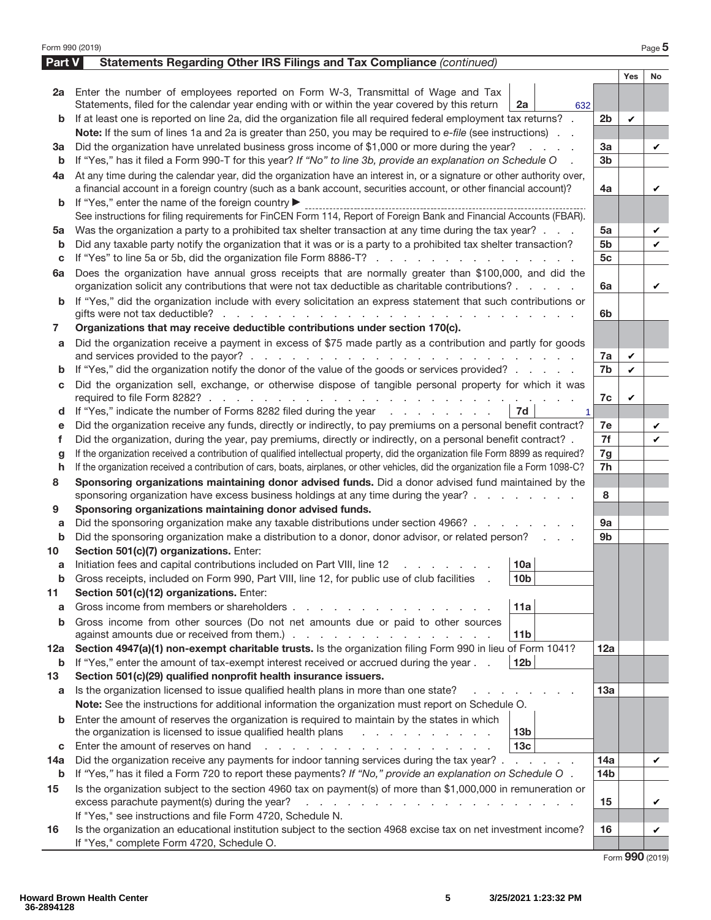| Form 990 (2019) |                                                                                                                                                                                                                                        |                        |     | Page 5    |  |  |  |  |
|-----------------|----------------------------------------------------------------------------------------------------------------------------------------------------------------------------------------------------------------------------------------|------------------------|-----|-----------|--|--|--|--|
| Part V          | Statements Regarding Other IRS Filings and Tax Compliance (continued)                                                                                                                                                                  |                        |     |           |  |  |  |  |
|                 |                                                                                                                                                                                                                                        |                        | Yes | <b>No</b> |  |  |  |  |
|                 | 2a Enter the number of employees reported on Form W-3, Transmittal of Wage and Tax                                                                                                                                                     |                        |     |           |  |  |  |  |
|                 | Statements, filed for the calendar year ending with or within the year covered by this return<br>2a<br>632                                                                                                                             |                        |     |           |  |  |  |  |
| b               | If at least one is reported on line 2a, did the organization file all required federal employment tax returns? .                                                                                                                       | 2 <sub>b</sub>         | V   |           |  |  |  |  |
|                 | Note: If the sum of lines 1a and 2a is greater than 250, you may be required to e-file (see instructions).                                                                                                                             |                        |     |           |  |  |  |  |
| За              | Did the organization have unrelated business gross income of \$1,000 or more during the year?<br>3a                                                                                                                                    |                        |     |           |  |  |  |  |
| b               | If "Yes," has it filed a Form 990-T for this year? If "No" to line 3b, provide an explanation on Schedule O                                                                                                                            | 3 <sub>b</sub>         |     |           |  |  |  |  |
| 4a              | At any time during the calendar year, did the organization have an interest in, or a signature or other authority over,                                                                                                                |                        |     |           |  |  |  |  |
|                 | a financial account in a foreign country (such as a bank account, securities account, or other financial account)?<br>4a                                                                                                               |                        |     |           |  |  |  |  |
| b               | If "Yes," enter the name of the foreign country ▶                                                                                                                                                                                      |                        |     |           |  |  |  |  |
|                 | See instructions for filing requirements for FinCEN Form 114, Report of Foreign Bank and Financial Accounts (FBAR).                                                                                                                    |                        |     |           |  |  |  |  |
| 5а              | Was the organization a party to a prohibited tax shelter transaction at any time during the tax year?                                                                                                                                  | 5a                     |     | V         |  |  |  |  |
| b               | Did any taxable party notify the organization that it was or is a party to a prohibited tax shelter transaction?                                                                                                                       | 5b                     |     | V         |  |  |  |  |
| С               | If "Yes" to line 5a or 5b, did the organization file Form 8886-T?                                                                                                                                                                      | 5с                     |     |           |  |  |  |  |
| 6a              | Does the organization have annual gross receipts that are normally greater than \$100,000, and did the                                                                                                                                 |                        |     |           |  |  |  |  |
|                 | organization solicit any contributions that were not tax deductible as charitable contributions?                                                                                                                                       | 6a                     |     | V         |  |  |  |  |
| b               | If "Yes," did the organization include with every solicitation an express statement that such contributions or                                                                                                                         |                        |     |           |  |  |  |  |
|                 | gifts were not tax deductible? $\cdots$ $\cdots$ $\cdots$ $\cdots$ $\cdots$ $\cdots$ $\cdots$ $\cdots$                                                                                                                                 | 6b                     |     |           |  |  |  |  |
| 7               | Organizations that may receive deductible contributions under section 170(c).                                                                                                                                                          |                        |     |           |  |  |  |  |
| a               | Did the organization receive a payment in excess of \$75 made partly as a contribution and partly for goods                                                                                                                            |                        |     |           |  |  |  |  |
|                 |                                                                                                                                                                                                                                        | 7a                     | V   |           |  |  |  |  |
| b               | If "Yes," did the organization notify the donor of the value of the goods or services provided?                                                                                                                                        | 7 <sub>b</sub>         | V   |           |  |  |  |  |
| С               | Did the organization sell, exchange, or otherwise dispose of tangible personal property for which it was                                                                                                                               |                        |     |           |  |  |  |  |
|                 | If "Yes," indicate the number of Forms 8282 filed during the year<br>7d<br>1                                                                                                                                                           | 7c                     | V   |           |  |  |  |  |
| d<br>е          | Did the organization receive any funds, directly or indirectly, to pay premiums on a personal benefit contract?                                                                                                                        | 7e                     |     | V         |  |  |  |  |
| f               | Did the organization, during the year, pay premiums, directly or indirectly, on a personal benefit contract? .                                                                                                                         | 7f                     |     | ✓         |  |  |  |  |
| g               | If the organization received a contribution of qualified intellectual property, did the organization file Form 8899 as required?                                                                                                       | 7g                     |     |           |  |  |  |  |
| h               | If the organization received a contribution of cars, boats, airplanes, or other vehicles, did the organization file a Form 1098-C?                                                                                                     | 7h                     |     |           |  |  |  |  |
| 8               | Sponsoring organizations maintaining donor advised funds. Did a donor advised fund maintained by the                                                                                                                                   |                        |     |           |  |  |  |  |
|                 | sponsoring organization have excess business holdings at any time during the year?                                                                                                                                                     |                        |     |           |  |  |  |  |
| 9               | Sponsoring organizations maintaining donor advised funds.                                                                                                                                                                              |                        |     |           |  |  |  |  |
| а               | Did the sponsoring organization make any taxable distributions under section 4966?                                                                                                                                                     | 9a                     |     |           |  |  |  |  |
| b               | Did the sponsoring organization make a distribution to a donor, donor advisor, or related person?                                                                                                                                      | 9b                     |     |           |  |  |  |  |
| 10              | Section 501(c)(7) organizations. Enter:                                                                                                                                                                                                |                        |     |           |  |  |  |  |
|                 | 10a <br>Initiation fees and capital contributions included on Part VIII, line 12 \[matter states and capital contributions included on Part VIII, line 12 \[matter states in the state of the state of the state of the state of the s |                        |     |           |  |  |  |  |
| b               | Gross receipts, included on Form 990, Part VIII, line 12, for public use of club facilities<br>10 <sub>b</sub>                                                                                                                         |                        |     |           |  |  |  |  |
| 11              | Section 501(c)(12) organizations. Enter:                                                                                                                                                                                               |                        |     |           |  |  |  |  |
| a               | Gross income from members or shareholders.<br>11a                                                                                                                                                                                      |                        |     |           |  |  |  |  |
| b               | Gross income from other sources (Do not net amounts due or paid to other sources                                                                                                                                                       |                        |     |           |  |  |  |  |
|                 | 11 <sub>b</sub>                                                                                                                                                                                                                        |                        |     |           |  |  |  |  |
| 12a             | Section 4947(a)(1) non-exempt charitable trusts. Is the organization filing Form 990 in lieu of Form 1041?                                                                                                                             | 12a                    |     |           |  |  |  |  |
| b               | If "Yes," enter the amount of tax-exempt interest received or accrued during the year<br>12 <sub>b</sub>                                                                                                                               |                        |     |           |  |  |  |  |
| 13              | Section 501(c)(29) qualified nonprofit health insurance issuers.                                                                                                                                                                       |                        |     |           |  |  |  |  |
| a               | Is the organization licensed to issue qualified health plans in more than one state?<br>Note: See the instructions for additional information the organization must report on Schedule O.                                              | 13a                    |     |           |  |  |  |  |
|                 | Enter the amount of reserves the organization is required to maintain by the states in which                                                                                                                                           |                        |     |           |  |  |  |  |
|                 | the organization is licensed to issue qualified health plans<br>13 <sub>b</sub>                                                                                                                                                        |                        |     |           |  |  |  |  |
| С               | 13 <sub>c</sub><br>Enter the amount of reserves on hand<br>and a strain and a strain and a                                                                                                                                             |                        |     |           |  |  |  |  |
| 14a             | Did the organization receive any payments for indoor tanning services during the tax year?                                                                                                                                             |                        |     |           |  |  |  |  |
| b               | If "Yes," has it filed a Form 720 to report these payments? If "No," provide an explanation on Schedule O.                                                                                                                             | 14a<br>14 <sub>b</sub> |     | V         |  |  |  |  |
| 15              | Is the organization subject to the section 4960 tax on payment(s) of more than \$1,000,000 in remuneration or                                                                                                                          |                        |     |           |  |  |  |  |
|                 | excess parachute payment(s) during the year?<br>$\mathbf{r}$ , $\mathbf{r}$ , $\mathbf{r}$ , $\mathbf{r}$ , $\mathbf{r}$ , $\mathbf{r}$ , $\mathbf{r}$ , $\mathbf{r}$                                                                  | 15                     |     | V         |  |  |  |  |
|                 | If "Yes," see instructions and file Form 4720, Schedule N.                                                                                                                                                                             |                        |     |           |  |  |  |  |
| 16              | Is the organization an educational institution subject to the section 4968 excise tax on net investment income?                                                                                                                        | 16                     |     | V         |  |  |  |  |
|                 | If "Yes," complete Form 4720, Schedule O.                                                                                                                                                                                              |                        |     |           |  |  |  |  |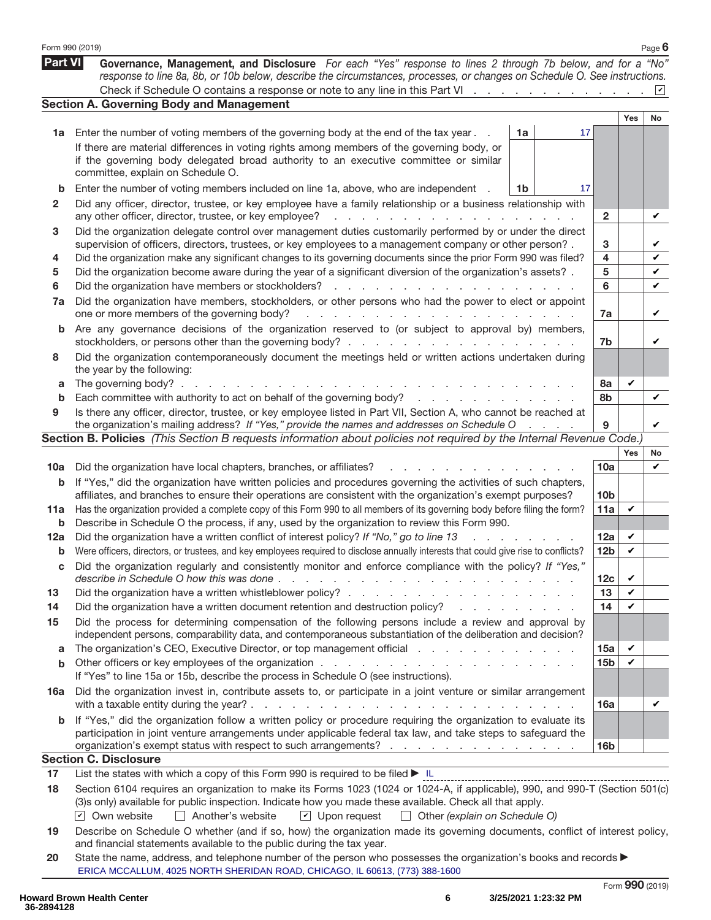|             | Form 990 (2019)                                                                                                                                                                                                                                                                                                                                                                         |    |                |                 |     | Page 6         |  |  |  |
|-------------|-----------------------------------------------------------------------------------------------------------------------------------------------------------------------------------------------------------------------------------------------------------------------------------------------------------------------------------------------------------------------------------------|----|----------------|-----------------|-----|----------------|--|--|--|
| Part VI     | Governance, Management, and Disclosure For each "Yes" response to lines 2 through 7b below, and for a "No"<br>response to line 8a, 8b, or 10b below, describe the circumstances, processes, or changes on Schedule O. See instructions.                                                                                                                                                 |    |                |                 |     |                |  |  |  |
|             | Check if Schedule O contains a response or note to any line in this Part VI                                                                                                                                                                                                                                                                                                             |    |                |                 |     | $ \mathbf{v} $ |  |  |  |
|             | <b>Section A. Governing Body and Management</b>                                                                                                                                                                                                                                                                                                                                         |    |                |                 |     |                |  |  |  |
|             |                                                                                                                                                                                                                                                                                                                                                                                         |    |                |                 | Yes | <b>No</b>      |  |  |  |
| 1a          | Enter the number of voting members of the governing body at the end of the tax year.                                                                                                                                                                                                                                                                                                    | 1a | 17             |                 |     |                |  |  |  |
|             | If there are material differences in voting rights among members of the governing body, or<br>if the governing body delegated broad authority to an executive committee or similar                                                                                                                                                                                                      |    |                |                 |     |                |  |  |  |
|             | committee, explain on Schedule O.                                                                                                                                                                                                                                                                                                                                                       |    |                |                 |     |                |  |  |  |
| b           | Enter the number of voting members included on line 1a, above, who are independent                                                                                                                                                                                                                                                                                                      | 1b | 17             |                 |     |                |  |  |  |
| 2           |                                                                                                                                                                                                                                                                                                                                                                                         |    |                |                 |     |                |  |  |  |
|             | Did any officer, director, trustee, or key employee have a family relationship or a business relationship with<br>any other officer, director, trustee, or key employee?<br>and a state of the state of the                                                                                                                                                                             |    |                |                 |     |                |  |  |  |
| 3           | Did the organization delegate control over management duties customarily performed by or under the direct                                                                                                                                                                                                                                                                               |    |                | $\mathbf{2}$    |     | V              |  |  |  |
|             | supervision of officers, directors, trustees, or key employees to a management company or other person?.                                                                                                                                                                                                                                                                                |    |                |                 |     |                |  |  |  |
| 4           | Did the organization make any significant changes to its governing documents since the prior Form 990 was filed?                                                                                                                                                                                                                                                                        |    |                | 4               |     | V              |  |  |  |
| 5           | Did the organization become aware during the year of a significant diversion of the organization's assets? .                                                                                                                                                                                                                                                                            |    |                | 5               |     | V              |  |  |  |
| 6           | Did the organization have members or stockholders?<br><b>Service Control</b><br>and a state                                                                                                                                                                                                                                                                                             |    |                | 6               |     | V              |  |  |  |
| 7a          | Did the organization have members, stockholders, or other persons who had the power to elect or appoint<br>one or more members of the governing body?<br>and the contract of the contract of the contract of the contract of the contract of the contract of the contract of the contract of the contract of the contract of the contract of the contract of the contract of the contra |    |                | 7a              |     | V              |  |  |  |
| b           | Are any governance decisions of the organization reserved to (or subject to approval by) members,                                                                                                                                                                                                                                                                                       |    |                |                 |     |                |  |  |  |
|             |                                                                                                                                                                                                                                                                                                                                                                                         |    |                | 7b              |     | V              |  |  |  |
| 8           | Did the organization contemporaneously document the meetings held or written actions undertaken during                                                                                                                                                                                                                                                                                  |    |                |                 |     |                |  |  |  |
|             | the year by the following:                                                                                                                                                                                                                                                                                                                                                              |    |                |                 |     |                |  |  |  |
| a           | The governing body? $\ldots$ .<br>and the company of the company of                                                                                                                                                                                                                                                                                                                     |    |                | 8а              | V   |                |  |  |  |
| b           | Each committee with authority to act on behalf of the governing body?                                                                                                                                                                                                                                                                                                                   |    |                | 8b              |     | V              |  |  |  |
| 9           | Is there any officer, director, trustee, or key employee listed in Part VII, Section A, who cannot be reached at                                                                                                                                                                                                                                                                        |    |                |                 |     |                |  |  |  |
|             | the organization's mailing address? If "Yes," provide the names and addresses on Schedule O<br>Section B. Policies (This Section B requests information about policies not required by the Internal Revenue Code.)                                                                                                                                                                      |    | and a state of | 9               |     | V              |  |  |  |
|             |                                                                                                                                                                                                                                                                                                                                                                                         |    |                |                 | Yes | No             |  |  |  |
| 10a         | Did the organization have local chapters, branches, or affiliates?                                                                                                                                                                                                                                                                                                                      |    |                | 10a             |     | V              |  |  |  |
| b           | If "Yes," did the organization have written policies and procedures governing the activities of such chapters,                                                                                                                                                                                                                                                                          |    |                |                 |     |                |  |  |  |
|             | affiliates, and branches to ensure their operations are consistent with the organization's exempt purposes?                                                                                                                                                                                                                                                                             |    |                | 10 <sub>b</sub> |     |                |  |  |  |
| 11a         | Has the organization provided a complete copy of this Form 990 to all members of its governing body before filing the form?                                                                                                                                                                                                                                                             |    |                |                 |     |                |  |  |  |
| b           | Describe in Schedule O the process, if any, used by the organization to review this Form 990.                                                                                                                                                                                                                                                                                           |    |                |                 |     |                |  |  |  |
| 12a         | Did the organization have a written conflict of interest policy? If "No," go to line 13                                                                                                                                                                                                                                                                                                 |    |                |                 |     |                |  |  |  |
| b           | Were officers, directors, or trustees, and key employees required to disclose annually interests that could give rise to conflicts?                                                                                                                                                                                                                                                     |    |                | 12 <sub>b</sub> | V   |                |  |  |  |
| С           | Did the organization regularly and consistently monitor and enforce compliance with the policy? If "Yes,                                                                                                                                                                                                                                                                                |    |                |                 |     |                |  |  |  |
|             |                                                                                                                                                                                                                                                                                                                                                                                         |    |                | 12 <sub>c</sub> | V   |                |  |  |  |
| 13          |                                                                                                                                                                                                                                                                                                                                                                                         |    |                | 13              | V   |                |  |  |  |
| 14          | Did the organization have a written document retention and destruction policy?                                                                                                                                                                                                                                                                                                          |    |                | 14              | V   |                |  |  |  |
| 15          | Did the process for determining compensation of the following persons include a review and approval by<br>independent persons, comparability data, and contemporaneous substantiation of the deliberation and decision?                                                                                                                                                                 |    |                |                 |     |                |  |  |  |
| a           | The organization's CEO, Executive Director, or top management official                                                                                                                                                                                                                                                                                                                  |    |                | 15a             | V   |                |  |  |  |
| b           |                                                                                                                                                                                                                                                                                                                                                                                         |    |                | 15 <sub>b</sub> | V   |                |  |  |  |
|             | If "Yes" to line 15a or 15b, describe the process in Schedule O (see instructions).                                                                                                                                                                                                                                                                                                     |    |                |                 |     |                |  |  |  |
| 16a         | Did the organization invest in, contribute assets to, or participate in a joint venture or similar arrangement                                                                                                                                                                                                                                                                          |    |                | 16a             |     | V              |  |  |  |
| $\mathbf b$ | If "Yes," did the organization follow a written policy or procedure requiring the organization to evaluate its                                                                                                                                                                                                                                                                          |    |                |                 |     |                |  |  |  |
|             | participation in joint venture arrangements under applicable federal tax law, and take steps to safeguard the<br>organization's exempt status with respect to such arrangements?                                                                                                                                                                                                        |    |                | 16 <sub>b</sub> |     |                |  |  |  |
|             | <b>Section C. Disclosure</b>                                                                                                                                                                                                                                                                                                                                                            |    |                |                 |     |                |  |  |  |
| 17          | List the states with which a copy of this Form 990 is required to be filed $\blacktriangleright$ IL                                                                                                                                                                                                                                                                                     |    |                |                 |     |                |  |  |  |
| 18          | Section 6104 requires an organization to make its Forms 1023 (1024 or 1024-A, if applicable), 990, and 990-T (Section 501(c)                                                                                                                                                                                                                                                            |    |                |                 |     |                |  |  |  |
|             | (3)s only) available for public inspection. Indicate how you made these available. Check all that apply.                                                                                                                                                                                                                                                                                |    |                |                 |     |                |  |  |  |
|             | $\triangleright$ Own website<br>Another's website<br>$\boxed{\mathbf{v}}$ Upon request<br>$\Box$ Other (explain on Schedule O)                                                                                                                                                                                                                                                          |    |                |                 |     |                |  |  |  |
| 19          | Describe on Schedule O whether (and if so, how) the organization made its governing documents, conflict of interest policy,                                                                                                                                                                                                                                                             |    |                |                 |     |                |  |  |  |
|             | and financial statements available to the public during the tax year.                                                                                                                                                                                                                                                                                                                   |    |                |                 |     |                |  |  |  |
| 20          | State the name, address, and telephone number of the person who possesses the organization's books and records                                                                                                                                                                                                                                                                          |    |                |                 |     |                |  |  |  |
|             | ERICA MCCALLUM, 4025 NORTH SHERIDAN ROAD, CHICAGO, IL 60613, (773) 388-1600                                                                                                                                                                                                                                                                                                             |    |                |                 |     |                |  |  |  |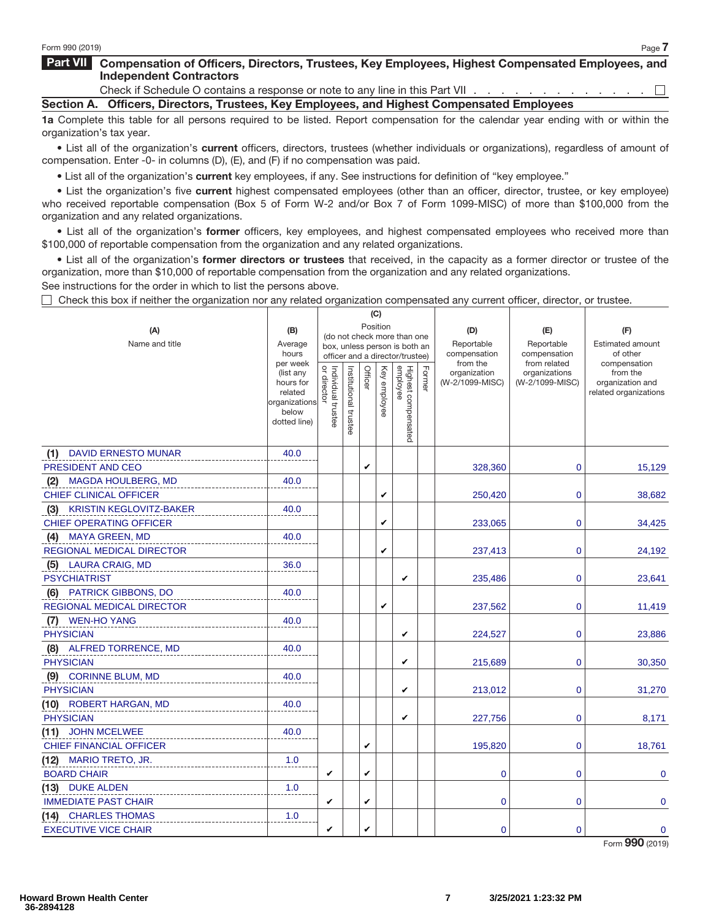### **Part VII Compensation of Officers, Directors, Trustees, Key Employees, Highest Compensated Employees, and Independent Contractors**

Check if Schedule O contains a response or note to any line in this Part VII .  $\Box$ **Section A. Officers, Directors, Trustees, Key Employees, and Highest Compensated Employees**

**1a** Complete this table for all persons required to be listed. Report compensation for the calendar year ending with or within the organization's tax year.

• List all of the organization's **current** officers, directors, trustees (whether individuals or organizations), regardless of amount of compensation. Enter -0- in columns (D), (E), and (F) if no compensation was paid.

• List all of the organization's **current** key employees, if any. See instructions for definition of "key employee."

• List the organization's five **current** highest compensated employees (other than an officer, director, trustee, or key employee) who received reportable compensation (Box 5 of Form W-2 and/or Box 7 of Form 1099-MISC) of more than \$100,000 from the organization and any related organizations.

• List all of the organization's **former** officers, key employees, and highest compensated employees who received more than \$100,000 of reportable compensation from the organization and any related organizations.

• List all of the organization's **former directors or trustees** that received, in the capacity as a former director or trustee of the organization, more than \$10,000 of reportable compensation from the organization and any related organizations.

See instructions for the order in which to list the persons above.

 $\Box$  Check this box if neither the organization nor any related organization compensated any current officer, director, or trustee.

|                                       |                                                                             |                                   |                                                                                                             |         | (C)          |                                 |        |                                               |                                                   |                                                            |
|---------------------------------------|-----------------------------------------------------------------------------|-----------------------------------|-------------------------------------------------------------------------------------------------------------|---------|--------------|---------------------------------|--------|-----------------------------------------------|---------------------------------------------------|------------------------------------------------------------|
| (A)<br>Name and title                 | (B)<br>Average<br>hours<br>per week                                         |                                   | Position<br>(do not check more than one<br>box, unless person is both an<br>officer and a director/trustee) |         |              |                                 |        | (D)<br>Reportable<br>compensation<br>from the | (E)<br>Reportable<br>compensation<br>from related | (F)<br><b>Estimated amount</b><br>of other<br>compensation |
|                                       | (list any<br>hours for<br>related<br>organizations<br>below<br>dotted line) | Individual trustee<br>or director | Institutional trustee                                                                                       | Officer | Key employee | Highest compensated<br>employee | Former | organization<br>(W-2/1099-MISC)               | organizations<br>(W-2/1099-MISC)                  | from the<br>organization and<br>related organizations      |
| <b>DAVID ERNESTO MUNAR</b><br>(1)     | 40.0                                                                        |                                   |                                                                                                             |         |              |                                 |        |                                               |                                                   |                                                            |
| <b>PRESIDENT AND CEO</b>              |                                                                             |                                   |                                                                                                             | V       |              |                                 |        | 328,360                                       | $\mathbf 0$                                       | 15,129                                                     |
| <b>MAGDA HOULBERG, MD</b><br>(2)      | 40.0                                                                        |                                   |                                                                                                             |         |              |                                 |        |                                               |                                                   |                                                            |
| <b>CHIEF CLINICAL OFFICER</b>         |                                                                             |                                   |                                                                                                             |         | V            |                                 |        | 250,420                                       | $\mathbf 0$                                       | 38,682                                                     |
| <b>KRISTIN KEGLOVITZ-BAKER</b><br>(3) | 40.0                                                                        |                                   |                                                                                                             |         |              |                                 |        |                                               |                                                   |                                                            |
| <b>CHIEF OPERATING OFFICER</b>        |                                                                             |                                   |                                                                                                             |         | V            |                                 |        | 233,065                                       | $\mathbf 0$                                       | 34,425                                                     |
| <b>MAYA GREEN, MD</b><br>(4)          | 40.0                                                                        |                                   |                                                                                                             |         |              |                                 |        |                                               |                                                   |                                                            |
| <b>REGIONAL MEDICAL DIRECTOR</b>      |                                                                             |                                   |                                                                                                             |         | V            |                                 |        | 237,413                                       | $\mathbf 0$                                       | 24,192                                                     |
| <b>LAURA CRAIG, MD</b><br>(5)         | 36.0                                                                        |                                   |                                                                                                             |         |              |                                 |        |                                               |                                                   |                                                            |
| <b>PSYCHIATRIST</b>                   |                                                                             |                                   |                                                                                                             |         |              | V                               |        | 235,486                                       | $\mathbf 0$                                       | 23,641                                                     |
| <b>PATRICK GIBBONS, DO</b><br>(6)     | 40.0                                                                        |                                   |                                                                                                             |         |              |                                 |        |                                               |                                                   |                                                            |
| <b>REGIONAL MEDICAL DIRECTOR</b>      |                                                                             |                                   |                                                                                                             |         | V            |                                 |        | 237,562                                       | $\mathbf 0$                                       | 11,419                                                     |
| <b>WEN-HO YANG</b><br>(7)             | 40.0                                                                        |                                   |                                                                                                             |         |              |                                 |        |                                               |                                                   |                                                            |
| <b>PHYSICIAN</b>                      |                                                                             |                                   |                                                                                                             |         |              | V                               |        | 224,527                                       | $\mathbf 0$                                       | 23,886                                                     |
| <b>ALFRED TORRENCE, MD</b><br>(8)     | 40.0                                                                        |                                   |                                                                                                             |         |              |                                 |        |                                               |                                                   |                                                            |
| <b>PHYSICIAN</b>                      |                                                                             |                                   |                                                                                                             |         |              | V                               |        | 215,689                                       | 0                                                 | 30,350                                                     |
| <b>CORINNE BLUM, MD</b><br>(9)        | 40.0                                                                        |                                   |                                                                                                             |         |              |                                 |        |                                               |                                                   |                                                            |
| <b>PHYSICIAN</b>                      |                                                                             |                                   |                                                                                                             |         |              | V                               |        | 213,012                                       | $\mathbf 0$                                       | 31,270                                                     |
| (10) ROBERT HARGAN, MD                | 40.0                                                                        |                                   |                                                                                                             |         |              |                                 |        |                                               |                                                   |                                                            |
| <b>PHYSICIAN</b>                      |                                                                             |                                   |                                                                                                             |         |              | V                               |        | 227,756                                       | $\mathbf 0$                                       | 8,171                                                      |
| (11) JOHN MCELWEE                     | 40.0                                                                        |                                   |                                                                                                             |         |              |                                 |        |                                               |                                                   |                                                            |
| <b>CHIEF FINANCIAL OFFICER</b>        |                                                                             |                                   |                                                                                                             | V       |              |                                 |        | 195,820                                       | $\mathbf 0$                                       | 18,761                                                     |
| <b>MARIO TRETO, JR.</b><br>(12)       | 1.0                                                                         |                                   |                                                                                                             |         |              |                                 |        |                                               |                                                   |                                                            |
| <b>BOARD CHAIR</b>                    |                                                                             | V                                 |                                                                                                             | V       |              |                                 |        | $\mathbf 0$                                   | $\mathbf 0$                                       | 0                                                          |
| (13) DUKE ALDEN                       | 1.0                                                                         |                                   |                                                                                                             |         |              |                                 |        |                                               |                                                   |                                                            |
| <b>IMMEDIATE PAST CHAIR</b>           |                                                                             | V                                 |                                                                                                             | V       |              |                                 |        | $\mathbf 0$                                   | $\mathbf 0$                                       | $\mathbf 0$                                                |
| <b>CHARLES THOMAS</b><br>(14)         | 1.0                                                                         |                                   |                                                                                                             |         |              |                                 |        |                                               |                                                   |                                                            |
| <b>EXECUTIVE VICE CHAIR</b>           |                                                                             | V                                 |                                                                                                             | V       |              |                                 |        | $\mathbf{0}$                                  | $\mathbf{0}$                                      | $\mathbf 0$                                                |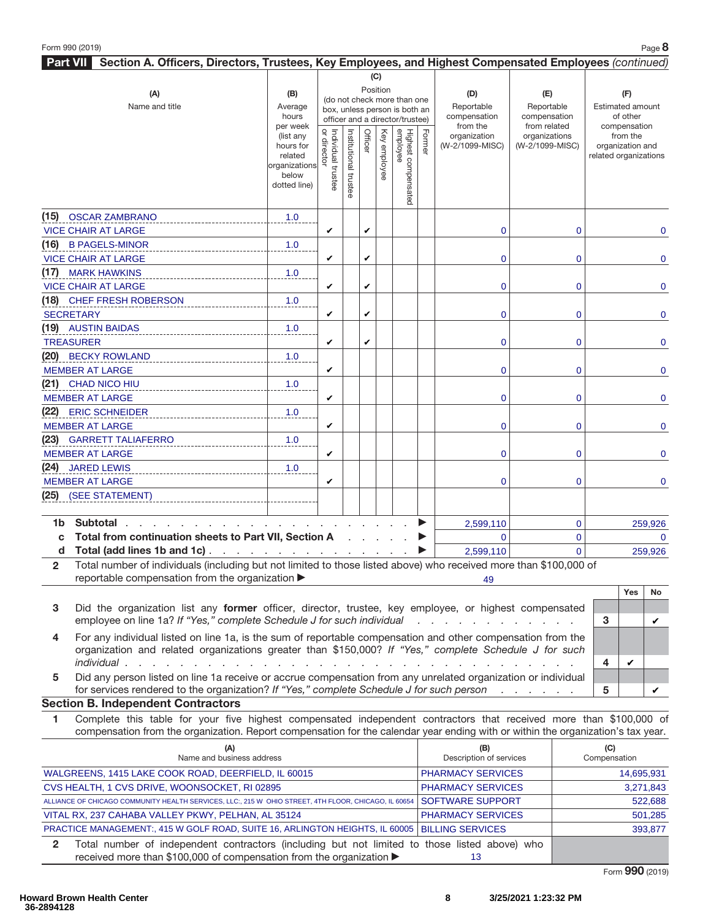| ۹<br>× |
|--------|

| Part VII Section A. Officers, Directors, Trustees, Key Employees, and Highest Compensated Employees (continued)                                                                        |                                                                                                  |                                     |                       |         |                 |                                                                    |        |                                                             |                                                                  |                                                                                   |
|----------------------------------------------------------------------------------------------------------------------------------------------------------------------------------------|--------------------------------------------------------------------------------------------------|-------------------------------------|-----------------------|---------|-----------------|--------------------------------------------------------------------|--------|-------------------------------------------------------------|------------------------------------------------------------------|-----------------------------------------------------------------------------------|
| (A)<br>Name and title                                                                                                                                                                  | (B)<br>Average                                                                                   |                                     |                       |         | (C)<br>Position | (do not check more than one<br>box, unless person is both an       |        | (D)<br>Reportable                                           | (E)<br>Reportable                                                | (F)<br>Estimated amount                                                           |
|                                                                                                                                                                                        | hours<br>per week<br>(list any<br>hours for<br>related<br>organizations<br>below<br>dotted line) | Individual trustee<br>  or director | Institutional trustee | Officer | Key employee    | officer and a director/trustee)<br>Highest compensated<br>employee | Former | compensation<br>from the<br>organization<br>(W-2/1099-MISC) | compensation<br>from related<br>organizations<br>(W-2/1099-MISC) | of other<br>compensation<br>from the<br>organization and<br>related organizations |
| (15) OSCAR ZAMBRANO                                                                                                                                                                    | 1.0                                                                                              |                                     |                       |         |                 |                                                                    |        |                                                             |                                                                  |                                                                                   |
| <b>VICE CHAIR AT LARGE</b>                                                                                                                                                             |                                                                                                  | V                                   |                       | V       |                 |                                                                    |        | 0                                                           | 0                                                                | $\mathbf{0}$                                                                      |
| (16) B PAGELS-MINOR<br><b>VICE CHAIR AT LARGE</b>                                                                                                                                      | 1.0                                                                                              | V                                   |                       | V       |                 |                                                                    |        | 0                                                           | 0                                                                | $\mathbf 0$                                                                       |
| (17) MARK HAWKINS                                                                                                                                                                      | 1.0                                                                                              |                                     |                       |         |                 |                                                                    |        |                                                             |                                                                  |                                                                                   |
| <b>VICE CHAIR AT LARGE</b>                                                                                                                                                             |                                                                                                  | V                                   |                       | V       |                 |                                                                    |        | 0                                                           | 0                                                                | $\mathbf{0}$                                                                      |
| (18) CHEF FRESH ROBERSON                                                                                                                                                               | 1.0                                                                                              |                                     |                       |         |                 |                                                                    |        |                                                             |                                                                  |                                                                                   |
| <b>SECRETARY</b>                                                                                                                                                                       |                                                                                                  | V                                   |                       | V       |                 |                                                                    |        | 0                                                           | 0                                                                | $\mathbf 0$                                                                       |
| (19) AUSTIN BAIDAS<br><b>TREASURER</b>                                                                                                                                                 | 1.0                                                                                              | V                                   |                       | V       |                 |                                                                    |        | 0                                                           | 0                                                                | $\mathbf 0$                                                                       |
| (20) BECKY ROWLAND                                                                                                                                                                     | 1.0                                                                                              |                                     |                       |         |                 |                                                                    |        |                                                             |                                                                  |                                                                                   |
| <b>MEMBER AT LARGE</b>                                                                                                                                                                 |                                                                                                  | V                                   |                       |         |                 |                                                                    |        | 0                                                           | 0                                                                | $\mathbf 0$                                                                       |
| (21) CHAD NICO HIU                                                                                                                                                                     | 1.0                                                                                              |                                     |                       |         |                 |                                                                    |        |                                                             |                                                                  |                                                                                   |
| <b>MEMBER AT LARGE</b>                                                                                                                                                                 |                                                                                                  | V                                   |                       |         |                 |                                                                    |        | 0                                                           | 0                                                                | $\mathbf 0$                                                                       |
| (22) ERIC SCHNEIDER                                                                                                                                                                    | 1.0                                                                                              | V                                   |                       |         |                 |                                                                    |        |                                                             |                                                                  |                                                                                   |
| <b>MEMBER AT LARGE</b><br>(23) GARRETT TALIAFERRO                                                                                                                                      |                                                                                                  |                                     |                       |         |                 |                                                                    |        | $\overline{0}$                                              | $\mathbf 0$                                                      | $\mathbf{0}$                                                                      |
| <b>MEMBER AT LARGE</b>                                                                                                                                                                 | 1.0                                                                                              | V                                   |                       |         |                 |                                                                    |        | 0                                                           | 0                                                                | $\mathbf 0$                                                                       |
| (24)<br><b>JARED LEWIS</b>                                                                                                                                                             | 1.0                                                                                              |                                     |                       |         |                 |                                                                    |        |                                                             |                                                                  |                                                                                   |
| <b>MEMBER AT LARGE</b>                                                                                                                                                                 |                                                                                                  | V                                   |                       |         |                 |                                                                    |        | $\overline{0}$                                              | $\mathbf 0$                                                      | $\mathbf{0}$                                                                      |
| (25)<br>(SEE STATEMENT)                                                                                                                                                                |                                                                                                  |                                     |                       |         |                 |                                                                    |        |                                                             |                                                                  |                                                                                   |
| 1 <sub>b</sub><br><b>Subtotal</b><br>the company of the company of                                                                                                                     | the contract of the contract of                                                                  |                                     |                       |         |                 |                                                                    |        | 2,599,110                                                   | $\mathbf{0}$                                                     | 259,926                                                                           |
| Total from continuation sheets to Part VII, Section A<br>C                                                                                                                             |                                                                                                  |                                     |                       |         |                 |                                                                    |        | 0                                                           | $\mathbf 0$                                                      | $\mathbf 0$                                                                       |
| Total (add lines 1b and 1c)<br>d                                                                                                                                                       |                                                                                                  |                                     |                       |         |                 |                                                                    |        | 2,599,110                                                   | $\overline{0}$                                                   | 259,926                                                                           |
| Total number of individuals (including but not limited to those listed above) who received more than \$100,000 of<br>$\overline{2}$<br>reportable compensation from the organization ▶ |                                                                                                  |                                     |                       |         |                 |                                                                    |        | 49                                                          |                                                                  |                                                                                   |

- **3** Did the organization list any **former** officer, director, trustee, key employee, or highest compensated employee on line 1a? If "Yes," complete Schedule J for such individual ............ **3**
- **4** For any individual listed on line 1a, is the sum of reportable compensation and other compensation from the organization and related organizations greater than \$150,000? If "Yes," complete Schedule J for such individual ................................. **4**
- **5** Did any person listed on line 1a receive or accrue compensation from any unrelated organization or individual for services rendered to the organization? If "Yes," complete Schedule J for such person ...... **5**

### **Section B. Independent Contractors**

**1** Complete this table for your five highest compensated independent contractors that received more than \$100,000 of compensation from the organization. Report compensation for the calendar year ending with or within the organization's tax year.

| (A)<br>Name and business address                                                                     | (B)<br>Description of services | (C)<br>Compensation |
|------------------------------------------------------------------------------------------------------|--------------------------------|---------------------|
| WALGREENS, 1415 LAKE COOK ROAD, DEERFIELD, IL 60015                                                  | <b>PHARMACY SERVICES</b>       | 14,695,931          |
| CVS HEALTH, 1 CVS DRIVE, WOONSOCKET, RI 02895                                                        | <b>PHARMACY SERVICES</b>       | 3,271,843           |
| ALLIANCE OF CHICAGO COMMUNITY HEALTH SERVICES, LLC:, 215 W OHIO STREET, 4TH FLOOR, CHICAGO, IL 60654 | <b>SOFTWARE SUPPORT</b>        | 522,688             |
| VITAL RX, 237 CAHABA VALLEY PKWY, PELHAN, AL 35124                                                   | <b>PHARMACY SERVICES</b>       | 501,285             |
| PRACTICE MANAGEMENT:, 415 W GOLF ROAD, SUITE 16, ARLINGTON HEIGHTS, IL 60005   BILLING SERVICES      |                                | 393,877             |
| Total number of independent contractors (including but not limited to those listed above) who        |                                |                     |
| received more than \$100,000 of compensation from the organization ▶                                 |                                |                     |

**Yes No**

 $\mathbf v$ 

✔

✔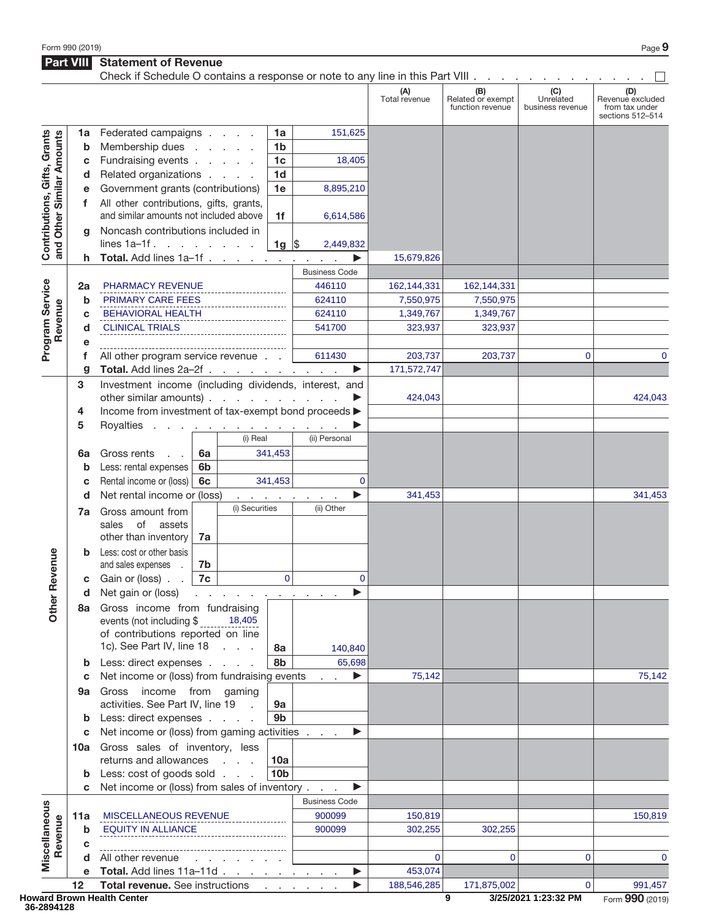**Part VIII Statement of Revenue** 

|                                                           |           | Check if Schedule O contains a response or note to any line in this Part VIII   |    |                                  |                          |                      |                      |                                              |                                      |                                                               |
|-----------------------------------------------------------|-----------|---------------------------------------------------------------------------------|----|----------------------------------|--------------------------|----------------------|----------------------|----------------------------------------------|--------------------------------------|---------------------------------------------------------------|
|                                                           |           |                                                                                 |    |                                  |                          |                      | (A)<br>Total revenue | (B)<br>Related or exempt<br>function revenue | (C)<br>Unrelated<br>business revenue | (D)<br>Revenue excluded<br>from tax under<br>sections 512-514 |
|                                                           | 1a        | Federated campaigns                                                             |    |                                  | 1a                       | 151,625              |                      |                                              |                                      |                                                               |
| Contributions, Gifts, Grants<br>and Other Similar Amounts | b         | Membership dues                                                                 |    |                                  | 1 <sub>b</sub>           |                      |                      |                                              |                                      |                                                               |
|                                                           | с         | Fundraising events                                                              |    |                                  | 1 <sub>c</sub>           | 18,405               |                      |                                              |                                      |                                                               |
|                                                           | d         | Related organizations                                                           |    |                                  | 1 <sub>d</sub>           |                      |                      |                                              |                                      |                                                               |
|                                                           | е         | Government grants (contributions)<br>1e                                         |    | 8,895,210                        |                          |                      |                      |                                              |                                      |                                                               |
|                                                           | f         | All other contributions, gifts, grants,                                         |    |                                  |                          |                      |                      |                                              |                                      |                                                               |
|                                                           |           | and similar amounts not included above                                          |    |                                  | 1f                       | 6,614,586            |                      |                                              |                                      |                                                               |
|                                                           | q         | Noncash contributions included in                                               |    |                                  |                          |                      |                      |                                              |                                      |                                                               |
|                                                           |           | lines $1a-1f$ .                                                                 |    |                                  | $1g \sqrt{3}$            | 2,449,832            |                      |                                              |                                      |                                                               |
|                                                           | h.        | Total. Add lines 1a-1f                                                          |    |                                  |                          | ▶                    | 15,679,826           |                                              |                                      |                                                               |
|                                                           |           |                                                                                 |    |                                  |                          | <b>Business Code</b> |                      |                                              |                                      |                                                               |
| Program Service                                           | 2a        | PHARMACY REVENUE                                                                |    |                                  |                          | 446110               | 162,144,331          | 162,144,331                                  |                                      |                                                               |
|                                                           | b         | <b>PRIMARY CARE FEES</b>                                                        |    |                                  |                          | 624110               | 7,550,975            | 7,550,975                                    |                                      |                                                               |
|                                                           | с         | <b>BEHAVIORAL HEALTH</b>                                                        |    |                                  |                          | 624110               | 1,349,767            | 1,349,767                                    |                                      |                                                               |
| Revenue                                                   | d         | <b>CLINICAL TRIALS</b>                                                          |    | _______________________          |                          | 541700               | 323,937              | 323,937                                      |                                      |                                                               |
|                                                           | е         |                                                                                 |    |                                  |                          |                      |                      |                                              |                                      |                                                               |
|                                                           | f         | All other program service revenue                                               |    |                                  |                          | 611430               | 203,737              | 203,737                                      | $\Omega$                             | $\mathbf 0$                                                   |
|                                                           | g         | Total. Add lines 2a-2f                                                          |    |                                  |                          | ▶                    | 171,572,747          |                                              |                                      |                                                               |
|                                                           | 3         | Investment income (including dividends, interest, and<br>other similar amounts) |    |                                  |                          |                      | 424,043              |                                              |                                      | 424,043                                                       |
|                                                           | 4         | Income from investment of tax-exempt bond proceeds >                            |    |                                  |                          |                      |                      |                                              |                                      |                                                               |
|                                                           | 5         | Royalties                                                                       |    |                                  |                          |                      |                      |                                              |                                      |                                                               |
|                                                           |           | المنافر والمنافر والمنافر والمنافر والمنافر<br>(i) Real                         |    | (ii) Personal                    |                          |                      |                      |                                              |                                      |                                                               |
|                                                           | 6a        | Gross rents                                                                     | 6a |                                  | 341,453                  |                      |                      |                                              |                                      |                                                               |
|                                                           | b         | Less: rental expenses                                                           | 6b |                                  |                          |                      |                      |                                              |                                      |                                                               |
|                                                           | с         | Rental income or (loss)                                                         | 6с |                                  | 341,453                  | 0                    |                      |                                              |                                      |                                                               |
|                                                           | d         | Net rental income or (loss)                                                     |    |                                  | <b>Contract Contract</b> | ▶                    | 341,453              |                                              |                                      | 341,453                                                       |
|                                                           | 7a        | Gross amount from                                                               |    | (i) Securities                   |                          | (ii) Other           |                      |                                              |                                      |                                                               |
|                                                           |           | sales<br>of<br>assets                                                           |    |                                  |                          |                      |                      |                                              |                                      |                                                               |
|                                                           |           | other than inventory                                                            | 7a |                                  |                          |                      |                      |                                              |                                      |                                                               |
|                                                           | b         | Less: cost or other basis                                                       |    |                                  |                          |                      |                      |                                              |                                      |                                                               |
| evenue                                                    |           | and sales expenses                                                              | 7b |                                  |                          |                      |                      |                                              |                                      |                                                               |
|                                                           | с         | Gain or (loss).                                                                 | 7c |                                  | $\mathbf 0$              | 0                    |                      |                                              |                                      |                                                               |
| œ                                                         | a         | Net gain or (loss) $\cdots$ $\cdots$ $\cdots$ $\cdots$ $\cdots$                 |    |                                  |                          |                      |                      |                                              |                                      |                                                               |
| Other                                                     | 8a l      | Gross income from fundraising                                                   |    |                                  |                          |                      |                      |                                              |                                      |                                                               |
|                                                           |           | events (not including \$                                                        |    | 18,405                           |                          |                      |                      |                                              |                                      |                                                               |
|                                                           |           | of contributions reported on line                                               |    |                                  |                          |                      |                      |                                              |                                      |                                                               |
|                                                           |           | 1c). See Part IV, line 18                                                       |    |                                  | 8а                       | 140,840              |                      |                                              |                                      |                                                               |
|                                                           | b         | Less: direct expenses                                                           |    |                                  | 8b                       | 65,698               |                      |                                              |                                      |                                                               |
|                                                           | с         | Net income or (loss) from fundraising events                                    |    |                                  |                          | ▶                    | 75,142               |                                              |                                      | 75,142                                                        |
|                                                           | <b>9a</b> | Gross income from gaming<br>activities. See Part IV, line 19                    |    | $\sim$                           | 9а                       |                      |                      |                                              |                                      |                                                               |
|                                                           |           | Less: direct expenses                                                           |    |                                  | 9b                       |                      |                      |                                              |                                      |                                                               |
|                                                           | b<br>с    | Net income or (loss) from gaming activities                                     |    |                                  |                          | ▶                    |                      |                                              |                                      |                                                               |
|                                                           | 10a       | Gross sales of inventory, less                                                  |    |                                  |                          |                      |                      |                                              |                                      |                                                               |
|                                                           |           | returns and allowances                                                          |    |                                  | 10a                      |                      |                      |                                              |                                      |                                                               |
|                                                           | b         | Less: cost of goods sold                                                        |    |                                  | 10 <sub>b</sub>          |                      |                      |                                              |                                      |                                                               |
|                                                           | C         | Net income or (loss) from sales of inventory                                    |    |                                  |                          | ▶                    |                      |                                              |                                      |                                                               |
|                                                           |           |                                                                                 |    |                                  |                          | <b>Business Code</b> |                      |                                              |                                      |                                                               |
| Miscellaneous                                             | 11a       | MISCELLANEOUS REVENUE                                                           |    |                                  |                          | 900099               | 150,819              |                                              |                                      | 150,819                                                       |
|                                                           | b         | <b>EQUITY IN ALLIANCE</b>                                                       |    |                                  |                          | 900099               | 302,255              | 302,255                                      |                                      |                                                               |
| Revenue                                                   | с         |                                                                                 |    | ________________________________ |                          |                      |                      |                                              |                                      |                                                               |
|                                                           | d         | All other revenue                                                               |    | and the company of the state     |                          |                      | $\mathbf 0$          | 0                                            | 0                                    | $\Omega$                                                      |
|                                                           | е         | Total. Add lines 11a-11d                                                        |    |                                  |                          | ▶                    | 453,074              |                                              |                                      |                                                               |
|                                                           | 12        | Total revenue. See instructions                                                 |    |                                  | <b>Contract Contract</b> | ▶                    | 188,546,285          | 171,875,002                                  | $\mathbf 0$                          | 991,457                                                       |

**9 3/25/2021 1:23:32 PM**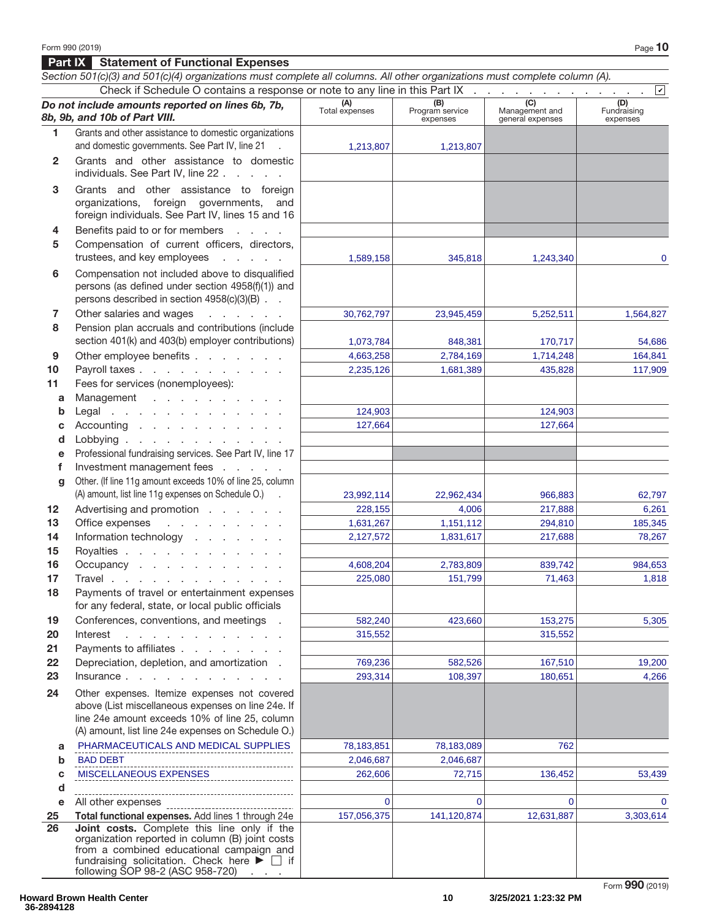### **Part IX Statement of Functional Expenses**

|                 | Section 501(c)(3) and 501(c)(4) organizations must complete all columns. All other organizations must complete column (A).                         |                       |                                    |                                           |                                |
|-----------------|----------------------------------------------------------------------------------------------------------------------------------------------------|-----------------------|------------------------------------|-------------------------------------------|--------------------------------|
|                 | Check if Schedule O contains a response or note to any line in this Part IX                                                                        |                       |                                    |                                           | $\boxed{\check{}}$             |
|                 | Do not include amounts reported on lines 6b, 7b,<br>8b, 9b, and 10b of Part VIII.                                                                  | (A)<br>Total expenses | (B)<br>Program service<br>expenses | (C)<br>Management and<br>general expenses | (D)<br>Fundraising<br>expenses |
| 1.              | Grants and other assistance to domestic organizations                                                                                              |                       |                                    |                                           |                                |
|                 | and domestic governments. See Part IV, line 21 .                                                                                                   | 1,213,807             | 1,213,807                          |                                           |                                |
| $\mathbf{2}$    | Grants and other assistance to domestic<br>individuals. See Part IV, line 22                                                                       |                       |                                    |                                           |                                |
| 3               | Grants and other assistance to foreign<br>organizations, foreign governments, and<br>foreign individuals. See Part IV, lines 15 and 16             |                       |                                    |                                           |                                |
| 4               | Benefits paid to or for members                                                                                                                    |                       |                                    |                                           |                                |
| 5               | Compensation of current officers, directors,<br>trustees, and key employees<br><b>Contractor</b>                                                   | 1,589,158             | 345,818                            | 1,243,340                                 | $\mathbf 0$                    |
| 6               | Compensation not included above to disqualified<br>persons (as defined under section 4958(f)(1)) and<br>persons described in section 4958(c)(3)(B) |                       |                                    |                                           |                                |
| 7               | Other salaries and wages<br><b>Carl and Carl and Carl</b>                                                                                          | 30,762,797            | 23,945,459                         | 5,252,511                                 | 1,564,827                      |
| 8               | Pension plan accruals and contributions (include                                                                                                   |                       |                                    |                                           |                                |
|                 | section 401(k) and 403(b) employer contributions)                                                                                                  | 1,073,784             | 848,381                            | 170,717                                   | 54,686                         |
| 9               | Other employee benefits                                                                                                                            | 4,663,258             | 2,784,169                          | 1,714,248                                 | 164,841                        |
| 10              | Payroll taxes                                                                                                                                      | 2,235,126             | 1,681,389                          | 435.828                                   | 117,909                        |
| 11              | Fees for services (nonemployees):                                                                                                                  |                       |                                    |                                           |                                |
| a               | Management                                                                                                                                         |                       |                                    |                                           |                                |
| b               | Legal                                                                                                                                              | 124,903               |                                    | 124,903                                   |                                |
| C               | Accounting                                                                                                                                         | 127,664               |                                    | 127,664                                   |                                |
| d               | Lobbying                                                                                                                                           |                       |                                    |                                           |                                |
| е               | Professional fundraising services. See Part IV, line 17                                                                                            |                       |                                    |                                           |                                |
| f               | Investment management fees                                                                                                                         |                       |                                    |                                           |                                |
| g               | Other. (If line 11g amount exceeds 10% of line 25, column<br>(A) amount, list line 11g expenses on Schedule O.) .                                  |                       |                                    |                                           |                                |
| 12 <sub>2</sub> | Advertising and promotion                                                                                                                          | 23,992,114<br>228,155 | 22,962,434<br>4,006                | 966,883<br>217,888                        | 62,797<br>6,261                |
| 13              | Office expenses<br>and the contract of the con-                                                                                                    | 1,631,267             | 1,151,112                          | 294,810                                   | 185,345                        |
| 14              | Information technology                                                                                                                             | 2,127,572             | 1,831,617                          | 217,688                                   | 78,267                         |
| 15              | Royalties                                                                                                                                          |                       |                                    |                                           |                                |
| 16              | Occupancy                                                                                                                                          | 4,608,204             | 2,783,809                          | 839,742                                   | 984,653                        |
| 17              | Travel                                                                                                                                             | 225,080               | 151,799                            | 71,463                                    | 1.818                          |
| 18              | Payments of travel or entertainment expenses                                                                                                       |                       |                                    |                                           |                                |
|                 | for any federal, state, or local public officials                                                                                                  |                       |                                    |                                           |                                |
| 19              | Conferences, conventions, and meetings .                                                                                                           | 582,240               | 423,660                            | 153,275                                   | 5,305                          |
| 20              | Interest<br>and the company of the company of                                                                                                      | 315,552               |                                    | 315,552                                   |                                |
| 21              | Payments to affiliates                                                                                                                             |                       |                                    |                                           |                                |
| 22              | Depreciation, depletion, and amortization.                                                                                                         | 769,236               | 582,526                            | 167,510                                   | 19,200                         |
| 23              | Insurance                                                                                                                                          | 293,314               | 108,397                            | 180,651                                   | 4,266                          |
| 24              | Other expenses. Itemize expenses not covered                                                                                                       |                       |                                    |                                           |                                |
|                 | above (List miscellaneous expenses on line 24e. If                                                                                                 |                       |                                    |                                           |                                |
|                 | line 24e amount exceeds 10% of line 25, column                                                                                                     |                       |                                    |                                           |                                |
|                 | (A) amount, list line 24e expenses on Schedule O.)                                                                                                 |                       |                                    |                                           |                                |
| a               | PHARMACEUTICALS AND MEDICAL SUPPLIES                                                                                                               | 78,183,851            | 78,183,089                         | 762                                       |                                |
| b               | <b>BAD DEBT</b>                                                                                                                                    | 2,046,687             | 2,046,687                          |                                           |                                |
| c               | <b>MISCELLANEOUS EXPENSES</b>                                                                                                                      | 262,606               | 72,715                             | 136,452                                   | 53,439                         |
| d               |                                                                                                                                                    |                       |                                    |                                           |                                |
| е               | All other expenses                                                                                                                                 | 0                     | $\Omega$                           | $\Omega$                                  | $\mathbf{0}$                   |
| 25<br>26        | Total functional expenses. Add lines 1 through 24e<br>Joint costs. Complete this line only if the                                                  | 157,056,375           | 141,120,874                        | 12,631,887                                | 3,303,614                      |
|                 | organization reported in column (B) joint costs                                                                                                    |                       |                                    |                                           |                                |
|                 | from a combined educational campaign and                                                                                                           |                       |                                    |                                           |                                |
|                 | fundraising solicitation. Check here $\blacktriangleright \Box$ if<br>following SOP 98-2 (ASC 958-720)                                             |                       |                                    |                                           |                                |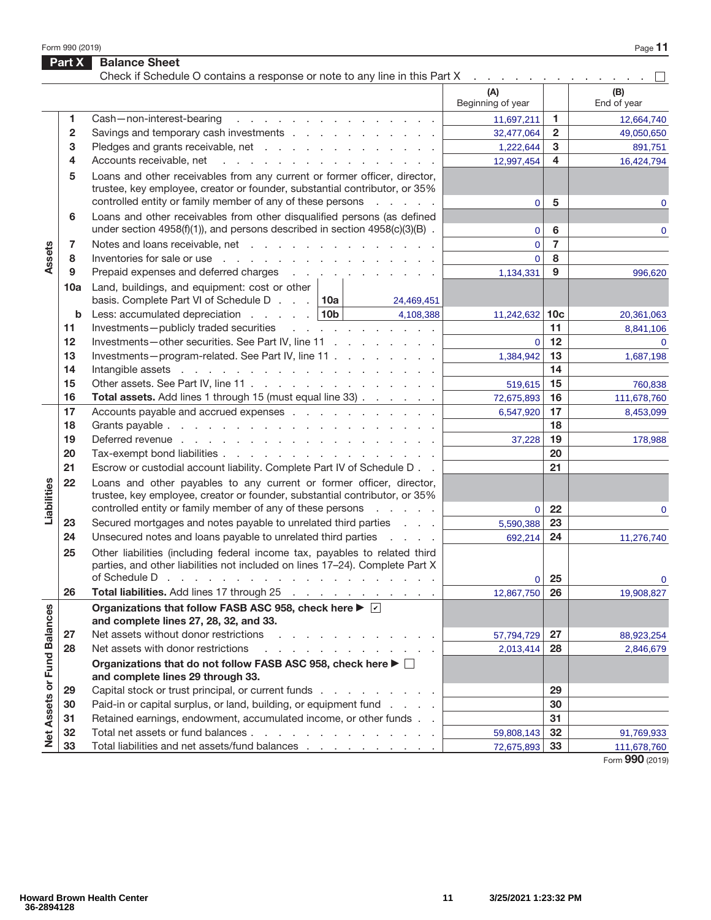Form 990 (2019) Page **11** 

|                             | Part X         | <b>Balance Sheet</b><br>Check if Schedule O contains a response or note to any line in this Part X                                                                                                                             | the contract of the contract of the contract of |                 |                    |
|-----------------------------|----------------|--------------------------------------------------------------------------------------------------------------------------------------------------------------------------------------------------------------------------------|-------------------------------------------------|-----------------|--------------------|
|                             |                |                                                                                                                                                                                                                                | (A)<br>Beginning of year                        |                 | (B)<br>End of year |
|                             | 1.             | Cash-non-interest-bearing<br>design and contract to the contract of the con-                                                                                                                                                   | 11,697,211                                      | 1               | 12,664,740         |
|                             | $\overline{2}$ |                                                                                                                                                                                                                                | 32,477,064                                      | $\mathbf{2}$    | 49,050,650         |
|                             | 3              | Pledges and grants receivable, net                                                                                                                                                                                             | 1,222,644                                       | 3               | 891,751            |
|                             | 4              | Accounts receivable, net<br>a carrier and a carrier and a carrier and a                                                                                                                                                        | 12,997,454                                      | 4               | 16,424,794         |
|                             | 5              | Loans and other receivables from any current or former officer, director,<br>trustee, key employee, creator or founder, substantial contributor, or 35%<br>controlled entity or family member of any of these persons          | $\mathbf 0$                                     | 5               | $\mathbf{0}$       |
|                             | 6              | Loans and other receivables from other disqualified persons (as defined                                                                                                                                                        |                                                 |                 |                    |
|                             |                | under section $4958(f)(1)$ , and persons described in section $4958(c)(3)(B)$ .                                                                                                                                                | $\mathbf 0$                                     | 6               | $\overline{0}$     |
|                             | 7              | Notes and loans receivable, net                                                                                                                                                                                                | $\mathbf{0}$                                    | $\overline{7}$  |                    |
| Assets                      | 8              | Inventories for sale or use reference and reference and reference and reference and reference and reference and reference and reference and reference and reference and reference and reference and reference and reference an | $\mathbf{0}$                                    | 8               |                    |
|                             | 9              | Prepaid expenses and deferred charges                                                                                                                                                                                          | 1,134,331                                       | 9               | 996,620            |
|                             | 10a            | Land, buildings, and equipment: cost or other<br>basis. Complete Part VI of Schedule D $\ldots$ 10a<br>24.469.451                                                                                                              |                                                 |                 |                    |
|                             | b              | Less: accumulated depreciation $\ldots$ $\ldots$ $\vert$ 10b $\vert$ 4,108,388                                                                                                                                                 | 11,242,632                                      | 10 <sub>c</sub> | 20,361,063         |
|                             | 11             | Investments-publicly traded securities                                                                                                                                                                                         |                                                 | 11              | 8,841,106          |
|                             | $12 \,$        | Investments-other securities. See Part IV, line 11                                                                                                                                                                             | $\mathbf{0}$                                    | 12              | $\mathbf{0}$       |
|                             | 13             | Investments-program-related. See Part IV, line 11                                                                                                                                                                              | 1,384,942                                       | 13              | 1,687,198          |
|                             | 14             |                                                                                                                                                                                                                                |                                                 | 14              |                    |
|                             | 15             | Other assets. See Part IV, line 11                                                                                                                                                                                             | 519,615                                         | 15              | 760,838            |
|                             | 16             | Total assets. Add lines 1 through 15 (must equal line 33)                                                                                                                                                                      | 72,675,893                                      | 16              | 111,678,760        |
|                             | 17             | Accounts payable and accrued expenses                                                                                                                                                                                          | 6,547,920                                       | 17              | 8,453,099          |
|                             | 18             |                                                                                                                                                                                                                                |                                                 | 18              |                    |
|                             | 19             |                                                                                                                                                                                                                                | 37,228                                          | 19              | 178,988            |
|                             | 20             | Tax-exempt bond liabilities                                                                                                                                                                                                    |                                                 | 20              |                    |
|                             | 21             | Escrow or custodial account liability. Complete Part IV of Schedule D                                                                                                                                                          |                                                 | 21              |                    |
| Liabilities                 | 22             | Loans and other payables to any current or former officer, director,<br>trustee, key employee, creator or founder, substantial contributor, or 35%                                                                             |                                                 |                 |                    |
|                             |                | controlled entity or family member of any of these persons<br>and a state of                                                                                                                                                   | $\mathbf 0$                                     | 22              | $\mathbf{0}$       |
|                             | 23             | Secured mortgages and notes payable to unrelated third parties                                                                                                                                                                 | 5,590,388                                       | 23              |                    |
|                             | 24             | Unsecured notes and loans payable to unrelated third parties                                                                                                                                                                   | 692,214                                         | 24              | 11,276,740         |
|                             | 25             | Other liabilities (including federal income tax, payables to related third<br>parties, and other liabilities not included on lines 17-24). Complete Part X                                                                     | 0 <sup>1</sup>                                  | 25              | $\mathbf 0$        |
|                             | 26             | Total liabilities. Add lines 17 through 25                                                                                                                                                                                     | 12,867,750                                      | 26              | 19,908,827         |
|                             |                | Organizations that follow FASB ASC 958, check here ▶ ☑<br>and complete lines 27, 28, 32, and 33.                                                                                                                               |                                                 |                 |                    |
|                             | 27             | Net assets without donor restrictions<br>the contract of the contract of the con-                                                                                                                                              | 57,794,729                                      | 27              | 88,923,254         |
|                             | 28             | Net assets with donor restrictions<br>.                                                                                                                                                                                        | 2,013,414                                       | 28              | 2,846,679          |
| Net Assets or Fund Balances |                | Organizations that do not follow FASB ASC 958, check here $\blacktriangleright \Box$<br>and complete lines 29 through 33.                                                                                                      |                                                 |                 |                    |
|                             | 29             | Capital stock or trust principal, or current funds                                                                                                                                                                             |                                                 | 29              |                    |
|                             | 30             | Paid-in or capital surplus, or land, building, or equipment fund                                                                                                                                                               |                                                 | 30              |                    |
|                             | 31             | Retained earnings, endowment, accumulated income, or other funds                                                                                                                                                               |                                                 | 31              |                    |
|                             | 32             | Total net assets or fund balances                                                                                                                                                                                              | 59,808,143                                      | 32              | 91,769,933         |
|                             | 33             | Total liabilities and net assets/fund balances                                                                                                                                                                                 | 72,675,893                                      | 33              | 111,678,760        |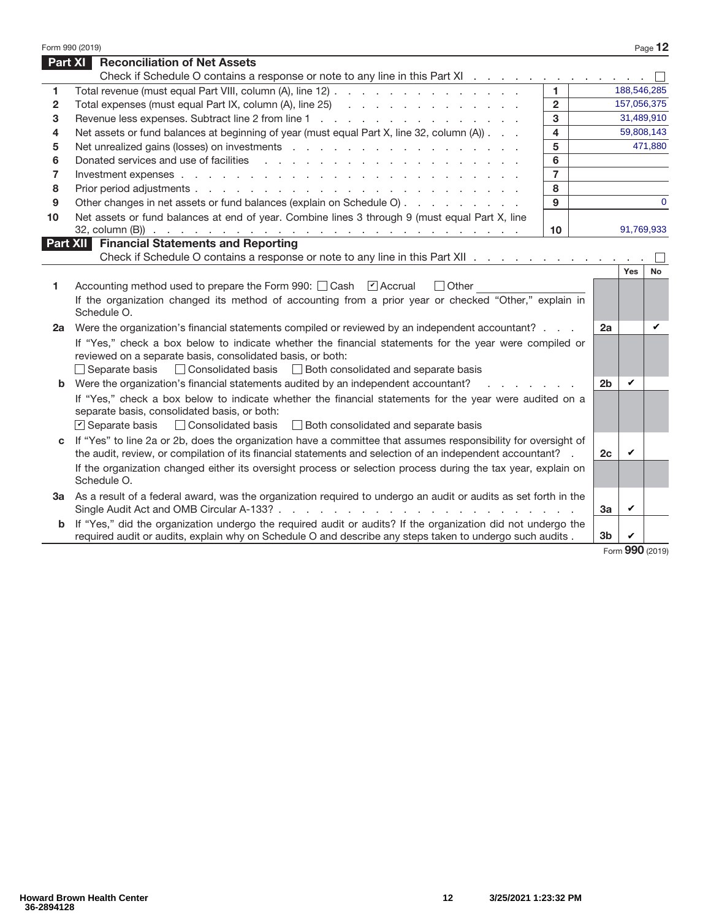|                 | Form 990 (2019)                                                                                                                                                                                                                                                          |                 |                |             | Page 12      |
|-----------------|--------------------------------------------------------------------------------------------------------------------------------------------------------------------------------------------------------------------------------------------------------------------------|-----------------|----------------|-------------|--------------|
| Part XI         | <b>Reconciliation of Net Assets</b>                                                                                                                                                                                                                                      |                 |                |             |              |
|                 | Check if Schedule O contains a response or note to any line in this Part XI                                                                                                                                                                                              |                 |                |             |              |
| 1               | Total revenue (must equal Part VIII, column (A), line 12)                                                                                                                                                                                                                | $\blacksquare$  |                | 188,546,285 |              |
| $\mathbf{2}$    | Total expenses (must equal Part IX, column (A), line 25) (and a contact of a contact of a contact of the system of the system of the system of the system of the system of the system of the system of the system of the syste                                           | $\overline{2}$  |                | 157,056,375 |              |
| 3               |                                                                                                                                                                                                                                                                          | 3               |                | 31,489,910  |              |
| 4               | Net assets or fund balances at beginning of year (must equal Part X, line 32, column (A))                                                                                                                                                                                | 4               |                |             | 59,808,143   |
| 5               |                                                                                                                                                                                                                                                                          | 5               |                |             | 471,880      |
| 6               | Donated services and use of facilities<br>and the company of the company of the company of the company of the company of the company of the company of the company of the company of the company of the company of the company of the company of the company of the comp | 6               |                |             |              |
| $\overline{7}$  |                                                                                                                                                                                                                                                                          | $\overline{7}$  |                |             |              |
| 8               |                                                                                                                                                                                                                                                                          | 8               |                |             |              |
| 9               | Other changes in net assets or fund balances (explain on Schedule O)                                                                                                                                                                                                     | 9               |                |             | $\mathbf{0}$ |
| 10              | Net assets or fund balances at end of year. Combine lines 3 through 9 (must equal Part X, line                                                                                                                                                                           |                 |                |             |              |
|                 |                                                                                                                                                                                                                                                                          | 10 <sup>1</sup> |                | 91,769,933  |              |
| <b>Part XII</b> | <b>Financial Statements and Reporting</b>                                                                                                                                                                                                                                |                 |                |             |              |
|                 | Check if Schedule O contains a response or note to any line in this Part XII                                                                                                                                                                                             |                 |                |             |              |
|                 |                                                                                                                                                                                                                                                                          |                 |                | Yes         | No           |
| 1               | Accounting method used to prepare the Form 990: Cash [7] Accrual<br>$\Box$ Other                                                                                                                                                                                         |                 |                |             |              |
|                 | If the organization changed its method of accounting from a prior year or checked "Other," explain in<br>Schedule O.                                                                                                                                                     |                 |                |             |              |
| 2a              | Were the organization's financial statements compiled or reviewed by an independent accountant?                                                                                                                                                                          |                 | 2a             |             | ✔            |
|                 | If "Yes," check a box below to indicate whether the financial statements for the year were compiled or                                                                                                                                                                   |                 |                |             |              |
|                 | reviewed on a separate basis, consolidated basis, or both:                                                                                                                                                                                                               |                 |                |             |              |
|                 | □ Consolidated basis □ Both consolidated and separate basis<br>$\Box$ Separate basis                                                                                                                                                                                     |                 |                |             |              |
|                 | <b>b</b> Were the organization's financial statements audited by an independent accountant?                                                                                                                                                                              |                 | 2 <sub>b</sub> | V           |              |
|                 | If "Yes," check a box below to indicate whether the financial statements for the year were audited on a                                                                                                                                                                  |                 |                |             |              |
|                 | separate basis, consolidated basis, or both:                                                                                                                                                                                                                             |                 |                |             |              |
|                 | $\triangleright$ Separate basis<br>□ Consolidated basis □ Both consolidated and separate basis                                                                                                                                                                           |                 |                |             |              |
| C.              | If "Yes" to line 2a or 2b, does the organization have a committee that assumes responsibility for oversight of                                                                                                                                                           |                 |                |             |              |
|                 | the audit, review, or compilation of its financial statements and selection of an independent accountant? .                                                                                                                                                              |                 | 2c             | ✓           |              |
|                 | If the organization changed either its oversight process or selection process during the tax year, explain on                                                                                                                                                            |                 |                |             |              |
|                 | Schedule O.                                                                                                                                                                                                                                                              |                 |                |             |              |
|                 | 3a As a result of a federal award, was the organization required to undergo an audit or audits as set forth in the                                                                                                                                                       |                 |                |             |              |
|                 |                                                                                                                                                                                                                                                                          |                 | За             | V           |              |
| b               | If "Yes," did the organization undergo the required audit or audits? If the organization did not undergo the<br>required audit or audits, explain why on Schedule O and describe any steps taken to undergo such audits.                                                 |                 | 3 <sub>b</sub> | V           |              |
|                 |                                                                                                                                                                                                                                                                          |                 |                |             |              |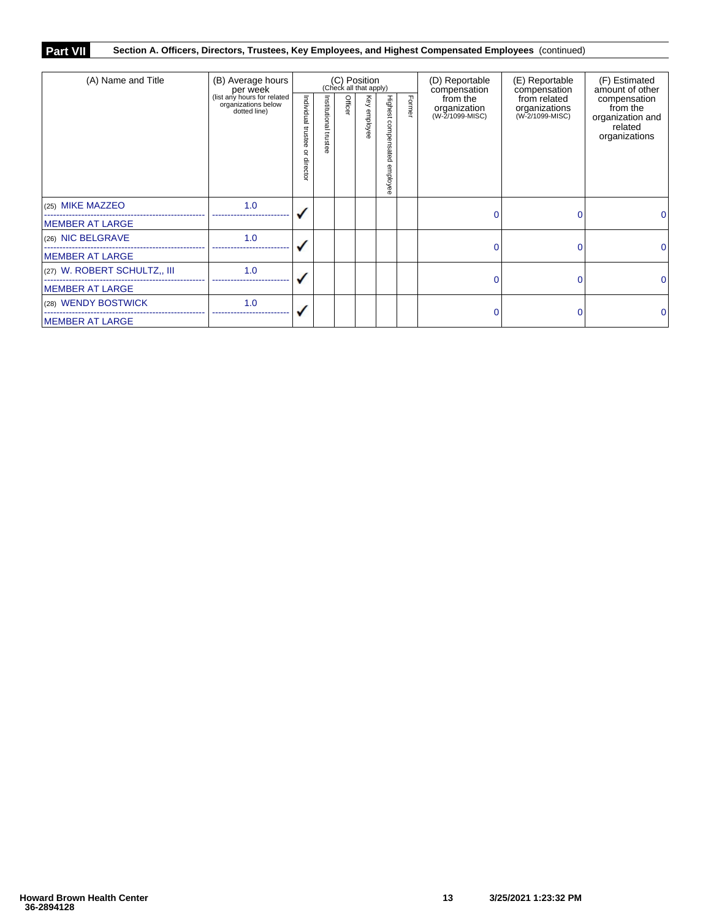## **Part VII Section A. Officers, Directors, Trustees, Key Employees, and Highest Compensated Employees** (continued)

| (A) Name and Title           | (B) Average hours                                                              | (C) Position<br>(Check all that apply)                                                     |  |                                 |        |                                             |                                                  | (D) Reportable<br>compensation                                           | (E) Reportable<br>compensation | (F) Estimated<br>amount of other |  |
|------------------------------|--------------------------------------------------------------------------------|--------------------------------------------------------------------------------------------|--|---------------------------------|--------|---------------------------------------------|--------------------------------------------------|--------------------------------------------------------------------------|--------------------------------|----------------------------------|--|
|                              | per week<br>(list any hours for related<br>organizations below<br>dotted line) | Individual<br>Institutional<br>Office<br>Key<br>employee<br>trustee<br>Itrustee<br>directo |  | Highest compensated<br>employee | Former | from the<br>organization<br>(W-2/1099-MISC) | from related<br>organizations<br>(W-2/1099-MISC) | compensation<br>from the<br>organization and<br>related<br>organizations |                                |                                  |  |
| (25) MIKE MAZZEO             | 1.0                                                                            |                                                                                            |  |                                 |        |                                             |                                                  | $\mathbf 0$                                                              | 0                              | 0                                |  |
| <b>IMEMBER AT LARGE</b>      |                                                                                |                                                                                            |  |                                 |        |                                             |                                                  |                                                                          |                                |                                  |  |
| (26) NIC BELGRAVE            | 1.0                                                                            |                                                                                            |  |                                 |        |                                             |                                                  | $\mathbf 0$                                                              | 0                              | 0                                |  |
| <b>MEMBER AT LARGE</b>       |                                                                                |                                                                                            |  |                                 |        |                                             |                                                  |                                                                          |                                |                                  |  |
| (27) W. ROBERT SCHULTZ,, III | 1.0                                                                            |                                                                                            |  |                                 |        |                                             |                                                  | $\mathbf 0$                                                              | 0                              | 0                                |  |
| <b>MEMBER AT LARGE</b>       |                                                                                |                                                                                            |  |                                 |        |                                             |                                                  |                                                                          |                                |                                  |  |
| (28) WENDY BOSTWICK          | 1.0                                                                            |                                                                                            |  |                                 |        |                                             |                                                  | $\mathbf 0$                                                              | 0                              | O                                |  |
| <b>MEMBER AT LARGE</b>       |                                                                                |                                                                                            |  |                                 |        |                                             |                                                  |                                                                          |                                |                                  |  |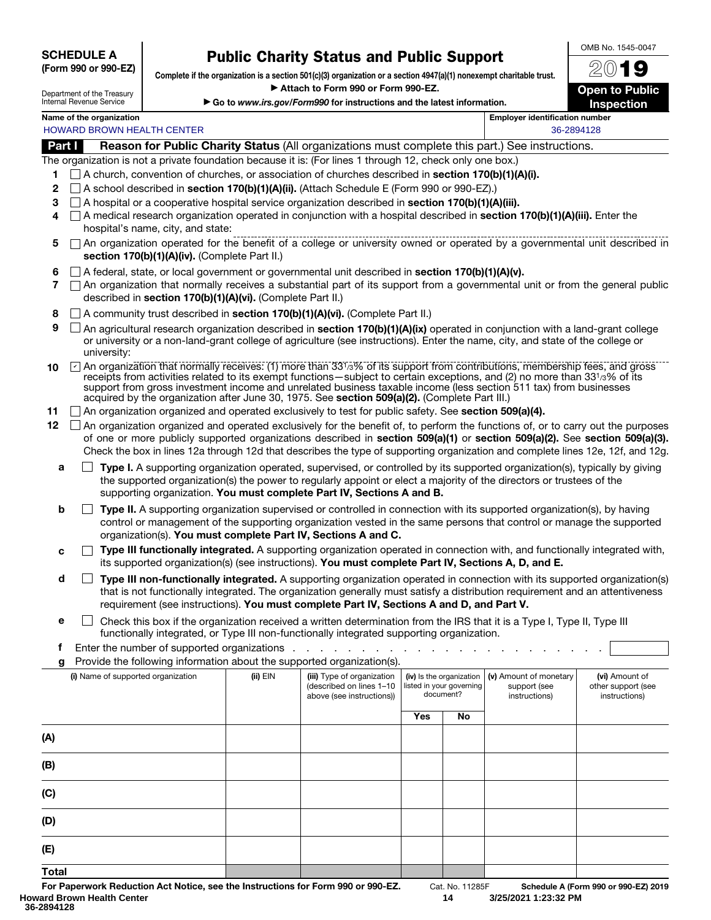## SCHEDULE A

### (Form 990 or 990-EZ)

# Public Charity Status and Public Support

Complete if the organization is a section 501(c)(3) organization or a section 4947(a)(1) nonexempt charitable trust. ▶ Attach to Form 990 or Form 990-EZ.

▶ Go to *www.irs.gov/Form990* for instructions and the latest information.

Open to Public Inspection

OMB No. 1545-0047 2019

| Department of the Treasury |
|----------------------------|
| Internal Revenue Service   |

| Name<br><b>organization</b><br>of the | <br>Emplover identification number |  |
|---------------------------------------|------------------------------------|--|

|        | <b>HOWARD BROWN HEALTH CENTER</b>                                                                      | 36-2894128 |
|--------|--------------------------------------------------------------------------------------------------------|------------|
| Part I | <b>Reason for Public Charity Status (All organizations must complete this part.) See instructions.</b> |            |

The organization is not a private foundation because it is: (For lines 1 through 12, check only one box.)

- 1  $\Box$  A church, convention of churches, or association of churches described in **section 170(b)(1)(A)(i).**
- 2  $\Box$  A school described in section 170(b)(1)(A)(ii). (Attach Schedule E (Form 990 or 990-EZ).)
- 3  $\Box$  A hospital or a cooperative hospital service organization described in section 170(b)(1)(A)(iii).
- 4  $\Box$  A medical research organization operated in conjunction with a hospital described in section 170(b)(1)(A)(iii). Enter the hospital's name, city, and state:
- 5 An organization operated for the benefit of a college or university owned or operated by a governmental unit described in section 170(b)(1)(A)(iv). (Complete Part II.)
- 6  $\Box$  A federal, state, or local government or governmental unit described in section 170(b)(1)(A)(v).
- $7 \cap$  An organization that normally receives a substantial part of its support from a governmental unit or from the general public described in section 170(b)(1)(A)(vi). (Complete Part II.)
- 8 A community trust described in section 170(b)(1)(A)(vi). (Complete Part II.)
- **9**  $\Box$  An agricultural research organization described in **section 170(b)(1)(A)(ix)** operated in conjunction with a land-grant college or university or a non-land-grant college of agriculture (see instructions). Enter the name, city, and state of the college or university:
- 10  $\Box$  An organization that normally receives: (1) more than 331/3% of its support from contributions, membership fees, and gross receipts from activities related to its exempt functions—subject to certain exceptions, and (2) no more than 331/3% of its support from gross investment income and unrelated business taxable income (less section 511 tax) from businesses acquired by the organization after June 30, 1975. See section 509(a)(2). (Complete Part III.)
- 11 An organization organized and operated exclusively to test for public safety. See section 509(a)(4).
- 12 An organization organized and operated exclusively for the benefit of, to perform the functions of, or to carry out the purposes of one or more publicly supported organizations described in section 509(a)(1) or section 509(a)(2). See section 509(a)(3). Check the box in lines 12a through 12d that describes the type of supporting organization and complete lines 12e, 12f, and 12g.
	- **a**  $\Box$  **Type I.** A supporting organization operated, supervised, or controlled by its supported organization(s), typically by giving the supported organization(s) the power to regularly appoint or elect a majority of the directors or trustees of the supporting organization. You must complete Part IV, Sections A and B.
	- **b**  $\Box$  Type II. A supporting organization supervised or controlled in connection with its supported organization(s), by having control or management of the supporting organization vested in the same persons that control or manage the supported organization(s). You must complete Part IV, Sections A and C.
	- $c \Box$  Type III functionally integrated. A supporting organization operated in connection with, and functionally integrated with, its supported organization(s) (see instructions). You must complete Part IV, Sections A, D, and E.
	- $\Box$  Type III non-functionally integrated. A supporting organization operated in connection with its supported organization(s) that is not functionally integrated. The organization generally must satisfy a distribution requirement and an attentiveness requirement (see instructions). You must complete Part IV, Sections A and D, and Part V.
	- **e**  $\Box$  Check this box if the organization received a written determination from the IRS that it is a Type I, Type II, Type III functionally integrated, or Type III non-functionally integrated supporting organization.
	- f Enter the number of supported organizations . . . . . .
	- Provide the following information about the supported organization(s).

| э<br>Trovide the following implifiation about the supported organization(s). |          |                                                                                     |                                                                   |    |  |  |                                                         |                                                       |  |  |
|------------------------------------------------------------------------------|----------|-------------------------------------------------------------------------------------|-------------------------------------------------------------------|----|--|--|---------------------------------------------------------|-------------------------------------------------------|--|--|
| (i) Name of supported organization                                           | (ii) EIN | (iii) Type of organization<br>(described on lines 1-10<br>above (see instructions)) | (iv) Is the organization<br>listed in your governing<br>document? |    |  |  | (v) Amount of monetary<br>support (see<br>instructions) | (vi) Amount of<br>other support (see<br>instructions) |  |  |
|                                                                              |          |                                                                                     | <b>Yes</b>                                                        | No |  |  |                                                         |                                                       |  |  |
| (A)                                                                          |          |                                                                                     |                                                                   |    |  |  |                                                         |                                                       |  |  |
| (B)                                                                          |          |                                                                                     |                                                                   |    |  |  |                                                         |                                                       |  |  |
| (C)                                                                          |          |                                                                                     |                                                                   |    |  |  |                                                         |                                                       |  |  |
| (D)                                                                          |          |                                                                                     |                                                                   |    |  |  |                                                         |                                                       |  |  |
| (E)                                                                          |          |                                                                                     |                                                                   |    |  |  |                                                         |                                                       |  |  |
| <b>Total</b>                                                                 |          |                                                                                     |                                                                   |    |  |  |                                                         |                                                       |  |  |

**14 3/25/2021 1:23:32 PM**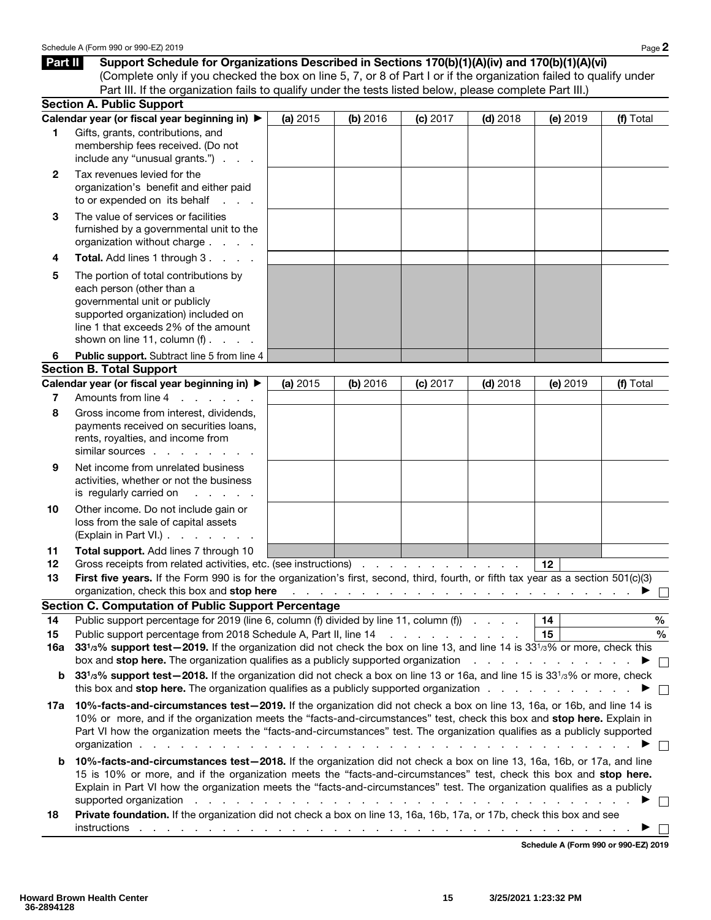Part II Support Schedule for Organizations Described in Sections 170(b)(1)(A)(iv) and 170(b)(1)(A)(vi) (Complete only if you checked the box on line 5, 7, or 8 of Part I or if the organization failed to qualify under Part III. If the organization fails to qualify under the tests listed below, please complete Part III.)

|                | <b>Section A. Public Support</b>                                                                                                                                                                                                                                                                                                                                                                                                                     |                   |                                          |                                     |            |          |                                      |  |
|----------------|------------------------------------------------------------------------------------------------------------------------------------------------------------------------------------------------------------------------------------------------------------------------------------------------------------------------------------------------------------------------------------------------------------------------------------------------------|-------------------|------------------------------------------|-------------------------------------|------------|----------|--------------------------------------|--|
|                | Calendar year (or fiscal year beginning in) ▶                                                                                                                                                                                                                                                                                                                                                                                                        | (a) 2015          | (b) 2016                                 | (c) 2017                            | $(d)$ 2018 | (e) 2019 | (f) Total                            |  |
| 1.             | Gifts, grants, contributions, and<br>membership fees received. (Do not<br>include any "unusual grants.")                                                                                                                                                                                                                                                                                                                                             |                   |                                          |                                     |            |          |                                      |  |
| $\mathbf{2}$   | Tax revenues levied for the<br>organization's benefit and either paid<br>to or expended on its behalf<br><b>Contract Contract</b>                                                                                                                                                                                                                                                                                                                    |                   |                                          |                                     |            |          |                                      |  |
| 3              | The value of services or facilities<br>furnished by a governmental unit to the<br>organization without charge                                                                                                                                                                                                                                                                                                                                        |                   |                                          |                                     |            |          |                                      |  |
| 4              | Total. Add lines 1 through 3.                                                                                                                                                                                                                                                                                                                                                                                                                        |                   |                                          |                                     |            |          |                                      |  |
| 5              | The portion of total contributions by<br>each person (other than a<br>governmental unit or publicly<br>supported organization) included on<br>line 1 that exceeds 2% of the amount<br>shown on line 11, column $(f)$ .                                                                                                                                                                                                                               |                   |                                          |                                     |            |          |                                      |  |
| 6              | Public support. Subtract line 5 from line 4                                                                                                                                                                                                                                                                                                                                                                                                          |                   |                                          |                                     |            |          |                                      |  |
|                | <b>Section B. Total Support</b>                                                                                                                                                                                                                                                                                                                                                                                                                      |                   |                                          |                                     |            |          |                                      |  |
|                | Calendar year (or fiscal year beginning in) ▶                                                                                                                                                                                                                                                                                                                                                                                                        | (a) 2015          | (b) 2016                                 | (c) 2017                            | $(d)$ 2018 | (e) 2019 | (f) Total                            |  |
| $\overline{7}$ | Amounts from line 4<br>and the contract of the con-                                                                                                                                                                                                                                                                                                                                                                                                  |                   |                                          |                                     |            |          |                                      |  |
| 8              | Gross income from interest, dividends,<br>payments received on securities loans,<br>rents, royalties, and income from<br>similar sources                                                                                                                                                                                                                                                                                                             |                   |                                          |                                     |            |          |                                      |  |
| 9              | Net income from unrelated business<br>activities, whether or not the business<br>is regularly carried on<br>and a state of                                                                                                                                                                                                                                                                                                                           |                   |                                          |                                     |            |          |                                      |  |
| 10             | Other income. Do not include gain or<br>loss from the sale of capital assets<br>(Explain in Part VI.)                                                                                                                                                                                                                                                                                                                                                |                   |                                          |                                     |            |          |                                      |  |
| 11             | Total support. Add lines 7 through 10                                                                                                                                                                                                                                                                                                                                                                                                                |                   |                                          |                                     |            |          |                                      |  |
| 12             | Gross receipts from related activities, etc. (see instructions)                                                                                                                                                                                                                                                                                                                                                                                      |                   |                                          |                                     |            | 12       |                                      |  |
| 13             | First five years. If the Form 990 is for the organization's first, second, third, fourth, or fifth tax year as a section 501(c)(3)<br>organization, check this box and stop here<br><b>Section C. Computation of Public Support Percentage</b>                                                                                                                                                                                                       |                   |                                          |                                     |            |          |                                      |  |
| 14             | Public support percentage for 2019 (line 6, column (f) divided by line 11, column (f)                                                                                                                                                                                                                                                                                                                                                                |                   |                                          |                                     |            | 14       | $\%$                                 |  |
| 15             | Public support percentage from 2018 Schedule A, Part II, line 14                                                                                                                                                                                                                                                                                                                                                                                     |                   |                                          | the contract of the contract of the |            | 15       | $\%$                                 |  |
| 16a            | 331/3% support test-2019. If the organization did not check the box on line 13, and line 14 is 331/3% or more, check this                                                                                                                                                                                                                                                                                                                            |                   |                                          |                                     |            |          |                                      |  |
|                | box and stop here. The organization qualifies as a publicly supported organization                                                                                                                                                                                                                                                                                                                                                                   |                   |                                          |                                     |            |          |                                      |  |
| b              | 331/3% support test-2018. If the organization did not check a box on line 13 or 16a, and line 15 is 331/3% or more, check<br>this box and <b>stop here.</b> The organization qualifies as a publicly supported organization $\ldots$ , $\ldots$                                                                                                                                                                                                      |                   |                                          |                                     |            |          |                                      |  |
| 17а            | 10%-facts-and-circumstances test-2019. If the organization did not check a box on line 13, 16a, or 16b, and line 14 is<br>10% or more, and if the organization meets the "facts-and-circumstances" test, check this box and stop here. Explain in<br>Part VI how the organization meets the "facts-and-circumstances" test. The organization qualifies as a publicly supported<br>organization.<br>the contract of the contract of<br><b>Service</b> |                   |                                          |                                     |            |          |                                      |  |
| b              | 10%-facts-and-circumstances test-2018. If the organization did not check a box on line 13, 16a, 16b, or 17a, and line<br>15 is 10% or more, and if the organization meets the "facts-and-circumstances" test, check this box and stop here.<br>Explain in Part VI how the organization meets the "facts-and-circumstances" test. The organization qualifies as a publicly<br>supported organization                                                  | <b>Carl Corp.</b> | the contract of the contract of the con- |                                     |            |          |                                      |  |
| 18             | Private foundation. If the organization did not check a box on line 13, 16a, 16b, 17a, or 17b, check this box and see                                                                                                                                                                                                                                                                                                                                |                   |                                          |                                     |            |          |                                      |  |
|                |                                                                                                                                                                                                                                                                                                                                                                                                                                                      |                   |                                          |                                     |            |          | Schedule A (Form 990 or 990-EZ) 2019 |  |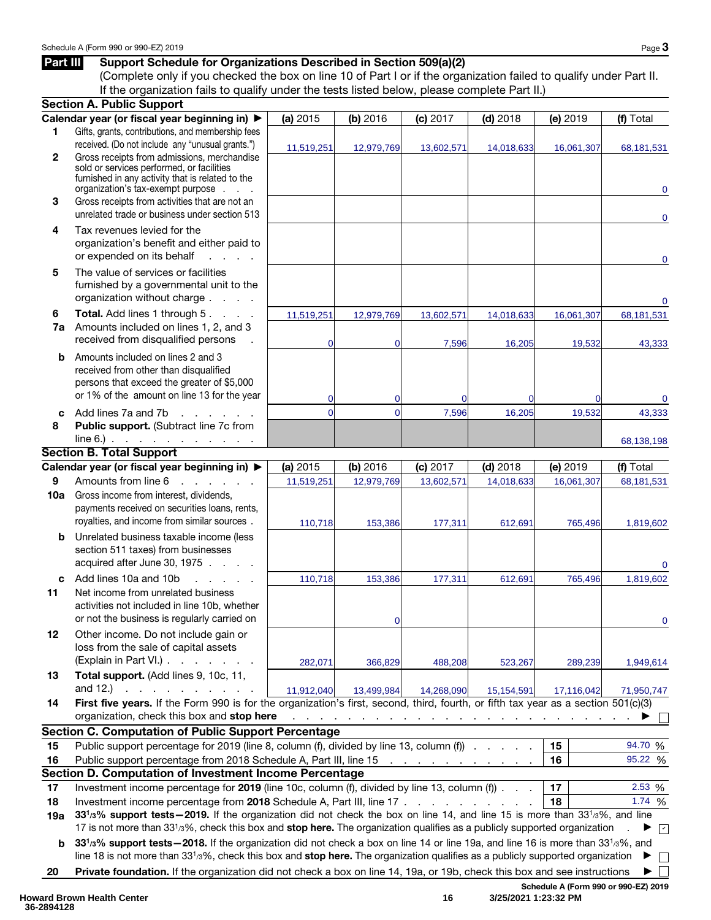### Part III Support Schedule for Organizations Described in Section 509(a)(2)

(Complete only if you checked the box on line 10 of Part I or if the organization failed to qualify under Part II. If the organization fails to qualify under the tests listed below, please complete Part II.)

|              | <b>Section A. Public Support</b>                                                                                                                                                                                                                                                                   |                |                |                                                                                     |            |                                      |                   |
|--------------|----------------------------------------------------------------------------------------------------------------------------------------------------------------------------------------------------------------------------------------------------------------------------------------------------|----------------|----------------|-------------------------------------------------------------------------------------|------------|--------------------------------------|-------------------|
|              | Calendar year (or fiscal year beginning in) ▶                                                                                                                                                                                                                                                      | (a) 2015       | (b) 2016       | (c) 2017                                                                            | $(d)$ 2018 | (e) 2019                             | (f) Total         |
| 1            | Gifts, grants, contributions, and membership fees                                                                                                                                                                                                                                                  |                |                |                                                                                     |            |                                      |                   |
|              | received. (Do not include any "unusual grants.")                                                                                                                                                                                                                                                   | 11,519,251     | 12,979,769     | 13,602,571                                                                          | 14,018,633 | 16,061,307                           | 68,181,531        |
| $\mathbf{2}$ | Gross receipts from admissions, merchandise<br>sold or services performed, or facilities                                                                                                                                                                                                           |                |                |                                                                                     |            |                                      |                   |
|              | furnished in any activity that is related to the                                                                                                                                                                                                                                                   |                |                |                                                                                     |            |                                      |                   |
|              | organization's tax-exempt purpose                                                                                                                                                                                                                                                                  |                |                |                                                                                     |            |                                      | $\mathbf 0$       |
| 3            | Gross receipts from activities that are not an                                                                                                                                                                                                                                                     |                |                |                                                                                     |            |                                      |                   |
|              | unrelated trade or business under section 513                                                                                                                                                                                                                                                      |                |                |                                                                                     |            |                                      | $\mathbf 0$       |
| 4            | Tax revenues levied for the                                                                                                                                                                                                                                                                        |                |                |                                                                                     |            |                                      |                   |
|              | organization's benefit and either paid to                                                                                                                                                                                                                                                          |                |                |                                                                                     |            |                                      |                   |
|              | or expended on its behalf                                                                                                                                                                                                                                                                          |                |                |                                                                                     |            |                                      | $\mathbf 0$       |
| 5            | The value of services or facilities                                                                                                                                                                                                                                                                |                |                |                                                                                     |            |                                      |                   |
|              | furnished by a governmental unit to the                                                                                                                                                                                                                                                            |                |                |                                                                                     |            |                                      |                   |
|              | organization without charge.<br>$\mathcal{L}=\mathcal{L}=\mathcal{L}$                                                                                                                                                                                                                              |                |                |                                                                                     |            |                                      | $\mathbf 0$       |
| 6            | Total. Add lines 1 through 5.                                                                                                                                                                                                                                                                      | 11,519,251     | 12,979,769     | 13,602,571                                                                          | 14,018,633 | 16,061,307                           | 68,181,531        |
| 7a           | Amounts included on lines 1, 2, and 3                                                                                                                                                                                                                                                              |                |                |                                                                                     |            |                                      |                   |
|              | received from disqualified persons                                                                                                                                                                                                                                                                 | $\Omega$       | $\mathbf 0$    | 7,596                                                                               | 16,205     | 19,532                               | 43,333            |
| b            | Amounts included on lines 2 and 3                                                                                                                                                                                                                                                                  |                |                |                                                                                     |            |                                      |                   |
|              | received from other than disqualified<br>persons that exceed the greater of \$5,000                                                                                                                                                                                                                |                |                |                                                                                     |            |                                      |                   |
|              | or 1% of the amount on line 13 for the year                                                                                                                                                                                                                                                        |                |                |                                                                                     |            |                                      |                   |
|              |                                                                                                                                                                                                                                                                                                    | $\Omega$       | $\mathbf 0$    | $\Omega$                                                                            | $\Omega$   | 0                                    | 0                 |
| c<br>8       | Add lines 7a and 7b<br>$\mathbf{r}$ . The set of the set of the set of the set of the set of the set of the set of the set of the set of the set of the set of the set of the set of the set of the set of the set of the set of the set of the set of t<br>Public support. (Subtract line 7c from | $\overline{0}$ | $\overline{0}$ | 7,596                                                                               | 16,205     | 19,532                               | 43,333            |
|              | $line 6.)$ $\ldots$ $\ldots$ $\ldots$ $\ldots$                                                                                                                                                                                                                                                     |                |                |                                                                                     |            |                                      |                   |
|              | <b>Section B. Total Support</b>                                                                                                                                                                                                                                                                    |                |                |                                                                                     |            |                                      | 68,138,198        |
|              | Calendar year (or fiscal year beginning in) ▶                                                                                                                                                                                                                                                      | (a) 2015       | (b) 2016       | (c) 2017                                                                            | $(d)$ 2018 | (e) 2019                             | (f) Total         |
| 9            | Amounts from line 6<br>$\mathcal{L}^{\mathcal{A}}$ , and $\mathcal{L}^{\mathcal{A}}$ , and $\mathcal{L}^{\mathcal{A}}$                                                                                                                                                                             | 11,519,251     | 12,979,769     | 13,602,571                                                                          | 14,018,633 | 16,061,307                           | 68,181,531        |
| 10a          | Gross income from interest, dividends,                                                                                                                                                                                                                                                             |                |                |                                                                                     |            |                                      |                   |
|              | payments received on securities loans, rents,                                                                                                                                                                                                                                                      |                |                |                                                                                     |            |                                      |                   |
|              | royalties, and income from similar sources.                                                                                                                                                                                                                                                        | 110,718        | 153,386        | 177,311                                                                             | 612,691    | 765,496                              | 1,819,602         |
| b            | Unrelated business taxable income (less                                                                                                                                                                                                                                                            |                |                |                                                                                     |            |                                      |                   |
|              | section 511 taxes) from businesses                                                                                                                                                                                                                                                                 |                |                |                                                                                     |            |                                      |                   |
|              | acquired after June 30, 1975                                                                                                                                                                                                                                                                       |                |                |                                                                                     |            |                                      | 0                 |
| c            | Add lines 10a and 10b<br>and a state of                                                                                                                                                                                                                                                            | 110,718        | 153,386        | 177,311                                                                             | 612,691    | 765,496                              | 1,819,602         |
| 11           | Net income from unrelated business                                                                                                                                                                                                                                                                 |                |                |                                                                                     |            |                                      |                   |
|              | activities not included in line 10b, whether                                                                                                                                                                                                                                                       |                |                |                                                                                     |            |                                      |                   |
|              | or not the business is regularly carried on                                                                                                                                                                                                                                                        |                | $\Omega$       |                                                                                     |            |                                      | 0                 |
| 12           | Other income. Do not include gain or                                                                                                                                                                                                                                                               |                |                |                                                                                     |            |                                      |                   |
|              | loss from the sale of capital assets                                                                                                                                                                                                                                                               |                |                |                                                                                     |            |                                      |                   |
|              | (Explain in Part VI.).<br>and a state of the state                                                                                                                                                                                                                                                 | 282,071        | 366,829        | 488,208                                                                             | 523,267    | 289,239                              | 1,949,614         |
| 13           | Total support. (Add lines 9, 10c, 11,                                                                                                                                                                                                                                                              |                |                |                                                                                     |            |                                      |                   |
|              | and $12.$ )<br>the contract of the contract of                                                                                                                                                                                                                                                     | 11,912,040     | 13,499,984     | 14,268,090                                                                          | 15,154,591 | 17,116,042                           | 71,950,747        |
| 14           | First five years. If the Form 990 is for the organization's first, second, third, fourth, or fifth tax year as a section 501(c)(3)<br>organization, check this box and stop here                                                                                                                   |                |                |                                                                                     |            |                                      |                   |
|              | <b>Section C. Computation of Public Support Percentage</b>                                                                                                                                                                                                                                         |                |                | and the contract of the contract of the contract of the contract of the contract of |            |                                      |                   |
| 15           | Public support percentage for 2019 (line 8, column (f), divided by line 13, column (f))                                                                                                                                                                                                            |                |                |                                                                                     |            | 15                                   | 94.70 %           |
| 16           | Public support percentage from 2018 Schedule A, Part III, line 15                                                                                                                                                                                                                                  |                |                | and a series of the company of the                                                  |            | 16                                   | 95.22 %           |
|              | Section D. Computation of Investment Income Percentage                                                                                                                                                                                                                                             |                |                |                                                                                     |            |                                      |                   |
| 17           | Investment income percentage for 2019 (line 10c, column (f), divided by line 13, column (f))                                                                                                                                                                                                       |                |                |                                                                                     |            | 17                                   | 2.53 %            |
| 18           | Investment income percentage from 2018 Schedule A, Part III, line 17                                                                                                                                                                                                                               |                |                |                                                                                     |            | 18                                   | 1.74%             |
| 19a          | 331/3% support tests - 2019. If the organization did not check the box on line 14, and line 15 is more than 331/3%, and line                                                                                                                                                                       |                |                |                                                                                     |            |                                      |                   |
|              | 17 is not more than 33 <sup>1</sup> /3%, check this box and stop here. The organization qualifies as a publicly supported organization                                                                                                                                                             |                |                |                                                                                     |            |                                      | $\mathbf{v}$<br>▸ |
| b            | 331/3% support tests - 2018. If the organization did not check a box on line 14 or line 19a, and line 16 is more than 331/3%, and                                                                                                                                                                  |                |                |                                                                                     |            |                                      |                   |
|              | line 18 is not more than $3313%$ , check this box and stop here. The organization qualifies as a publicly supported organization                                                                                                                                                                   |                |                |                                                                                     |            |                                      |                   |
| 20           | Private foundation. If the organization did not check a box on line 14, 19a, or 19b, check this box and see instructions                                                                                                                                                                           |                |                |                                                                                     |            |                                      |                   |
|              |                                                                                                                                                                                                                                                                                                    |                |                |                                                                                     |            | Schedule A (Form 990 or 990-EZ) 2019 |                   |

**16 3/25/2021 1:23:32 PM**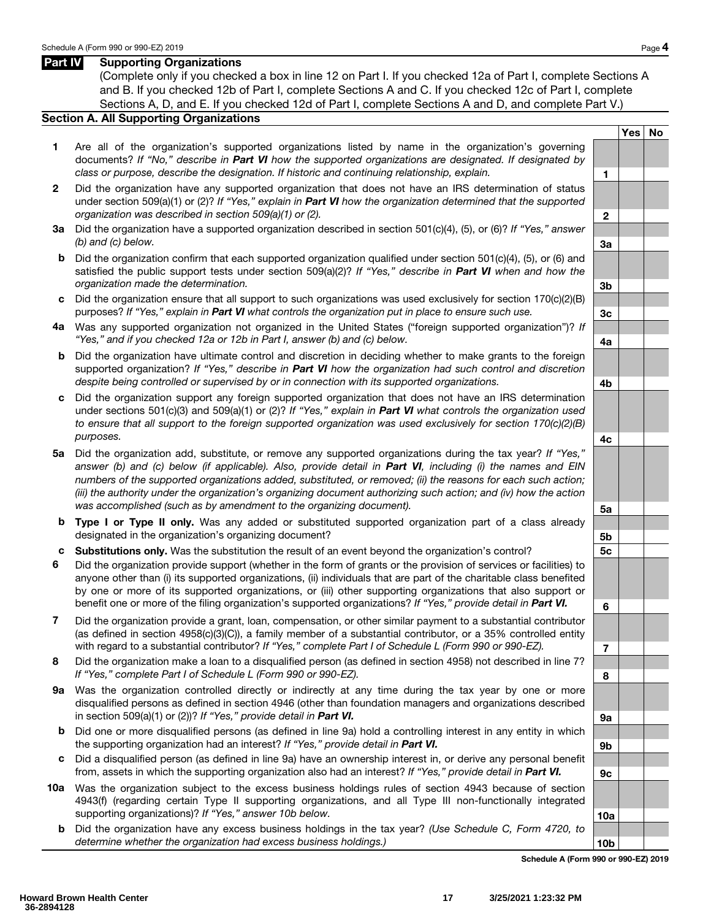### Part **IV** Supporting Organizations

(Complete only if you checked a box in line 12 on Part I. If you checked 12a of Part I, complete Sections A and B. If you checked 12b of Part I, complete Sections A and C. If you checked 12c of Part I, complete Sections A, D, and E. If you checked 12d of Part I, complete Sections A and D, and complete Part V.)

### Section A. All Supporting Organizations

- 1 Are all of the organization's supported organizations listed by name in the organization's governing documents? *If "No," describe in Part VI how the supported organizations are designated. If designated by class or purpose, describe the designation. If historic and continuing relationship, explain.* 1
- 2 Did the organization have any supported organization that does not have an IRS determination of status under section 509(a)(1) or (2)? *If "Yes," explain in Part VI how the organization determined that the supported organization was described in section 509(a)(1) or (2).* 2
- 3a Did the organization have a supported organization described in section 501(c)(4), (5), or (6)? *If "Yes," answer (b) and (c) below.* 3a
- b Did the organization confirm that each supported organization qualified under section 501(c)(4), (5), or (6) and satisfied the public support tests under section 509(a)(2)? *If "Yes," describe in Part VI when and how the organization made the determination.* 3b
- c Did the organization ensure that all support to such organizations was used exclusively for section  $170(c)(2)(B)$ purposes? *If "Yes," explain in Part VI what controls the organization put in place to ensure such use.*  $3c$
- 4a Was any supported organization not organized in the United States ("foreign supported organization")? *If "Yes," and if you checked 12a or 12b in Part I, answer (b) and (c) below.* 4a
- b Did the organization have ultimate control and discretion in deciding whether to make grants to the foreign supported organization? *If "Yes," describe in Part VI how the organization had such control and discretion despite being controlled or supervised by or in connection with its supported organizations.* 4b
- c Did the organization support any foreign supported organization that does not have an IRS determination under sections 501(c)(3) and 509(a)(1) or (2)? *If "Yes," explain in Part VI what controls the organization used to ensure that all support to the foreign supported organization was used exclusively for section 170(c)(2)(B) purposes.* 4c
- 5a Did the organization add, substitute, or remove any supported organizations during the tax year? *If "Yes," answer (b) and (c) below (if applicable). Also, provide detail in Part VI, including (i) the names and EIN numbers of the supported organizations added, substituted, or removed; (ii) the reasons for each such action; (iii) the authority under the organization's organizing document authorizing such action; and (iv) how the action* was accomplished (such as by amendment to the organizing document).
- **b Type I or Type II only.** Was any added or substituted supported organization part of a class already designated in the organization's organizing document? **5b** solution is the state of the state of the state of the state of the state of the state of the state of the state of the state of the state of the state of the stat
- c Substitutions only. Was the substitution the result of an event beyond the organization's control? 5c
- 6 Did the organization provide support (whether in the form of grants or the provision of services or facilities) to anyone other than (i) its supported organizations, (ii) individuals that are part of the charitable class benefited by one or more of its supported organizations, or (iii) other supporting organizations that also support or benefit one or more of the filing organization's supported organizations? *If "Yes," provide detail in Part VI.* 6
- 7 Did the organization provide a grant, loan, compensation, or other similar payment to a substantial contributor (as defined in section 4958(c)(3)(C)), a family member of a substantial contributor, or a 35% controlled entity with regard to a substantial contributor? *If "Yes," complete Part I of Schedule L (Form 990 or 990-EZ).* 7
- 8 Did the organization make a loan to a disqualified person (as defined in section 4958) not described in line 7? *If "Yes," complete Part I of Schedule L (Form 990 or 990-EZ).* 8
- 9a Was the organization controlled directly or indirectly at any time during the tax year by one or more disqualified persons as defined in section 4946 (other than foundation managers and organizations described in section 509(a)(1) or (2))? *If "Yes," provide detail in Part VI.*  $\sqrt{2}$  9a
- b Did one or more disqualified persons (as defined in line 9a) hold a controlling interest in any entity in which the supporting organization had an interest? *If "Yes," provide detail in Part VI.* 9b
- c Did a disqualified person (as defined in line 9a) have an ownership interest in, or derive any personal benefit from, assets in which the supporting organization also had an interest? *If "Yes," provide detail in Part VI.* 9c
- 10a Was the organization subject to the excess business holdings rules of section 4943 because of section 4943(f) (regarding certain Type II supporting organizations, and all Type III non-functionally integrated supporting organizations)? *If "Yes," answer 10b below.* 10a http://www.facebook.com/inductions/inductions/inductions/inductions/inductions/inductions/inductions/inductions/inductions/inductions/inductions/inductions/induc
	- b Did the organization have any excess business holdings in the tax year? *(Use Schedule C, Form 4720, to*  determine whether the organization had excess business holdings.) 10b

Yes | No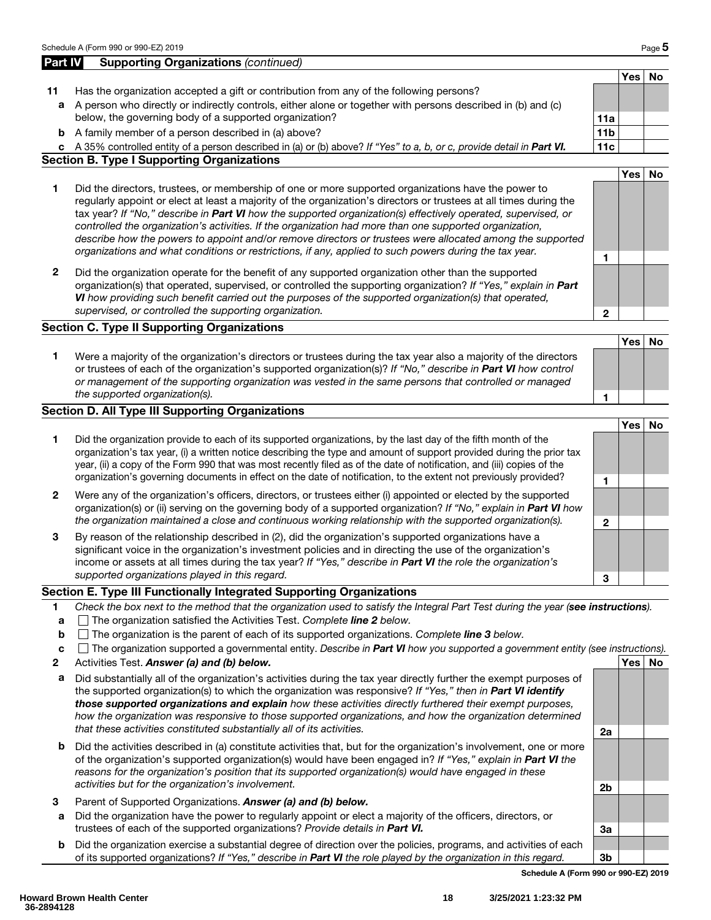| Part IV      | <b>Supporting Organizations (continued)</b>                                                                                                                                                                                                                                                                                                                                                                                                                                                                                                                                                                                                                                  |                 |       |           |
|--------------|------------------------------------------------------------------------------------------------------------------------------------------------------------------------------------------------------------------------------------------------------------------------------------------------------------------------------------------------------------------------------------------------------------------------------------------------------------------------------------------------------------------------------------------------------------------------------------------------------------------------------------------------------------------------------|-----------------|-------|-----------|
|              |                                                                                                                                                                                                                                                                                                                                                                                                                                                                                                                                                                                                                                                                              |                 | Yes   | No        |
| 11           | Has the organization accepted a gift or contribution from any of the following persons?                                                                                                                                                                                                                                                                                                                                                                                                                                                                                                                                                                                      |                 |       |           |
| a            | A person who directly or indirectly controls, either alone or together with persons described in (b) and (c)<br>below, the governing body of a supported organization?                                                                                                                                                                                                                                                                                                                                                                                                                                                                                                       | 11a             |       |           |
| b            | A family member of a person described in (a) above?                                                                                                                                                                                                                                                                                                                                                                                                                                                                                                                                                                                                                          | 11 <sub>b</sub> |       |           |
|              | c A 35% controlled entity of a person described in (a) or (b) above? If "Yes" to a, b, or c, provide detail in Part VI.                                                                                                                                                                                                                                                                                                                                                                                                                                                                                                                                                      | 11c             |       |           |
|              | <b>Section B. Type I Supporting Organizations</b>                                                                                                                                                                                                                                                                                                                                                                                                                                                                                                                                                                                                                            |                 |       |           |
|              |                                                                                                                                                                                                                                                                                                                                                                                                                                                                                                                                                                                                                                                                              |                 | Yes l | <b>No</b> |
| 1            | Did the directors, trustees, or membership of one or more supported organizations have the power to<br>regularly appoint or elect at least a majority of the organization's directors or trustees at all times during the<br>tax year? If "No," describe in Part VI how the supported organization(s) effectively operated, supervised, or<br>controlled the organization's activities. If the organization had more than one supported organization,<br>describe how the powers to appoint and/or remove directors or trustees were allocated among the supported<br>organizations and what conditions or restrictions, if any, applied to such powers during the tax year. |                 |       |           |
| $\mathbf{2}$ | Did the organization operate for the benefit of any supported organization other than the supported<br>organization(s) that operated, supervised, or controlled the supporting organization? If "Yes," explain in Part<br>VI how providing such benefit carried out the purposes of the supported organization(s) that operated,<br>supervised, or controlled the supporting organization.                                                                                                                                                                                                                                                                                   | $\mathbf{2}$    |       |           |
|              | <b>Section C. Type II Supporting Organizations</b>                                                                                                                                                                                                                                                                                                                                                                                                                                                                                                                                                                                                                           |                 |       |           |
|              |                                                                                                                                                                                                                                                                                                                                                                                                                                                                                                                                                                                                                                                                              |                 | Yes   | <b>No</b> |
| 1            | Were a majority of the organization's directors or trustees during the tax year also a majority of the directors<br>or trustees of each of the organization's supported organization(s)? If "No," describe in Part VI how control<br>or management of the supporting organization was vested in the same persons that controlled or managed<br>the supported organization(s).                                                                                                                                                                                                                                                                                                |                 |       |           |

### Section D. All Type III Supporting Organizations

|              |                                                                                                                                                                                                                                                                                                                                                                                                                                                                                       |   | Yes. |  |
|--------------|---------------------------------------------------------------------------------------------------------------------------------------------------------------------------------------------------------------------------------------------------------------------------------------------------------------------------------------------------------------------------------------------------------------------------------------------------------------------------------------|---|------|--|
|              | Did the organization provide to each of its supported organizations, by the last day of the fifth month of the<br>organization's tax year, (i) a written notice describing the type and amount of support provided during the prior tax<br>year, (ii) a copy of the Form 990 that was most recently filed as of the date of notification, and (iii) copies of the<br>organization's governing documents in effect on the date of notification, to the extent not previously provided? |   |      |  |
| $\mathbf{2}$ | Were any of the organization's officers, directors, or trustees either (i) appointed or elected by the supported<br>organization(s) or (ii) serving on the governing body of a supported organization? If "No," explain in Part VI how<br>the organization maintained a close and continuous working relationship with the supported organization(s).                                                                                                                                 | 2 |      |  |
| 3            | By reason of the relationship described in (2), did the organization's supported organizations have a<br>significant voice in the organization's investment policies and in directing the use of the organization's<br>income or assets at all times during the tax year? If "Yes," describe in Part VI the role the organization's<br>supported organizations played in this regard.                                                                                                 | з |      |  |

### Section E. Type III Functionally Integrated Supporting Organizations

- 1 *Check the box next to the method that the organization used to satisfy the Integral Part Test during the year (see instructions).*
- a The organization satisfied the Activities Test. *Complete line 2 below.*
- b The organization is the parent of each of its supported organizations. *Complete line 3 below.*
- c The organization supported a governmental entity. *Describe in Part VI how you supported a government entity (see instructions).*
- 2 Activities Test. Answer (a) and (b) below. And the state of the state of the state of the state of the state of the state of the state of the state of the state of the state of the state of the state of the state of the
- a Did substantially all of the organization's activities during the tax year directly further the exempt purposes of the supported organization(s) to which the organization was responsive? *If "Yes," then in Part VI identify those supported organizations and explain how these activities directly furthered their exempt purposes, how the organization was responsive to those supported organizations, and how the organization determined that these activities constituted substantially all of its activities.* 2a
- b Did the activities described in (a) constitute activities that, but for the organization's involvement, one or more of the organization's supported organization(s) would have been engaged in? *If "Yes," explain in Part VI the reasons for the organization's position that its supported organization(s) would have engaged in these activities but for the organization's involvement.* 2b
- 3 Parent of Supported Organizations. *Answer (a) and (b) below.*
- a Did the organization have the power to regularly appoint or elect a majority of the officers, directors, or trustees of each of the supported organizations? *Provide details in Part VI.*  $\vert$  3a
- b Did the organization exercise a substantial degree of direction over the policies, programs, and activities of each of its supported organizations? *If "Yes," describe in Part VI the role played by the organization in this regard.* 3b

Schedule A (Form 990 or 990-EZ) 2019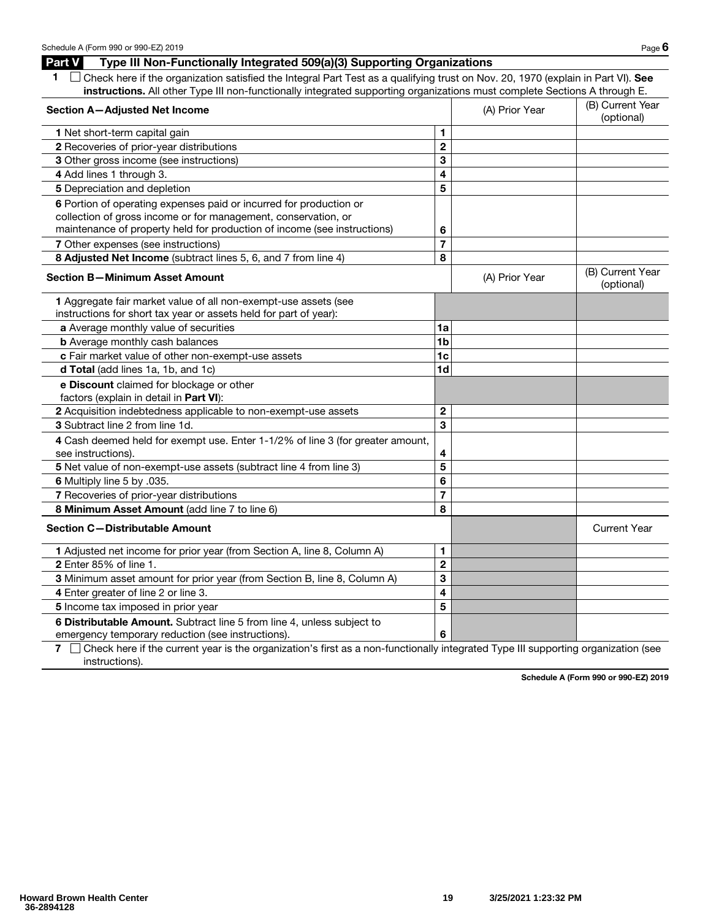$\overline{a}$ 

### Part V Type III Non-Functionally Integrated 509(a)(3) Supporting Organizations

| 1 <b>L</b> Check here if the organization satisfied the Integral Part Test as a qualifying trust on Nov. 20, 1970 (explain in Part VI). See |
|---------------------------------------------------------------------------------------------------------------------------------------------|
| instructions. All other Type III non-functionally integrated supporting organizations must complete Sections A through E.                   |

| Section A-Adjusted Net Income                                                                                                                                                                                    |                         | (A) Prior Year | (B) Current Year<br>(optional) |
|------------------------------------------------------------------------------------------------------------------------------------------------------------------------------------------------------------------|-------------------------|----------------|--------------------------------|
| 1 Net short-term capital gain                                                                                                                                                                                    | 1.                      |                |                                |
| 2 Recoveries of prior-year distributions                                                                                                                                                                         | $\overline{\mathbf{c}}$ |                |                                |
| 3 Other gross income (see instructions)                                                                                                                                                                          | 3                       |                |                                |
| 4 Add lines 1 through 3.                                                                                                                                                                                         | 4                       |                |                                |
| 5 Depreciation and depletion                                                                                                                                                                                     | 5                       |                |                                |
| 6 Portion of operating expenses paid or incurred for production or<br>collection of gross income or for management, conservation, or<br>maintenance of property held for production of income (see instructions) | 6                       |                |                                |
| 7 Other expenses (see instructions)                                                                                                                                                                              | $\overline{7}$          |                |                                |
| 8 Adjusted Net Income (subtract lines 5, 6, and 7 from line 4)                                                                                                                                                   | 8                       |                |                                |
| <b>Section B-Minimum Asset Amount</b>                                                                                                                                                                            |                         | (A) Prior Year | (B) Current Year<br>(optional) |
| 1 Aggregate fair market value of all non-exempt-use assets (see<br>instructions for short tax year or assets held for part of year):                                                                             |                         |                |                                |
| a Average monthly value of securities                                                                                                                                                                            | 1a                      |                |                                |
| <b>b</b> Average monthly cash balances                                                                                                                                                                           | 1 <sub>b</sub>          |                |                                |
| c Fair market value of other non-exempt-use assets                                                                                                                                                               | 1 <sub>c</sub>          |                |                                |
| d Total (add lines 1a, 1b, and 1c)                                                                                                                                                                               | 1 <sub>d</sub>          |                |                                |
| e Discount claimed for blockage or other<br>factors (explain in detail in Part VI):                                                                                                                              |                         |                |                                |
| 2 Acquisition indebtedness applicable to non-exempt-use assets                                                                                                                                                   | $\mathbf 2$             |                |                                |
| 3 Subtract line 2 from line 1d.                                                                                                                                                                                  | 3                       |                |                                |
| 4 Cash deemed held for exempt use. Enter 1-1/2% of line 3 (for greater amount,<br>see instructions).                                                                                                             | 4                       |                |                                |
| 5 Net value of non-exempt-use assets (subtract line 4 from line 3)                                                                                                                                               | 5                       |                |                                |
| 6 Multiply line 5 by .035.                                                                                                                                                                                       | 6                       |                |                                |
| 7 Recoveries of prior-year distributions                                                                                                                                                                         | $\overline{7}$          |                |                                |
| 8 Minimum Asset Amount (add line 7 to line 6)                                                                                                                                                                    | 8                       |                |                                |
| <b>Section C-Distributable Amount</b>                                                                                                                                                                            |                         |                | <b>Current Year</b>            |
| 1 Adjusted net income for prior year (from Section A, line 8, Column A)                                                                                                                                          | 1                       |                |                                |
| 2 Enter 85% of line 1.                                                                                                                                                                                           | $\mathbf 2$             |                |                                |
| 3 Minimum asset amount for prior year (from Section B, line 8, Column A)                                                                                                                                         | 3                       |                |                                |
| 4 Enter greater of line 2 or line 3.                                                                                                                                                                             | $\overline{\mathbf{4}}$ |                |                                |
| 5 Income tax imposed in prior year                                                                                                                                                                               | 5                       |                |                                |
| 6 Distributable Amount. Subtract line 5 from line 4, unless subject to<br>emergency temporary reduction (see instructions).                                                                                      | 6                       |                |                                |

7  $\Box$  Check here if the current year is the organization's first as a non-functionally integrated Type III supporting organization (see instructions).

Schedule A (Form 990 or 990-EZ) 2019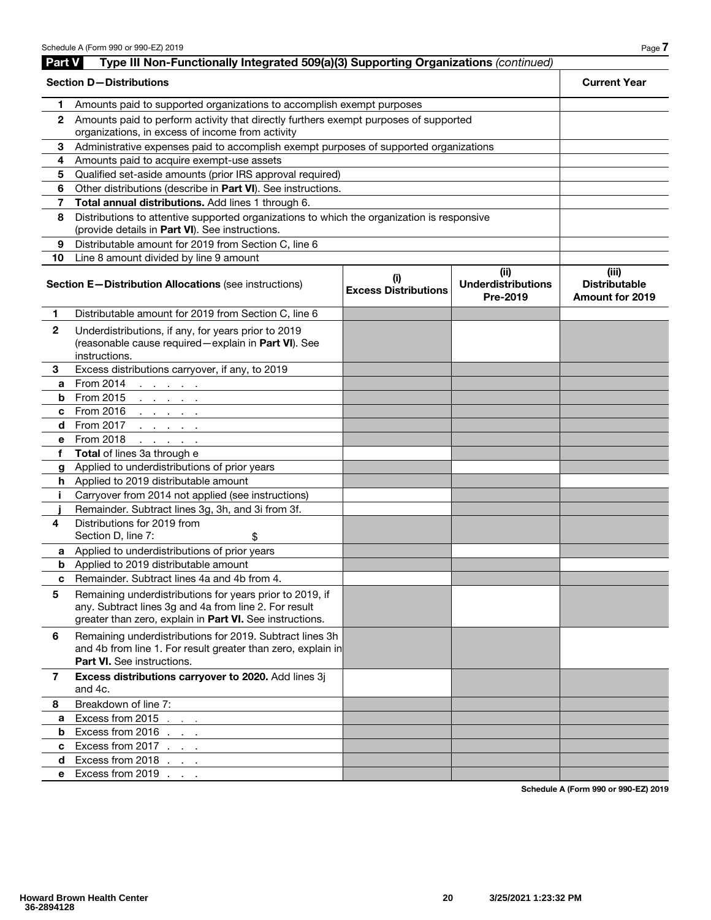| <b>Part V</b>  | Type III Non-Functionally Integrated 509(a)(3) Supporting Organizations (continued)                                                                                           |                                    |                                               |                                                         |
|----------------|-------------------------------------------------------------------------------------------------------------------------------------------------------------------------------|------------------------------------|-----------------------------------------------|---------------------------------------------------------|
|                | <b>Section D-Distributions</b>                                                                                                                                                |                                    |                                               | <b>Current Year</b>                                     |
| 1.             | Amounts paid to supported organizations to accomplish exempt purposes                                                                                                         |                                    |                                               |                                                         |
| $\mathbf{2}$   | Amounts paid to perform activity that directly furthers exempt purposes of supported<br>organizations, in excess of income from activity                                      |                                    |                                               |                                                         |
| 3              | Administrative expenses paid to accomplish exempt purposes of supported organizations                                                                                         |                                    |                                               |                                                         |
| 4              | Amounts paid to acquire exempt-use assets                                                                                                                                     |                                    |                                               |                                                         |
| 5              | Qualified set-aside amounts (prior IRS approval required)                                                                                                                     |                                    |                                               |                                                         |
| 6              | Other distributions (describe in Part VI). See instructions.                                                                                                                  |                                    |                                               |                                                         |
| 7              | Total annual distributions. Add lines 1 through 6.                                                                                                                            |                                    |                                               |                                                         |
| 8              | Distributions to attentive supported organizations to which the organization is responsive<br>(provide details in Part VI). See instructions.                                 |                                    |                                               |                                                         |
| 9              | Distributable amount for 2019 from Section C, line 6                                                                                                                          |                                    |                                               |                                                         |
| 10             | Line 8 amount divided by line 9 amount                                                                                                                                        |                                    |                                               |                                                         |
|                | Section E-Distribution Allocations (see instructions)                                                                                                                         | (i)<br><b>Excess Distributions</b> | (ii)<br><b>Underdistributions</b><br>Pre-2019 | (iii)<br><b>Distributable</b><br><b>Amount for 2019</b> |
| 1.             | Distributable amount for 2019 from Section C, line 6                                                                                                                          |                                    |                                               |                                                         |
| $\overline{2}$ | Underdistributions, if any, for years prior to 2019<br>(reasonable cause required-explain in Part VI). See<br>instructions.                                                   |                                    |                                               |                                                         |
| 3              | Excess distributions carryover, if any, to 2019                                                                                                                               |                                    |                                               |                                                         |
| a              | From 2014<br>and a state of the                                                                                                                                               |                                    |                                               |                                                         |
| b              | From 2015<br>and a state of the                                                                                                                                               |                                    |                                               |                                                         |
| c              | From 2016<br>$\mathbf{r} = \mathbf{r} + \mathbf{r} + \mathbf{r} + \mathbf{r}$                                                                                                 |                                    |                                               |                                                         |
| d              | From 2017<br>and a state of the                                                                                                                                               |                                    |                                               |                                                         |
| е              | From 2018<br>and a state of the                                                                                                                                               |                                    |                                               |                                                         |
| f              | Total of lines 3a through e                                                                                                                                                   |                                    |                                               |                                                         |
| g              | Applied to underdistributions of prior years                                                                                                                                  |                                    |                                               |                                                         |
|                | h Applied to 2019 distributable amount                                                                                                                                        |                                    |                                               |                                                         |
| j.             | Carryover from 2014 not applied (see instructions)                                                                                                                            |                                    |                                               |                                                         |
|                | Remainder. Subtract lines 3g, 3h, and 3i from 3f.                                                                                                                             |                                    |                                               |                                                         |
| 4              | Distributions for 2019 from<br>Section D, line 7:<br>\$                                                                                                                       |                                    |                                               |                                                         |
| a              | Applied to underdistributions of prior years                                                                                                                                  |                                    |                                               |                                                         |
| b              | Applied to 2019 distributable amount                                                                                                                                          |                                    |                                               |                                                         |
| c              | Remainder. Subtract lines 4a and 4b from 4.                                                                                                                                   |                                    |                                               |                                                         |
| 5              | Remaining underdistributions for years prior to 2019, if<br>any. Subtract lines 3g and 4a from line 2. For result<br>greater than zero, explain in Part VI. See instructions. |                                    |                                               |                                                         |
| 6              | Remaining underdistributions for 2019. Subtract lines 3h<br>and 4b from line 1. For result greater than zero, explain in<br>Part VI. See instructions.                        |                                    |                                               |                                                         |
| 7              | Excess distributions carryover to 2020. Add lines 3j<br>and 4c.                                                                                                               |                                    |                                               |                                                         |
| 8              | Breakdown of line 7:                                                                                                                                                          |                                    |                                               |                                                         |
| a              | Excess from 2015                                                                                                                                                              |                                    |                                               |                                                         |
| b              | Excess from 2016                                                                                                                                                              |                                    |                                               |                                                         |
| C              | Excess from 2017                                                                                                                                                              |                                    |                                               |                                                         |
| d              | Excess from 2018 $\ldots$                                                                                                                                                     |                                    |                                               |                                                         |
| е              | Excess from 2019                                                                                                                                                              |                                    |                                               |                                                         |

Schedule A (Form 990 or 990-EZ) 2019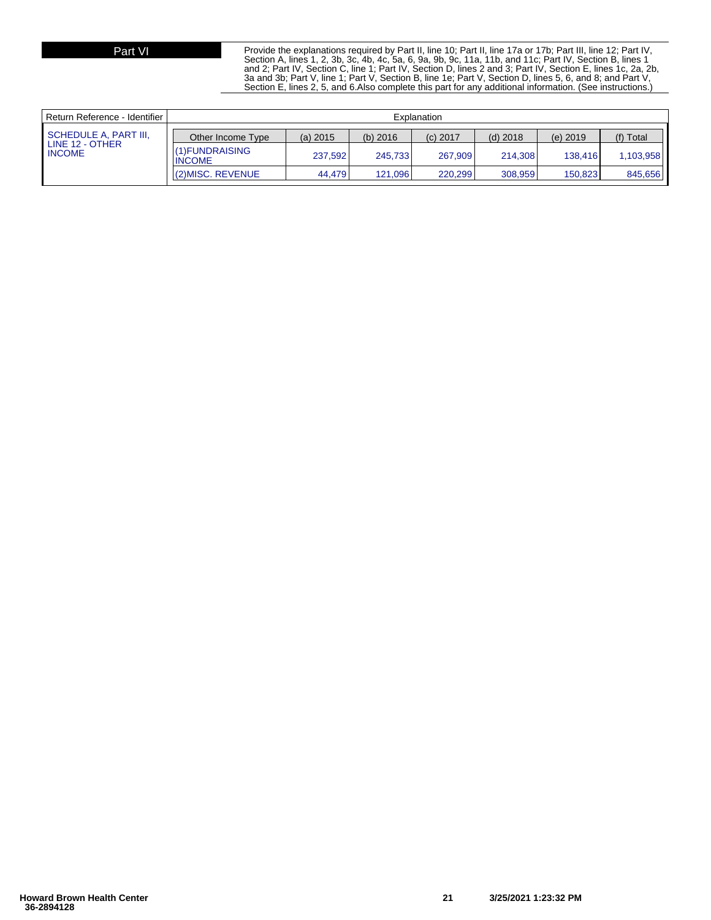Part VI Provide the explanations required by Part II, line 10; Part II, line 17a or 17b; Part III, line 12; Part IV, Section B, lines 1<br>Section A, lines 1, 2, 3b, 3c, 4b, 4c, 5a, 6, 9a, 9b, 9c, 11a, 11b, and 11c; Part IV, and 2; Part IV, Section C, line 1; Part IV, Section D, lines 2 and 3; Part IV, Section E, lines 1c, 2a, 2b, 3a and 3b; Part V, line 1; Part V, Section B, line 1e; Part V, Section D, lines 5, 6, and 8; and Part V, Section E, lines 2, 5, and 6.Also complete this part for any additional information. (See instructions.)

| Return Reference - Identifier    |                                  |            |            | Explanation |            |            |             |
|----------------------------------|----------------------------------|------------|------------|-------------|------------|------------|-------------|
| SCHEDULE A, PART III,            | Other Income Type                | $(a)$ 2015 | $(b)$ 2016 | $(c)$ 2017  | $(d)$ 2018 | $(e)$ 2019 | $(f)$ Total |
| LINE 12 - OTHER<br><b>INCOME</b> | (1) FUNDRAISING<br><b>INCOME</b> | 237,592    | 245.733    | 267.909     | 214.308    | 138.416    | 1,103,958   |
|                                  | $(2)$ MISC. REVENUE              | 44.479     | 121.096    | 220.299     | 308.959    | 150.823    | 845,656     |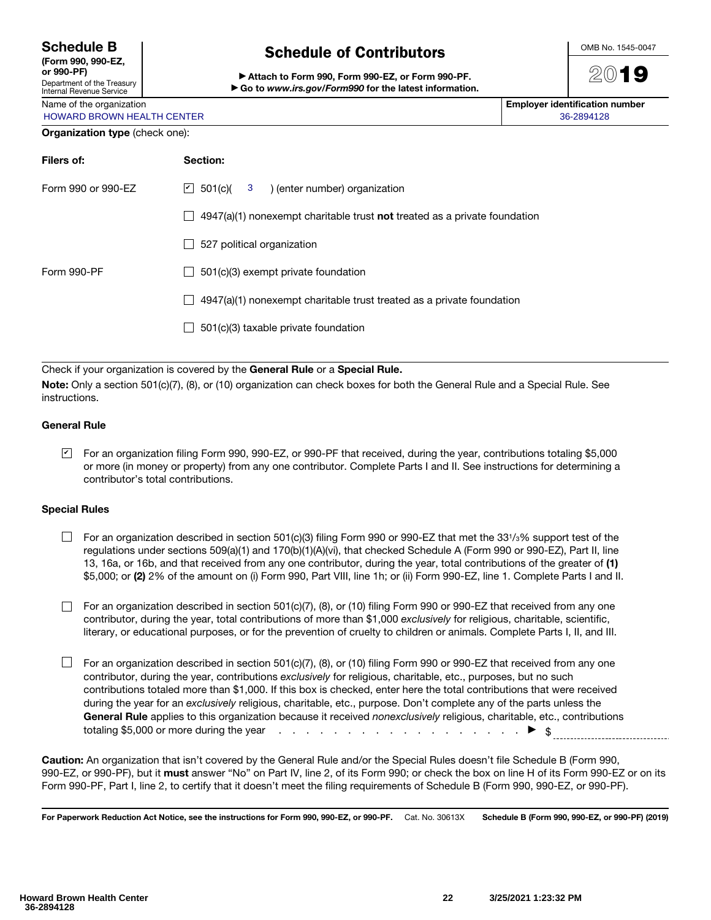| <b>Schedule B</b> |  |
|-------------------|--|
|-------------------|--|

| (Form 990, 990-EZ,         |
|----------------------------|
| or 990-PF)                 |
| Denartment of the Treasury |

# Department of the Treasury Internal Revenue Service

# Schedule of Contributors

▶ Attach to Form 990, Form 990-EZ, or Form 990-PF. ▶ Go to *www.irs.gov/Form990* for the latest information.



# 2019

Name of the organization **Employer identification number**  $\blacksquare$ HOWARD BROWN HEALTH CENTER **AND REALTH CENTER** 36-2894128

| <b>Organization type (check one):</b> |  |  |  |
|---------------------------------------|--|--|--|
|---------------------------------------|--|--|--|

| Filers of:         | Section:                                                                                |  |  |  |  |
|--------------------|-----------------------------------------------------------------------------------------|--|--|--|--|
| Form 990 or 990-EZ | $\boxed{9}$ 501(c)( 3) (enter number) organization                                      |  |  |  |  |
|                    | $4947(a)(1)$ nonexempt charitable trust <b>not</b> treated as a private foundation      |  |  |  |  |
|                    | 527 political organization<br>$\overline{\phantom{a}}$                                  |  |  |  |  |
| Form 990-PF        | 501(c)(3) exempt private foundation<br>$\overline{\phantom{0}}$                         |  |  |  |  |
|                    | 4947(a)(1) nonexempt charitable trust treated as a private foundation<br>$\blacksquare$ |  |  |  |  |
|                    | 501(c)(3) taxable private foundation                                                    |  |  |  |  |
|                    |                                                                                         |  |  |  |  |

Check if your organization is covered by the General Rule or a Special Rule.

Note: Only a section 501(c)(7), (8), or (10) organization can check boxes for both the General Rule and a Special Rule. See instructions.

### General Rule

For an organization filing Form 990, 990-EZ, or 990-PF that received, during the year, contributions totaling \$5,000 ✔ or more (in money or property) from any one contributor. Complete Parts I and II. See instructions for determining a contributor's total contributions.

### Special Rules

- $\Box$  For an organization described in section 501(c)(3) filing Form 990 or 990-EZ that met the 331/3% support test of the regulations under sections 509(a)(1) and 170(b)(1)(A)(vi), that checked Schedule A (Form 990 or 990-EZ), Part II, line 13, 16a, or 16b, and that received from any one contributor, during the year, total contributions of the greater of (1) \$5,000; or (2) 2% of the amount on (i) Form 990, Part VIII, line 1h; or (ii) Form 990-EZ, line 1. Complete Parts I and II.
- For an organization described in section 501(c)(7), (8), or (10) filing Form 990 or 990-EZ that received from any one contributor, during the year, total contributions of more than \$1,000 *exclusively* for religious, charitable, scientific, literary, or educational purposes, or for the prevention of cruelty to children or animals. Complete Parts I, II, and III.
- $\Box$  For an organization described in section 501(c)(7), (8), or (10) filing Form 990 or 990-EZ that received from any one contributor, during the year, contributions *exclusively* for religious, charitable, etc., purposes, but no such contributions totaled more than \$1,000. If this box is checked, enter here the total contributions that were received during the year for an *exclusively* religious, charitable, etc., purpose. Don't complete any of the parts unless the General Rule applies to this organization because it received *nonexclusively* religious, charitable, etc., contributions totaling \$5,000 or more during the year  $\cdots$  . . . . . . . . . . . . . . . . .  $\blacktriangleright$  \$

Caution: An organization that isn't covered by the General Rule and/or the Special Rules doesn't file Schedule B (Form 990, 990-EZ, or 990-PF), but it must answer "No" on Part IV, line 2, of its Form 990; or check the box on line H of its Form 990-EZ or on its Form 990-PF, Part I, line 2, to certify that it doesn't meet the filing requirements of Schedule B (Form 990, 990-EZ, or 990-PF).

For Paperwork Reduction Act Notice, see the instructions for Form 990, 990-EZ, or 990-PF. Cat. No. 30613X Schedule B (Form 990, 990-EZ, or 990-PF) (2019)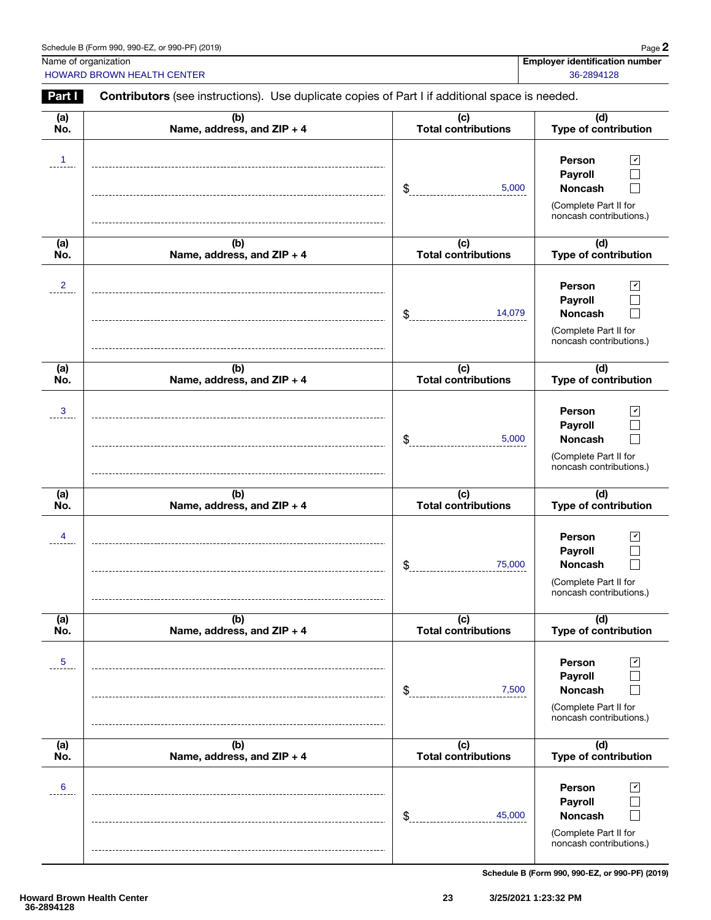| Schedule B (Form 990, 990-EZ, or 990-PF) (2019) | Page |
|-------------------------------------------------|------|
|-------------------------------------------------|------|

HOWARD BROWN HEALTH CENTER **SECURE 2008** 128 and 2008 2894128

| <b>Part I</b>  | <b>Contributors</b> (see instructions). Use duplicate copies of Part I if additional space is needed. |                                   |                                                                                                                |
|----------------|-------------------------------------------------------------------------------------------------------|-----------------------------------|----------------------------------------------------------------------------------------------------------------|
| (a)<br>No.     | (b)<br>Name, address, and ZIP + 4                                                                     | (c)<br><b>Total contributions</b> | (d)<br>Type of contribution                                                                                    |
| 1              |                                                                                                       | \$<br>5,000                       | $\blacktriangledown$<br>Person<br>Payroll<br><b>Noncash</b>                                                    |
|                |                                                                                                       |                                   | (Complete Part II for<br>noncash contributions.)                                                               |
| (a)<br>No.     | (b)<br>Name, address, and ZIP + 4                                                                     | (c)<br><b>Total contributions</b> | (d)<br>Type of contribution                                                                                    |
| 2              |                                                                                                       | \$<br>14,079                      | Person<br>$\mathbf{v}$<br>Payroll<br><b>Noncash</b>                                                            |
|                |                                                                                                       |                                   | (Complete Part II for<br>noncash contributions.)                                                               |
| (a)<br>No.     | (b)<br>Name, address, and ZIP + 4                                                                     | (c)<br><b>Total contributions</b> | (d)<br>Type of contribution                                                                                    |
| 3              |                                                                                                       | 5,000<br>\$                       | $\mathbf{v}$<br>Person<br><b>Payroll</b><br><b>Noncash</b>                                                     |
|                |                                                                                                       |                                   | (Complete Part II for<br>noncash contributions.)                                                               |
| (a)<br>No.     | (b)<br>Name, address, and ZIP + 4                                                                     | (c)<br><b>Total contributions</b> | (d)<br>Type of contribution                                                                                    |
| 4              |                                                                                                       | 75,000<br>\$                      | Person<br>$\mathbf{v}$<br><b>Payroll</b><br><b>Noncash</b><br>(Complete Part II for<br>noncash contributions.) |
| (a)<br>No.     | (b)<br>Name, address, and ZIP + 4                                                                     | (c)<br><b>Total contributions</b> | (d)<br>Type of contribution                                                                                    |
| $\overline{5}$ |                                                                                                       | 7,500<br>\$                       | Person<br>$\vert\,$<br><b>Payroll</b><br><b>Noncash</b><br>(Complete Part II for<br>noncash contributions.)    |
| (a)<br>No.     | (b)<br>Name, address, and ZIP + 4                                                                     | (c)<br><b>Total contributions</b> | (d)<br><b>Type of contribution</b>                                                                             |
| 6              |                                                                                                       | 45,000<br>\$                      | Person<br>$\checkmark$<br>Payroll<br><b>Noncash</b><br>(Complete Part II for                                   |
|                |                                                                                                       |                                   | noncash contributions.)                                                                                        |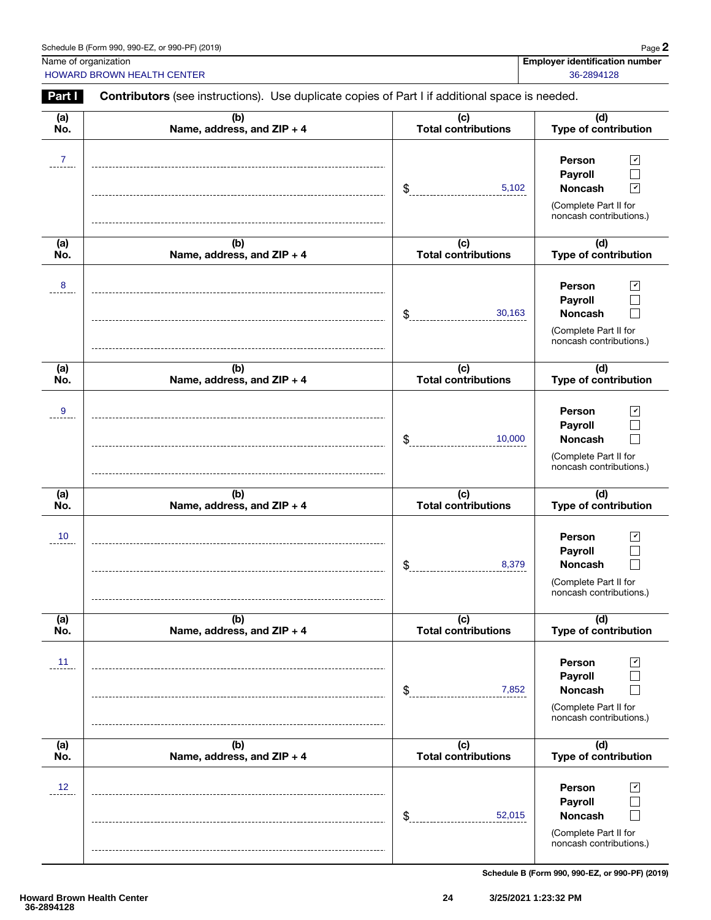| Schedule B (Form 990, 990-EZ, or 990-PF) (2019) | Page |
|-------------------------------------------------|------|
|-------------------------------------------------|------|

HOWARD BROWN HEALTH CENTER **SECURE 2008** 128 and 2008 2894128

| <b>Part I</b>   | <b>Contributors</b> (see instructions). Use duplicate copies of Part I if additional space is needed. |                                   |                                                                                                                    |
|-----------------|-------------------------------------------------------------------------------------------------------|-----------------------------------|--------------------------------------------------------------------------------------------------------------------|
| (a)<br>No.      | (b)<br>Name, address, and ZIP + 4                                                                     | (c)<br>Total contributions        | (d)<br>Type of contribution                                                                                        |
| 7               |                                                                                                       | \$<br>5,102                       | $\sqrt{ }$<br>Person<br>Payroll<br>Г<br><b>Noncash</b><br>$\mathbf{v}$                                             |
|                 |                                                                                                       |                                   | (Complete Part II for<br>noncash contributions.)                                                                   |
| (a)<br>No.      | (b)<br>Name, address, and ZIP + 4                                                                     | (c)<br><b>Total contributions</b> | (d)<br>Type of contribution                                                                                        |
| 8               |                                                                                                       | \$<br>30,163                      | $\blacktriangleright$<br>Person<br>Payroll<br>L.<br><b>Noncash</b>                                                 |
|                 |                                                                                                       |                                   | (Complete Part II for<br>noncash contributions.)                                                                   |
| (a)<br>No.      | (b)<br>Name, address, and ZIP + 4                                                                     | (c)<br>Total contributions        | (d)<br>Type of contribution                                                                                        |
| 9               |                                                                                                       | 10,000<br>\$                      | $\sqrt{ }$<br>Person<br>Payroll<br><b>Noncash</b><br>$\Box$                                                        |
|                 |                                                                                                       |                                   | (Complete Part II for<br>noncash contributions.)                                                                   |
| (a)<br>No.      | (b)<br>Name, address, and ZIP + 4                                                                     | (c)<br><b>Total contributions</b> | (d)<br>Type of contribution                                                                                        |
| 10              |                                                                                                       | 8,379<br>\$                       | $\sqrt{2}$<br>Person<br>Payroll<br><b>Noncash</b><br>$\Box$<br>(Complete Part II for<br>noncash contributions.)    |
| (a)<br>No.      | (b)<br>Name, address, and ZIP + 4                                                                     | (c)<br><b>Total contributions</b> | (d)<br>Type of contribution                                                                                        |
| 11              |                                                                                                       | 7,852<br>\$                       | $\mathbf{v}$<br>Person<br>Payroll<br><b>Noncash</b><br>(Complete Part II for<br>noncash contributions.)            |
| (a)<br>No.      | (b)<br>Name, address, and ZIP + 4                                                                     | (c)<br><b>Total contributions</b> | (d)<br><b>Type of contribution</b>                                                                                 |
| 12 <sup>°</sup> |                                                                                                       | 52,015<br>\$                      | $\overline{\mathbf{v}}$<br>Person<br>Payroll<br><b>Noncash</b><br>(Complete Part II for<br>noncash contributions.) |
|                 |                                                                                                       |                                   |                                                                                                                    |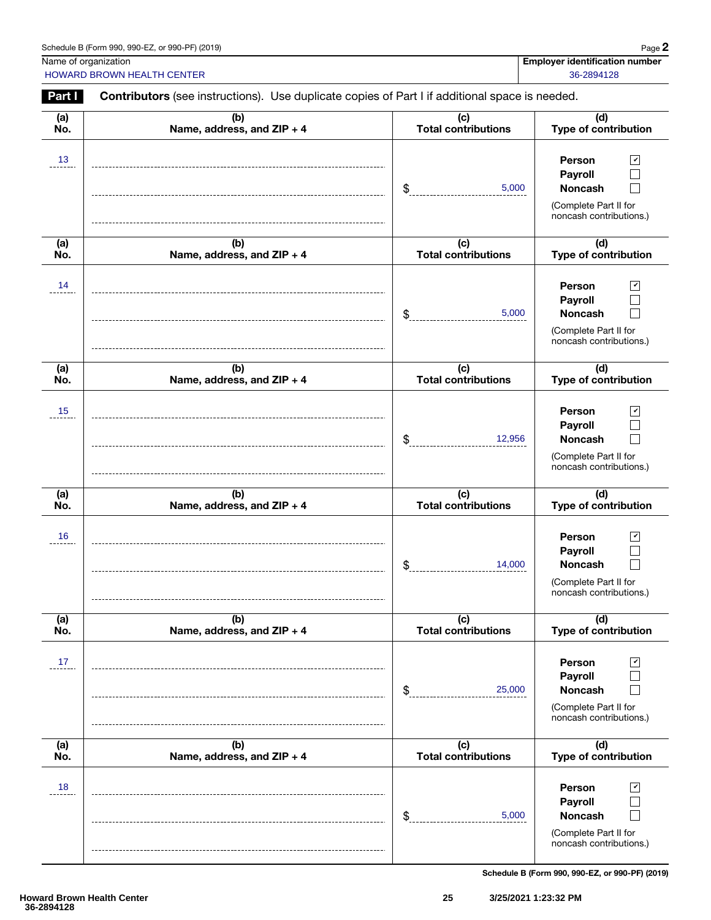| Schedule B (Form 990, 990-EZ, or 990-PF) (2019) | Page |
|-------------------------------------------------|------|
|-------------------------------------------------|------|

HOWARD BROWN HEALTH CENTER **SECURE 2008** 128 and 2008 2894128

| Part I     | <b>Contributors</b> (see instructions). Use duplicate copies of Part I if additional space is needed. |                                   |                                                                                                        |
|------------|-------------------------------------------------------------------------------------------------------|-----------------------------------|--------------------------------------------------------------------------------------------------------|
| (a)<br>No. | (b)<br>Name, address, and ZIP + 4                                                                     | (c)<br>Total contributions        | (d)<br>Type of contribution                                                                            |
| 13         |                                                                                                       | \$<br>5,000                       | Person<br>$\mathbf{v}$<br>Payroll<br><b>Noncash</b>                                                    |
|            |                                                                                                       |                                   | (Complete Part II for<br>noncash contributions.)                                                       |
| (a)<br>No. | (b)<br>Name, address, and ZIP + 4                                                                     | (c)<br><b>Total contributions</b> | (d)<br>Type of contribution                                                                            |
| 14         |                                                                                                       | \$<br>5,000                       | Person<br>$\mathbf{v}$<br>Payroll<br><b>Noncash</b>                                                    |
|            |                                                                                                       |                                   | (Complete Part II for<br>noncash contributions.)                                                       |
| (a)<br>No. | (b)<br>Name, address, and ZIP + 4                                                                     | (c)<br><b>Total contributions</b> | (d)<br>Type of contribution                                                                            |
| 15         |                                                                                                       | 12,956<br>\$                      | ☑<br>Person<br>Payroll<br><b>Noncash</b><br>(Complete Part II for<br>noncash contributions.)           |
| (a)<br>No. | (b)<br>Name, address, and ZIP + 4                                                                     | (c)<br><b>Total contributions</b> | (d)<br>Type of contribution                                                                            |
| 16         |                                                                                                       | 14,000<br>\$                      | Person<br>$\mathbf v$<br>Payroll<br><b>Noncash</b><br>(Complete Part II for<br>noncash contributions.) |
| (a)<br>No. | (b)<br>Name, address, and ZIP + 4                                                                     | (c)<br><b>Total contributions</b> | (d)<br>Type of contribution                                                                            |
| 17         |                                                                                                       | 25,000<br>\$                      | Person<br>Payroll<br><b>Noncash</b><br>(Complete Part II for<br>noncash contributions.)                |
| (a)<br>No. | (b)<br>Name, address, and ZIP + 4                                                                     | (c)<br><b>Total contributions</b> | (d)<br><b>Type of contribution</b>                                                                     |
| 18         |                                                                                                       | 5,000<br>\$                       | Person<br>Payroll<br><b>Noncash</b><br>(Complete Part II for<br>noncash contributions.)                |
|            |                                                                                                       |                                   |                                                                                                        |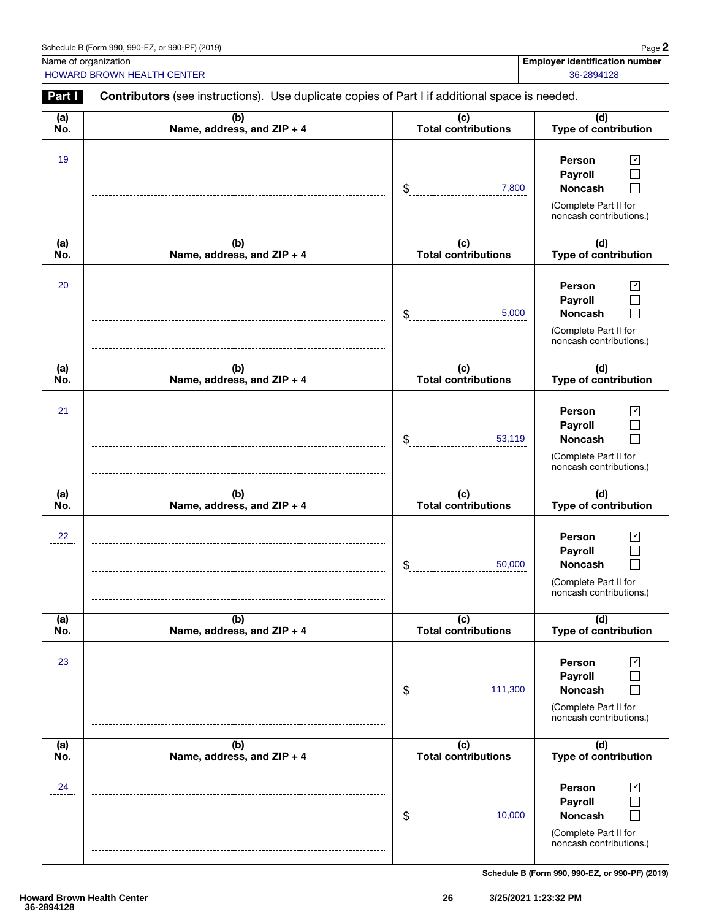| Schedule B (Form 990, 990-EZ, or 990-PF) (2019) | Page |
|-------------------------------------------------|------|
|-------------------------------------------------|------|

HOWARD BROWN HEALTH CENTER **SECURE 2008** 128 and 2008 2894128

| Part I         | <b>Contributors</b> (see instructions). Use duplicate copies of Part I if additional space is needed. |                                   |                                                                                                                           |
|----------------|-------------------------------------------------------------------------------------------------------|-----------------------------------|---------------------------------------------------------------------------------------------------------------------------|
| (a)<br>No.     | (b)<br>Name, address, and ZIP + 4                                                                     | (c)<br><b>Total contributions</b> | (d)<br>Type of contribution                                                                                               |
| $\frac{19}{1}$ |                                                                                                       | \$<br>7,800                       | $\blacktriangledown$<br>Person<br>Payroll<br><b>Noncash</b>                                                               |
|                |                                                                                                       |                                   | (Complete Part II for<br>noncash contributions.)                                                                          |
| (a)<br>No.     | (b)<br>Name, address, and ZIP + 4                                                                     | (c)<br><b>Total contributions</b> | (d)<br>Type of contribution                                                                                               |
| 20             |                                                                                                       | \$<br>5,000                       | $\checkmark$<br>Person<br>Payroll<br><b>Noncash</b>                                                                       |
|                |                                                                                                       |                                   | (Complete Part II for<br>noncash contributions.)                                                                          |
| (a)<br>No.     | (b)<br>Name, address, and ZIP + 4                                                                     | (c)<br><b>Total contributions</b> | (d)<br>Type of contribution                                                                                               |
| 21             |                                                                                                       | 53,119<br>\$                      | $\blacktriangledown$<br>Person<br>Payroll<br><b>Noncash</b><br>(Complete Part II for<br>noncash contributions.)           |
| (a)<br>No.     | (b)<br>Name, address, and ZIP + 4                                                                     | (c)<br><b>Total contributions</b> | (d)<br>Type of contribution                                                                                               |
| 22             |                                                                                                       | 50,000<br>\$                      | $\blacktriangledown$<br>Person<br>Payroll<br>$\Box$<br><b>Noncash</b><br>(Complete Part II for<br>noncash contributions.) |
| (a)<br>No.     | (b)<br>Name, address, and ZIP + 4                                                                     | (c)<br><b>Total contributions</b> | (d)<br>Type of contribution                                                                                               |
| 23             |                                                                                                       | 111,300<br>\$                     | Person<br>$\vert\,$<br>Payroll<br><b>Noncash</b><br>(Complete Part II for<br>noncash contributions.)                      |
| (a)<br>No.     | (b)<br>Name, address, and ZIP + 4                                                                     | (c)<br><b>Total contributions</b> | (d)<br><b>Type of contribution</b>                                                                                        |
| 24             |                                                                                                       | 10,000<br>\$                      | Person<br>∣v<br>Payroll<br><b>Noncash</b><br>(Complete Part II for<br>noncash contributions.)                             |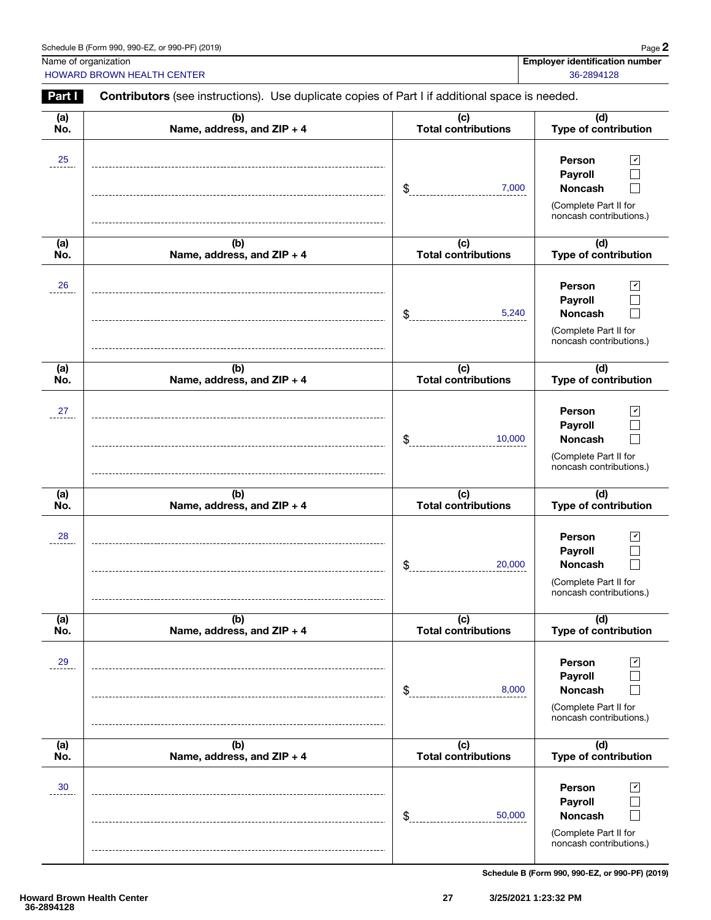| Schedule B (Form 990, 990-EZ, or 990-PF) (2019) | Page |
|-------------------------------------------------|------|
|-------------------------------------------------|------|

HOWARD BROWN HEALTH CENTER **SECURE 2008** 128 and 2008 2894128

| <b>Part I</b> | <b>Contributors</b> (see instructions). Use duplicate copies of Part I if additional space is needed. |                                   |                                                                                                                           |
|---------------|-------------------------------------------------------------------------------------------------------|-----------------------------------|---------------------------------------------------------------------------------------------------------------------------|
| (a)<br>No.    | (b)<br>Name, address, and ZIP + 4                                                                     | (c)<br>Total contributions        | (d)<br>Type of contribution                                                                                               |
| 25            |                                                                                                       | 7,000<br>\$                       | $\blacktriangledown$<br>Person<br>Payroll<br><b>Noncash</b><br>(Complete Part II for<br>noncash contributions.)           |
| (a)<br>No.    | (b)<br>Name, address, and ZIP + 4                                                                     | (c)<br>Total contributions        | (d)<br>Type of contribution                                                                                               |
| 26            |                                                                                                       | \$<br>5,240                       | $\checkmark$<br>Person<br>Payroll<br><b>Noncash</b><br>(Complete Part II for<br>noncash contributions.)                   |
| (a)<br>No.    | (b)<br>Name, address, and ZIP + 4                                                                     | (c)<br><b>Total contributions</b> | (d)<br>Type of contribution                                                                                               |
| 27            |                                                                                                       | 10,000<br>\$                      | $\checkmark$<br>Person<br>Payroll<br><b>Noncash</b><br>(Complete Part II for<br>noncash contributions.)                   |
| (a)<br>No.    | (b)<br>Name, address, and ZIP + 4                                                                     | (c)<br><b>Total contributions</b> | (d)<br>Type of contribution                                                                                               |
| 28            |                                                                                                       | \$<br>20,000                      | $\checkmark$<br>Person<br>Payroll<br><b>Noncash</b><br>(Complete Part II for<br>noncash contributions.)                   |
| (a)<br>No.    | (b)<br>Name, address, and ZIP + 4                                                                     | (c)<br><b>Total contributions</b> | (d)<br><b>Type of contribution</b>                                                                                        |
| 29            |                                                                                                       | 8,000<br>\$                       | $\blacktriangledown$<br>Person<br>Payroll<br><b>Noncash</b><br>(Complete Part II for<br>noncash contributions.)           |
| (a)<br>No.    | (b)<br>Name, address, and ZIP + 4                                                                     | (c)<br><b>Total contributions</b> | (d)<br><b>Type of contribution</b>                                                                                        |
| 30            |                                                                                                       | 50,000<br>\$                      | $\overline{\mathbf{v}}$<br><b>Person</b><br>Payroll<br><b>Noncash</b><br>(Complete Part II for<br>noncash contributions.) |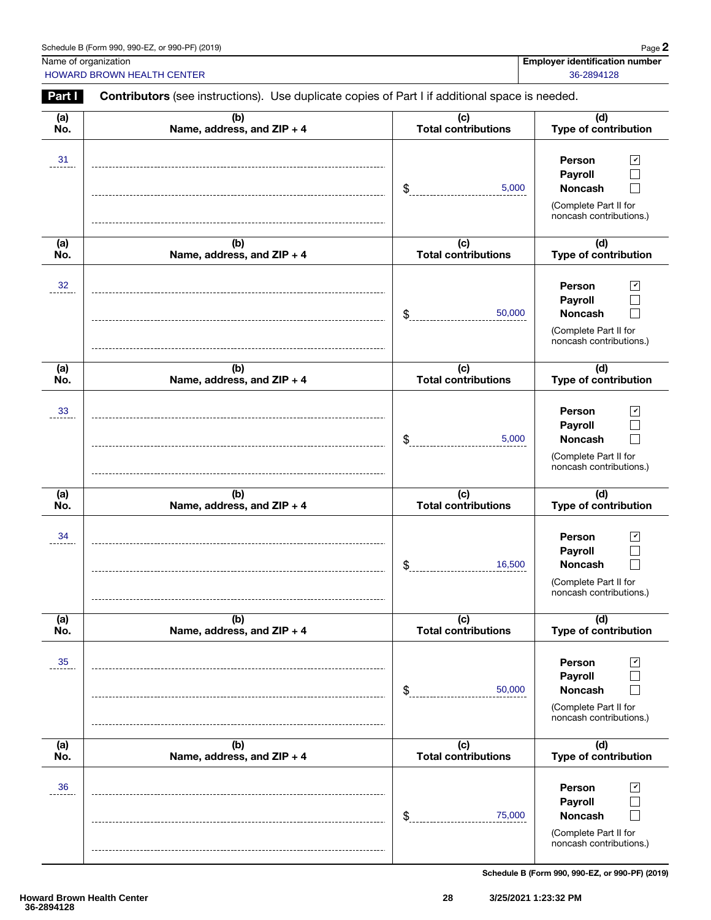| Schedule B (Form 990, 990-EZ, or 990-PF) (2019) | Page |
|-------------------------------------------------|------|
|-------------------------------------------------|------|

HOWARD BROWN HEALTH CENTER **ALL ASSESSED AS A CONSTRUCTED AND ACCOUNT ACCOUNT ACCOUNT ACCOUNT ACCOUNT ACCOUNT ACCOUNT ACCOUNT ACCOUNT ACCOUNT ACCOUNT ACCOUNT ACCOUNT ACCOUNT ACCOUNT ACCOUNT ACCOUNT ACCOUNT ACCOUNT ACCOUNT** 

| <b>Part I</b> | Contributors (see instructions). Use duplicate copies of Part I if additional space is needed. |                                   |                                                                                                                                                    |  |
|---------------|------------------------------------------------------------------------------------------------|-----------------------------------|----------------------------------------------------------------------------------------------------------------------------------------------------|--|
| (a)<br>No.    | (b)<br>Name, address, and ZIP + 4                                                              | (c)<br><b>Total contributions</b> | (d)<br>Type of contribution                                                                                                                        |  |
| 31            |                                                                                                | \$<br>5,000                       | $\blacktriangledown$<br><b>Person</b><br>Payroll<br>$\sim$<br><b>Noncash</b><br><b>College</b><br>(Complete Part II for<br>noncash contributions.) |  |
| (a)<br>No.    | (b)<br>Name, address, and ZIP + 4                                                              | (c)<br><b>Total contributions</b> | (d)<br>Type of contribution                                                                                                                        |  |
| 32            |                                                                                                | \$<br>50,000                      | $\mathbf{v}$<br><b>Person</b><br>Payroll<br><b>Noncash</b><br><b>College</b><br>(Complete Part II for<br>noncash contributions.)                   |  |
| (a)<br>No.    | (b)<br>Name, address, and ZIP + 4                                                              | (c)<br><b>Total contributions</b> | (d)<br>Type of contribution                                                                                                                        |  |
| 33            |                                                                                                | \$<br>5,000                       | $\mathbf{v}$<br>Person<br>Payroll<br><b>Noncash</b><br>$\Box$<br>(Complete Part II for<br>noncash contributions.)                                  |  |
| (a)<br>No.    | (b)<br>Name, address, and ZIP + 4                                                              | (c)<br><b>Total contributions</b> | (d)<br>Type of contribution                                                                                                                        |  |
| 34            |                                                                                                | \$<br>16,500                      | $\blacktriangledown$<br>Person<br>Payroll<br><b>Noncash</b><br>$\Box$<br>(Complete Part II for<br>noncash contributions.)                          |  |
| (a)<br>No.    | (b)<br>Name, address, and ZIP + 4                                                              | (c)<br><b>Total contributions</b> | (d)<br>Type of contribution                                                                                                                        |  |
| 35            |                                                                                                | 50,000<br>\$                      | Person<br>$\mathbf{\mathsf{v}}$<br>Payroll<br><b>Noncash</b><br>(Complete Part II for<br>noncash contributions.)                                   |  |
| (a)<br>No.    | (b)<br>Name, address, and ZIP + 4                                                              | (c)<br><b>Total contributions</b> | (d)<br>Type of contribution                                                                                                                        |  |
| 36            |                                                                                                | 75,000<br>\$                      | Person<br>$\mathbf v$<br>Payroll<br><b>Noncash</b><br>(Complete Part II for<br>noncash contributions.)                                             |  |

Schedule B (Form 990, 990-EZ, or 990-PF) (2019)

l,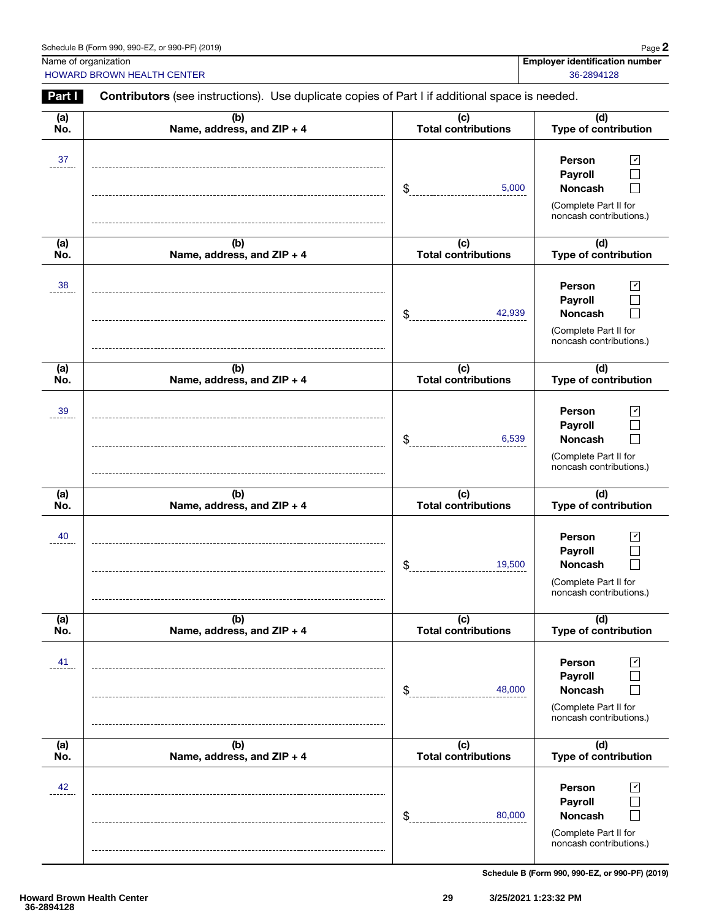| Schedule B (Form 990, 990-EZ, or 990-PF) (2019) | Page |
|-------------------------------------------------|------|
|-------------------------------------------------|------|

HOWARD BROWN HEALTH CENTER **SECURE 2008** 128 and 2008 2894128

| <b>Part I</b> | <b>Contributors</b> (see instructions). Use duplicate copies of Part I if additional space is needed. |                                   |                                                                                                                        |
|---------------|-------------------------------------------------------------------------------------------------------|-----------------------------------|------------------------------------------------------------------------------------------------------------------------|
| (a)<br>No.    | (b)<br>Name, address, and ZIP + 4                                                                     | (c)<br>Total contributions        | (d)<br>Type of contribution                                                                                            |
| 37            |                                                                                                       | 5,000<br>\$                       | $\blacktriangledown$<br>Person<br><b>Payroll</b><br><b>Noncash</b>                                                     |
|               |                                                                                                       |                                   | (Complete Part II for<br>noncash contributions.)                                                                       |
| (a)<br>No.    | (b)<br>Name, address, and ZIP + 4                                                                     | (c)<br>Total contributions        | (d)<br>Type of contribution                                                                                            |
| 38            |                                                                                                       | 42,939<br>\$                      | $\checkmark$<br>Person<br><b>Payroll</b><br><b>Noncash</b>                                                             |
|               |                                                                                                       |                                   | (Complete Part II for<br>noncash contributions.)                                                                       |
| (a)<br>No.    | (b)<br>Name, address, and ZIP + 4                                                                     | (c)<br><b>Total contributions</b> | (d)<br>Type of contribution                                                                                            |
| 39            |                                                                                                       | 6,539<br>\$                       | $\checkmark$<br>Person<br>Payroll<br><b>Noncash</b><br>(Complete Part II for<br>noncash contributions.)                |
| (a)<br>No.    | (b)<br>Name, address, and ZIP + 4                                                                     | (c)<br><b>Total contributions</b> | (d)<br>Type of contribution                                                                                            |
| 40            |                                                                                                       | 19,500<br>\$                      | $\blacktriangledown$<br>Person<br><b>Payroll</b><br><b>Noncash</b><br>(Complete Part II for<br>noncash contributions.) |
| (a)<br>No.    | (b)<br>Name, address, and ZIP + 4                                                                     | (c)<br><b>Total contributions</b> | (d)<br><b>Type of contribution</b>                                                                                     |
| 41            |                                                                                                       | 48,000<br>\$                      | Person<br>$\checkmark$<br>Payroll<br><b>Noncash</b><br>(Complete Part II for<br>noncash contributions.)                |
| (a)<br>No.    | (b)<br>Name, address, and ZIP + 4                                                                     | (c)<br><b>Total contributions</b> | (d)<br><b>Type of contribution</b>                                                                                     |
| 42            |                                                                                                       | 80,000<br>\$                      | Person<br>$\mathsf{v}$<br>Payroll<br><b>Noncash</b><br>(Complete Part II for<br>noncash contributions.)                |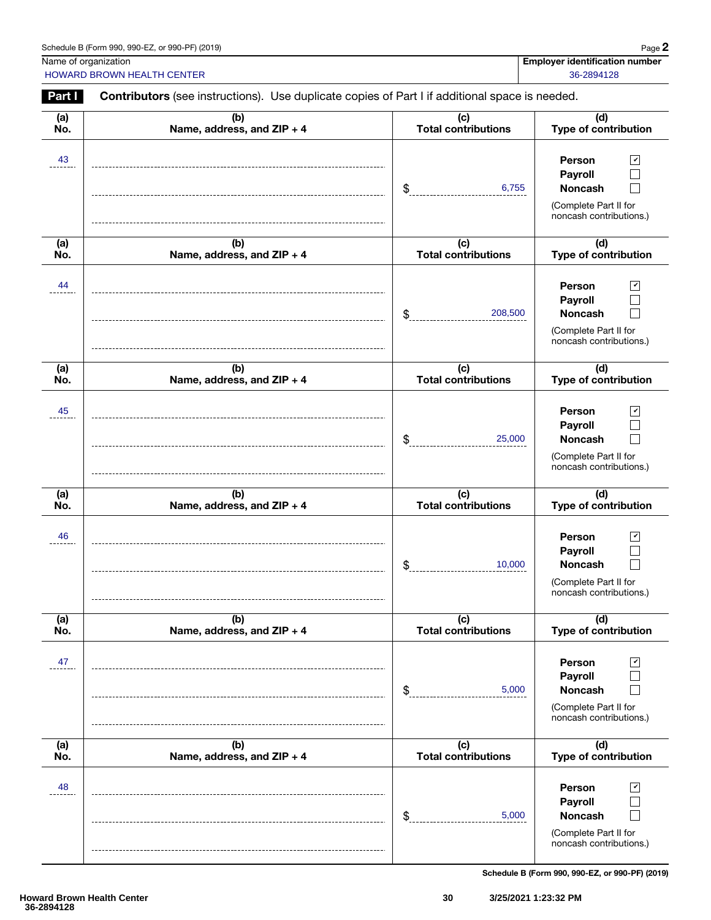| Schedule B (Form 990, 990-EZ, or 990-PF) (2019) | Page |
|-------------------------------------------------|------|
|-------------------------------------------------|------|

HOWARD BROWN HEALTH CENTER **ALL ASSESSED AS A CONSTRUCTED AND ACCOUNT ACCOUNT ACCOUNT ACCOUNT ACCOUNT ACCOUNT ACCOUNT ACCOUNT ACCOUNT ACCOUNT ACCOUNT ACCOUNT ACCOUNT ACCOUNT ACCOUNT ACCOUNT ACCOUNT ACCOUNT ACCOUNT ACCOUNT** 

| Part I     | <b>Contributors</b> (see instructions). Use duplicate copies of Part I if additional space is needed. |                                   |                                                                                                                   |
|------------|-------------------------------------------------------------------------------------------------------|-----------------------------------|-------------------------------------------------------------------------------------------------------------------|
| (a)<br>No. | (b)<br>Name, address, and ZIP + 4                                                                     | (c)<br><b>Total contributions</b> | (d)<br>Type of contribution                                                                                       |
| 43         |                                                                                                       | \$<br>6,755                       | $\mathbf{v}$<br>Person<br>Payroll<br><b>Noncash</b><br>(Complete Part II for<br>noncash contributions.)           |
| (a)<br>No. | (b)<br>Name, address, and ZIP + 4                                                                     | (c)<br><b>Total contributions</b> | (d)<br>Type of contribution                                                                                       |
| 44         |                                                                                                       | \$<br>208,500                     | $\blacktriangleright$<br>Person<br>Payroll<br><b>Noncash</b><br>(Complete Part II for<br>noncash contributions.)  |
| (a)<br>No. | (b)<br>Name, address, and ZIP + 4                                                                     | (c)<br><b>Total contributions</b> | (d)<br>Type of contribution                                                                                       |
| 45         |                                                                                                       | 25,000<br>\$                      | Person<br>$\sqrt{ }$<br>Payroll<br><b>Noncash</b><br>(Complete Part II for<br>noncash contributions.)             |
| (a)<br>No. | (b)<br>Name, address, and ZIP + 4                                                                     | (c)<br><b>Total contributions</b> | (d)<br>Type of contribution                                                                                       |
| 46         |                                                                                                       | 10,000<br>\$                      | Person<br>⊻<br>Payroll<br><b>Noncash</b><br>(Complete Part II for<br>noncash contributions.)                      |
| (a)<br>No. | (b)<br>Name, address, and ZIP + 4                                                                     | (c)<br><b>Total contributions</b> | (d)<br>Type of contribution                                                                                       |
| 47         |                                                                                                       | 5,000<br>\$                       | Person<br>$\vert\mathbf{v}\vert$<br>Payroll<br><b>Noncash</b><br>(Complete Part II for<br>noncash contributions.) |
| (a)<br>No. | (b)<br>Name, address, and ZIP + 4                                                                     | (c)<br><b>Total contributions</b> | (d)<br>Type of contribution                                                                                       |
| 48         |                                                                                                       | 5,000<br>\$                       | Person<br>$ \mathbf{v} $<br>Payroll<br><b>Noncash</b><br>(Complete Part II for<br>noncash contributions.)         |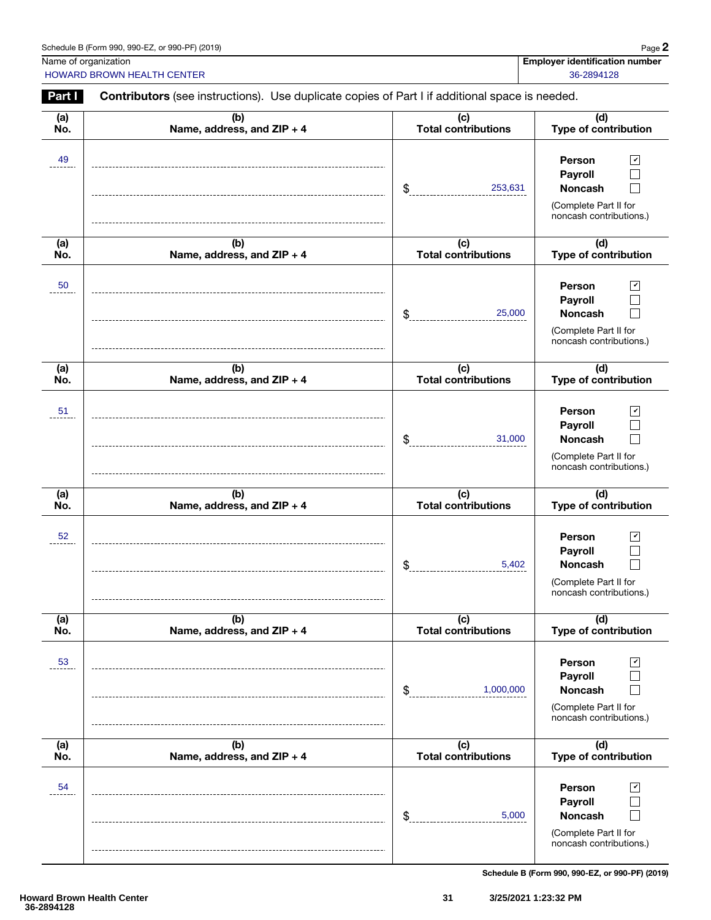| Schedule B (Form 990, 990-EZ, or 990-PF) (2019) | $P$ age $\lambda$ |
|-------------------------------------------------|-------------------|
|-------------------------------------------------|-------------------|

HOWARD BROWN HEALTH CENTER **ALL ASSESSED AS A CONSTRUCTED AND ACCOUNT ACCOUNT ACCOUNT ACCOUNT ACCOUNT ACCOUNT ACCOUNT ACCOUNT ACCOUNT ACCOUNT ACCOUNT ACCOUNT ACCOUNT ACCOUNT ACCOUNT ACCOUNT ACCOUNT ACCOUNT ACCOUNT ACCOUNT** 

| Part I     | <b>Contributors</b> (see instructions). Use duplicate copies of Part I if additional space is needed. |                                   |                                                                                                                        |
|------------|-------------------------------------------------------------------------------------------------------|-----------------------------------|------------------------------------------------------------------------------------------------------------------------|
| (a)<br>No. | (b)<br>Name, address, and ZIP + 4                                                                     | (c)<br><b>Total contributions</b> | (d)<br>Type of contribution                                                                                            |
| 49         |                                                                                                       | 253,631<br>\$                     | $\sqrt{ }$<br>Person<br>Payroll<br><b>Noncash</b><br>(Complete Part II for<br>noncash contributions.)                  |
| (a)<br>No. | (b)<br>Name, address, and ZIP + 4                                                                     | (c)<br><b>Total contributions</b> | (d)<br>Type of contribution                                                                                            |
| 50         |                                                                                                       | 25,000<br>\$                      | Person<br>$\vert\bm{\mathsf{v}}\vert$<br>Payroll<br><b>Noncash</b><br>(Complete Part II for<br>noncash contributions.) |
| (a)<br>No. | (b)<br>Name, address, and ZIP + 4                                                                     | (c)<br><b>Total contributions</b> | (d)<br>Type of contribution                                                                                            |
| 51         |                                                                                                       | 31,000<br>\$                      | Person<br>⊻<br>Payroll<br>Noncash<br>(Complete Part II for<br>noncash contributions.)                                  |
| (a)<br>No. | (b)<br>Name, address, and ZIP + 4                                                                     | (c)<br><b>Total contributions</b> | (d)<br>Type of contribution                                                                                            |
| 52         |                                                                                                       | 5,402<br>\$                       | Person<br>$\vert\bm{\mathsf{v}}\vert$<br>Payroll<br><b>Noncash</b><br>(Complete Part II for<br>noncash contributions.) |
| (a)<br>No. | (b)<br>Name, address, and ZIP + 4                                                                     | (c)<br><b>Total contributions</b> | (d)<br>Type of contribution                                                                                            |
| 53         |                                                                                                       | 1,000,000<br>\$                   | Person<br>v<br>Payroll<br>Noncash<br>(Complete Part II for<br>noncash contributions.)                                  |
| (a)<br>No. | (b)<br>Name, address, and ZIP + 4                                                                     | (c)<br><b>Total contributions</b> | (d)<br>Type of contribution                                                                                            |
| 54         |                                                                                                       | 5,000<br>\$                       | Person<br>v<br>Payroll<br><b>Noncash</b><br>(Complete Part II for<br>noncash contributions.)                           |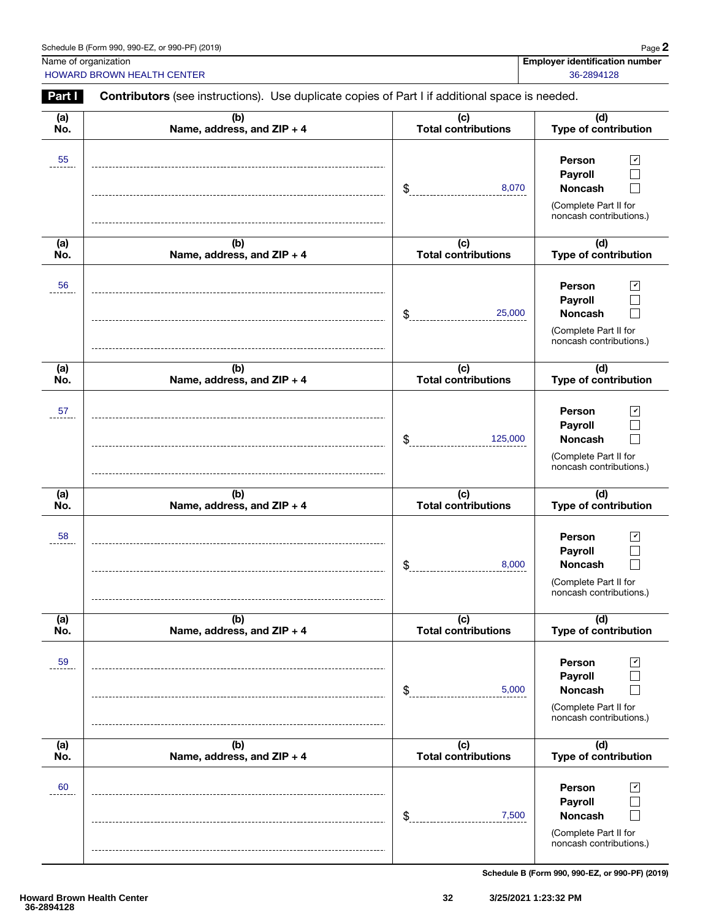| Schedule B (Form 990, 990-EZ, or 990-PF) (2019) | Page |
|-------------------------------------------------|------|
|-------------------------------------------------|------|

HOWARD BROWN HEALTH CENTER **ALL ASSESSED AS A CONSTRUCTED AND ACCOUNT ACCOUNT ACCOUNT ACCOUNT ACCOUNT ACCOUNT ACCOUNT ACCOUNT ACCOUNT ACCOUNT ACCOUNT ACCOUNT ACCOUNT ACCOUNT ACCOUNT ACCOUNT ACCOUNT ACCOUNT ACCOUNT ACCOUNT** 

| Part I     | <b>Contributors</b> (see instructions). Use duplicate copies of Part I if additional space is needed. |                                   |                                                                                                                   |
|------------|-------------------------------------------------------------------------------------------------------|-----------------------------------|-------------------------------------------------------------------------------------------------------------------|
| (a)<br>No. | (b)<br>Name, address, and ZIP + 4                                                                     | (c)<br><b>Total contributions</b> | (d)<br>Type of contribution                                                                                       |
| 55         |                                                                                                       | \$<br>8,070                       | $\mathbf{v}$<br>Person<br>Payroll<br><b>Noncash</b><br>(Complete Part II for<br>noncash contributions.)           |
| (a)<br>No. | (b)<br>Name, address, and ZIP + 4                                                                     | (c)<br><b>Total contributions</b> | (d)<br>Type of contribution                                                                                       |
| 56         |                                                                                                       | 25,000<br>\$                      | $\blacktriangleright$<br>Person<br>Payroll<br><b>Noncash</b><br>(Complete Part II for<br>noncash contributions.)  |
| (a)<br>No. | (b)<br>Name, address, and ZIP + 4                                                                     | (c)<br><b>Total contributions</b> | (d)<br>Type of contribution                                                                                       |
| 57         |                                                                                                       | \$<br>125,000                     | Person<br>$\sqrt{ }$<br>Payroll<br><b>Noncash</b><br>(Complete Part II for<br>noncash contributions.)             |
| (a)<br>No. | (b)<br>Name, address, and ZIP + 4                                                                     | (c)<br><b>Total contributions</b> | (d)<br>Type of contribution                                                                                       |
| 58         |                                                                                                       | 8,000<br>\$                       | Person<br>⊻<br>Payroll<br><b>Noncash</b><br>(Complete Part II for<br>noncash contributions.)                      |
| (a)<br>No. | (b)<br>Name, address, and ZIP + 4                                                                     | (c)<br><b>Total contributions</b> | (d)<br>Type of contribution                                                                                       |
| 59         |                                                                                                       | 5,000<br>\$                       | Person<br>$\vert\mathbf{v}\vert$<br>Payroll<br><b>Noncash</b><br>(Complete Part II for<br>noncash contributions.) |
| (a)<br>No. | (b)<br>Name, address, and ZIP + 4                                                                     | (c)<br><b>Total contributions</b> | (d)<br>Type of contribution                                                                                       |
| 60         |                                                                                                       | 7,500<br>\$                       | Person<br>$ \mathbf{v} $<br>Payroll<br><b>Noncash</b><br>(Complete Part II for<br>noncash contributions.)         |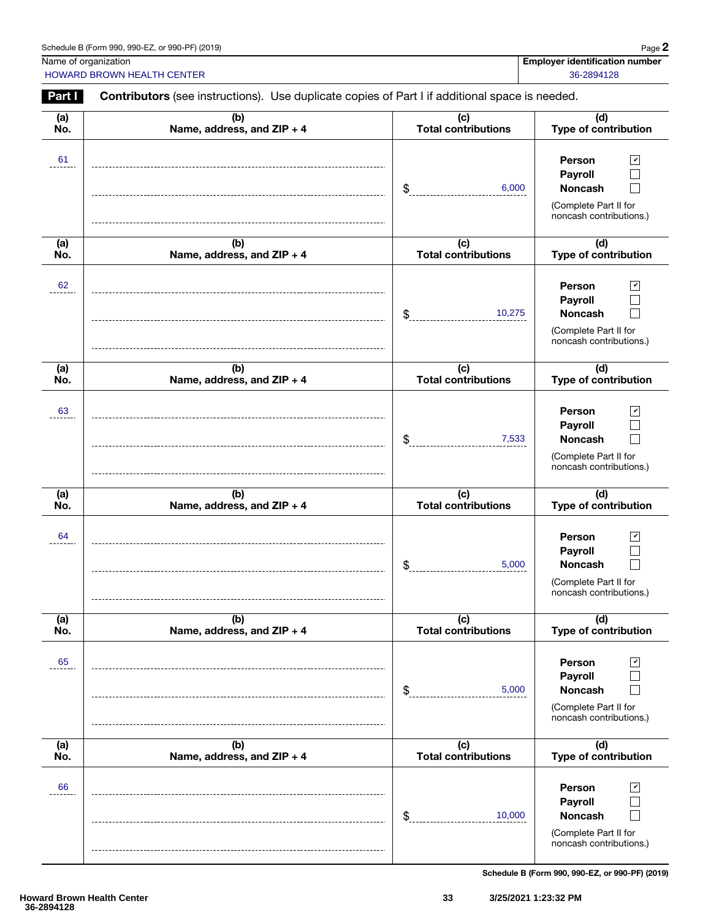| Schedule B (Form 990, 990-EZ, or 990-PF) (2019) | Page |
|-------------------------------------------------|------|
|-------------------------------------------------|------|

HOWARD BROWN HEALTH CENTER **SECURE 2008** 128 and 2008 2894128

| Part I            | <b>Contributors</b> (see instructions). Use duplicate copies of Part I if additional space is needed. |                                   |                                                                                                         |
|-------------------|-------------------------------------------------------------------------------------------------------|-----------------------------------|---------------------------------------------------------------------------------------------------------|
| (a)<br>No.        | (b)<br>Name, address, and ZIP + 4                                                                     | (c)<br><b>Total contributions</b> | (d)<br>Type of contribution                                                                             |
| 61                |                                                                                                       | 6,000<br>\$                       | $\blacktriangledown$<br>Person<br>Payroll<br><b>Noncash</b>                                             |
|                   |                                                                                                       |                                   | (Complete Part II for<br>noncash contributions.)                                                        |
| (a)<br>No.        | (b)<br>Name, address, and ZIP + 4                                                                     | (c)<br><b>Total contributions</b> | (d)<br>Type of contribution                                                                             |
| 62                |                                                                                                       | \$<br>10,275                      | Person<br>$\mathbf{v}$<br>Payroll<br><b>Noncash</b>                                                     |
|                   |                                                                                                       |                                   | (Complete Part II for<br>noncash contributions.)                                                        |
| (a)<br>No.        | (b)<br>Name, address, and ZIP + 4                                                                     | (c)<br><b>Total contributions</b> | (d)<br>Type of contribution                                                                             |
| 63                |                                                                                                       | 7,533<br>\$                       | $\mathbf{v}$<br>Person<br>Payroll<br><b>Noncash</b><br>(Complete Part II for                            |
| (a)               | (b)                                                                                                   | (c)                               | noncash contributions.)<br>(d)                                                                          |
| No.               | Name, address, and ZIP + 4                                                                            | <b>Total contributions</b>        | Type of contribution                                                                                    |
| 64                |                                                                                                       | 5,000<br>\$                       | Person<br>$\mathbf{v}$<br>Payroll<br><b>Noncash</b><br>(Complete Part II for<br>noncash contributions.) |
| (a)<br>No.        | (b)<br>Name, address, and ZIP + 4                                                                     | (c)<br><b>Total contributions</b> | (d)<br>Type of contribution                                                                             |
| 65                |                                                                                                       | 5,000<br>\$                       | Person<br>$\vert\,$<br>Payroll<br><b>Noncash</b><br>(Complete Part II for<br>noncash contributions.)    |
| (a)<br>No.        | (b)<br>Name, address, and ZIP + 4                                                                     | (c)<br><b>Total contributions</b> | (d)<br><b>Type of contribution</b>                                                                      |
| $\underbrace{66}$ |                                                                                                       | 10,000<br>\$                      | Person<br>$\checkmark$<br>Payroll<br><b>Noncash</b><br>(Complete Part II for                            |
|                   |                                                                                                       |                                   | noncash contributions.)                                                                                 |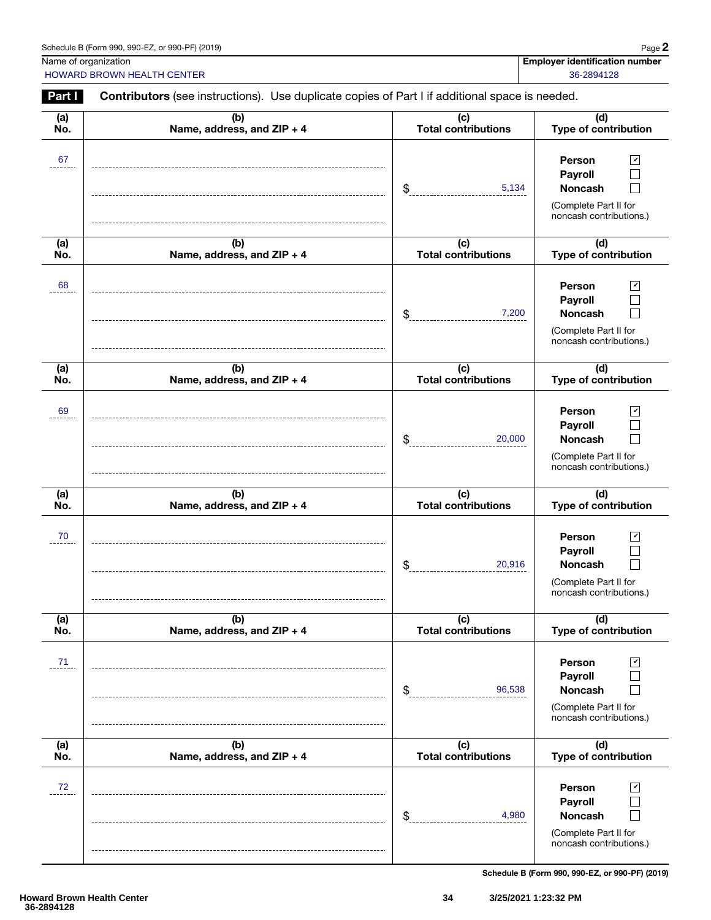| Schedule B (Form 990, 990-EZ, or 990-PF) (2019) | Page |
|-------------------------------------------------|------|
|-------------------------------------------------|------|

Part I Contributors (see instructions). Use duplicate copies of Part I if additional space is needed. HOWARD BROWN HEALTH CENTER **ALL ASSESSED AS A CONSTRUCTED AND ACCOUNT ACCOUNT ACCOUNT ACCOUNT ACCOUNT ACCOUNT ACCOUNT ACCOUNT ACCOUNT ACCOUNT ACCOUNT ACCOUNT ACCOUNT ACCOUNT ACCOUNT ACCOUNT ACCOUNT ACCOUNT ACCOUNT ACCOUNT** 

| rann       | <b>Continuators</b> (See instructions). Ose duplicate copies or Part in additional space is needed. |                                              |                                                                                                                    |
|------------|-----------------------------------------------------------------------------------------------------|----------------------------------------------|--------------------------------------------------------------------------------------------------------------------|
| (a)<br>No. | (b)<br>Name, address, and ZIP + 4                                                                   | (c)<br><b>Total contributions</b>            | (d)<br>Type of contribution                                                                                        |
| 67         |                                                                                                     | \$<br>5,134                                  | Person<br>$\blacktriangledown$<br>Payroll<br>Noncash<br>(Complete Part II for<br>noncash contributions.)           |
| (a)<br>No. | (b)<br>Name, address, and ZIP + 4                                                                   | (c)<br><b>Total contributions</b>            | (d)<br>Type of contribution                                                                                        |
| 68         |                                                                                                     | \$<br>7,200                                  | Person<br>$\blacktriangleright$<br>Payroll<br>Noncash<br>(Complete Part II for<br>noncash contributions.)          |
| (a)<br>No. | (b)<br>Name, address, and ZIP + 4                                                                   | (c)<br><b>Total contributions</b>            | (d)<br>Type of contribution                                                                                        |
| 69         |                                                                                                     | \$<br>20,000                                 | Person<br>ビ<br>Payroll<br>Noncash<br>(Complete Part II for<br>noncash contributions.)                              |
| (a)<br>No. | (b)<br>Name, address, and ZIP + 4                                                                   | (c)<br><b>Total contributions</b>            | (d)<br>Type of contribution                                                                                        |
| 70         |                                                                                                     | \$<br>20,916                                 | Person<br>$\overline{\mathbf{r}}$<br>Payroll<br><b>Noncash</b><br>(Complete Part II for<br>noncash contributions.) |
| (a)<br>No. | (b)<br>Name, address, and ZIP + 4                                                                   | $\overline{c}$<br><b>Total contributions</b> | (d)<br>Type of contribution                                                                                        |
| 71         |                                                                                                     | $\frac{1}{2}$<br>96,538                      | Person<br>$\boxed{\mathbf{v}}$<br>Payroll<br><b>Noncash</b><br>(Complete Part II for<br>noncash contributions.)    |
| (a)<br>No. | (b)<br>Name, address, and ZIP + 4                                                                   | (c)<br><b>Total contributions</b>            | (d)<br>Type of contribution                                                                                        |
| $72 \n---$ |                                                                                                     | \$<br>4,980                                  | Person<br>☑<br>Payroll<br><b>Noncash</b><br>(Complete Part II for<br>noncash contributions.)                       |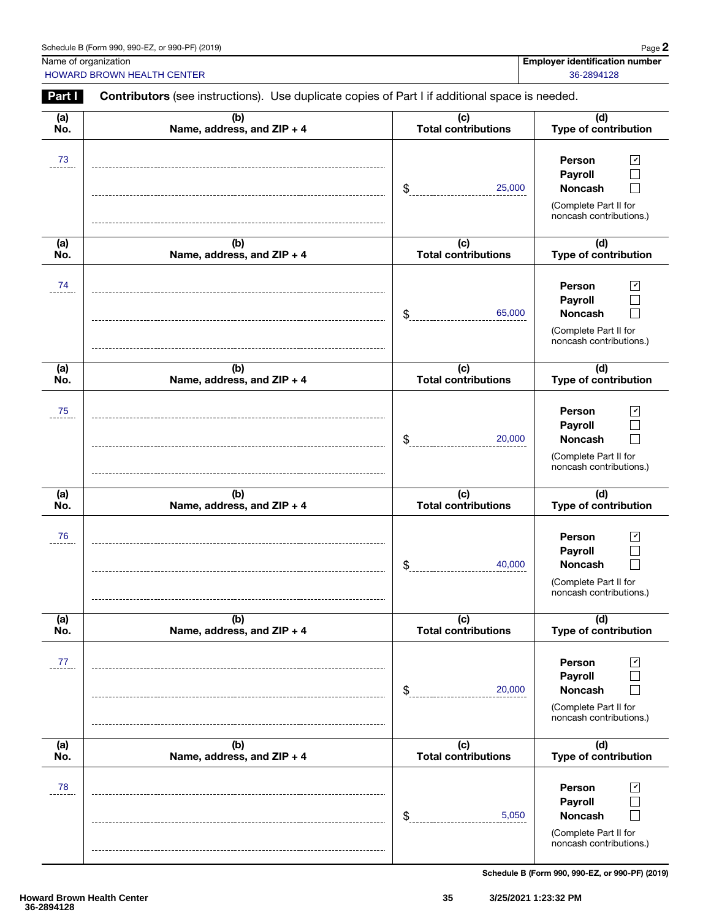| Schedule B (Form 990, 990-EZ, or 990-PF) (2019) | Page |
|-------------------------------------------------|------|
|-------------------------------------------------|------|

HOWARD BROWN HEALTH CENTER **SECURE 2008** 128 and 2008 2894128

| Part I     | <b>Contributors</b> (see instructions). Use duplicate copies of Part I if additional space is needed. |                                   |                                                                                                                   |
|------------|-------------------------------------------------------------------------------------------------------|-----------------------------------|-------------------------------------------------------------------------------------------------------------------|
| (a)<br>No. | (b)<br>Name, address, and ZIP + 4                                                                     | (c)<br><b>Total contributions</b> | (d)<br>Type of contribution                                                                                       |
| 73         |                                                                                                       | 25,000<br>\$                      | <b>Person</b><br>$\vert\mathbf{v}\vert$<br>Payroll<br>Noncash<br>(Complete Part II for<br>noncash contributions.) |
| (a)<br>No. | (b)<br>Name, address, and ZIP + 4                                                                     | (c)<br><b>Total contributions</b> | (d)<br><b>Type of contribution</b>                                                                                |
| 74         |                                                                                                       | 65,000<br>\$                      | <b>Person</b><br>$\blacktriangledown$<br>Payroll<br>Noncash<br>(Complete Part II for<br>noncash contributions.)   |
| (a)<br>No. | (b)<br>Name, address, and ZIP + 4                                                                     | (c)<br><b>Total contributions</b> | (d)<br>Type of contribution                                                                                       |
| 75         |                                                                                                       | 20,000<br>\$                      | Person<br>$\overline{\mathbf{v}}$<br>Payroll<br>Noncash<br>(Complete Part II for<br>noncash contributions.)       |
| (a)<br>No. | (b)<br>Name, address, and ZIP + 4                                                                     | (c)<br><b>Total contributions</b> | (d)<br>Type of contribution                                                                                       |
| 76         |                                                                                                       | 40,000<br>\$                      | Person<br>$\mathbf{v}$<br>Payroll<br>Noncash<br>(Complete Part II for<br>noncash contributions.)                  |
| (a)<br>No. | (b)<br>Name, address, and ZIP + 4                                                                     | (c)<br><b>Total contributions</b> | (d)<br>Type of contribution                                                                                       |
| 77         |                                                                                                       | 20,000<br>\$                      | Person<br>V<br>Payroll<br><b>Noncash</b><br>(Complete Part II for<br>noncash contributions.)                      |
| (a)<br>No. | (b)<br>Name, address, and ZIP + 4                                                                     | (c)<br><b>Total contributions</b> | (d)<br>Type of contribution                                                                                       |
| 78         |                                                                                                       | 5,050<br>\$                       | Person<br>$\checkmark$<br>Payroll<br>Noncash<br>(Complete Part II for<br>noncash contributions.)                  |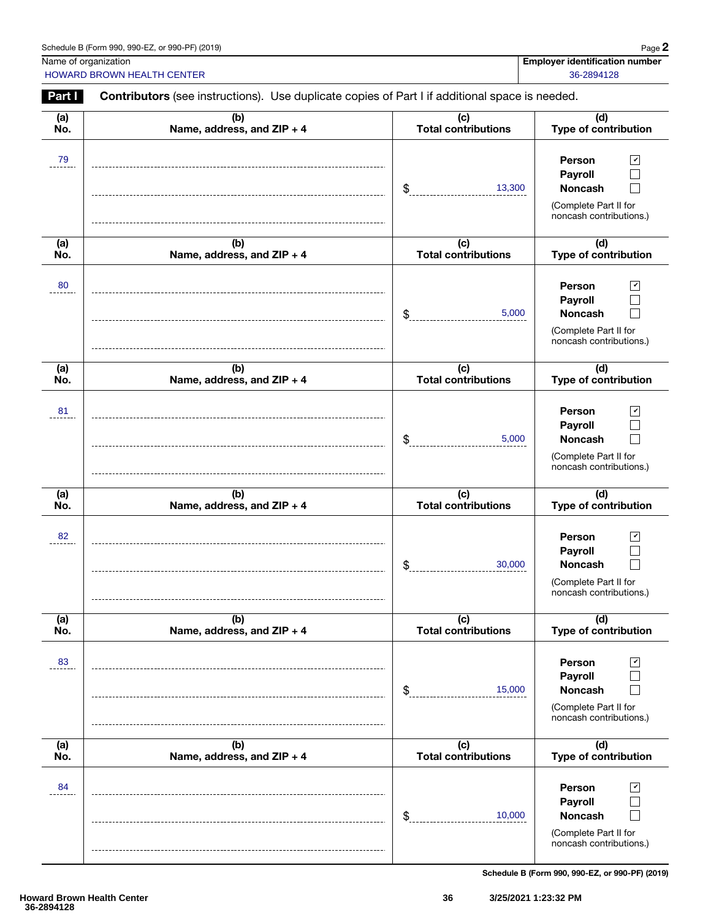| Schedule B (Form 990, 990-EZ, or 990-PF) (2019) | Page |
|-------------------------------------------------|------|
|-------------------------------------------------|------|

HOWARD BROWN HEALTH CENTER **SECURE 2008** 128 and 2008 2894128

| Part I     | <b>Contributors</b> (see instructions). Use duplicate copies of Part I if additional space is needed. |                                   |                                                                                                                  |  |  |
|------------|-------------------------------------------------------------------------------------------------------|-----------------------------------|------------------------------------------------------------------------------------------------------------------|--|--|
| (a)<br>No. | (b)<br>Name, address, and ZIP + 4                                                                     | (c)<br><b>Total contributions</b> | (d)<br>Type of contribution                                                                                      |  |  |
| 79         |                                                                                                       | \$<br>13,300                      | $\mathbf{v}$<br>Person<br>Payroll<br><b>Noncash</b><br>(Complete Part II for<br>noncash contributions.)          |  |  |
| (a)<br>No. | (b)<br>Name, address, and ZIP + 4                                                                     | (c)<br><b>Total contributions</b> | (d)<br>Type of contribution                                                                                      |  |  |
| 80         |                                                                                                       | \$<br>5,000                       | $\blacktriangleright$<br>Person<br>Payroll<br><b>Noncash</b><br>(Complete Part II for<br>noncash contributions.) |  |  |
| (a)<br>No. | (b)<br>Name, address, and ZIP + 4                                                                     | (c)<br><b>Total contributions</b> | (d)<br>Type of contribution                                                                                      |  |  |
| 81         |                                                                                                       | 5,000<br>\$                       | Person<br>$\sqrt{ }$<br>Payroll<br><b>Noncash</b><br>(Complete Part II for<br>noncash contributions.)            |  |  |
| (a)<br>No. | (b)<br>Name, address, and ZIP + 4                                                                     | (c)<br><b>Total contributions</b> | (d)<br>Type of contribution                                                                                      |  |  |
| 82         |                                                                                                       | 30,000<br>\$                      | Person<br>⊻<br>Payroll<br><b>Noncash</b><br>(Complete Part II for<br>noncash contributions.)                     |  |  |
| (a)<br>No. | (b)<br>Name, address, and ZIP + 4                                                                     | (c)<br><b>Total contributions</b> | (d)<br>Type of contribution                                                                                      |  |  |
| 83         |                                                                                                       | 15,000<br>\$                      | Person<br>$\vert\mathbf{v}\vert$<br>Payroll<br>Noncash<br>(Complete Part II for<br>noncash contributions.)       |  |  |
| (a)<br>No. | (b)<br>Name, address, and ZIP + 4                                                                     | (c)<br><b>Total contributions</b> | (d)<br>Type of contribution                                                                                      |  |  |
| 84         |                                                                                                       | \$<br>10,000                      | Person<br>$ \mathbf{v} $<br>Payroll<br><b>Noncash</b><br>(Complete Part II for<br>noncash contributions.)        |  |  |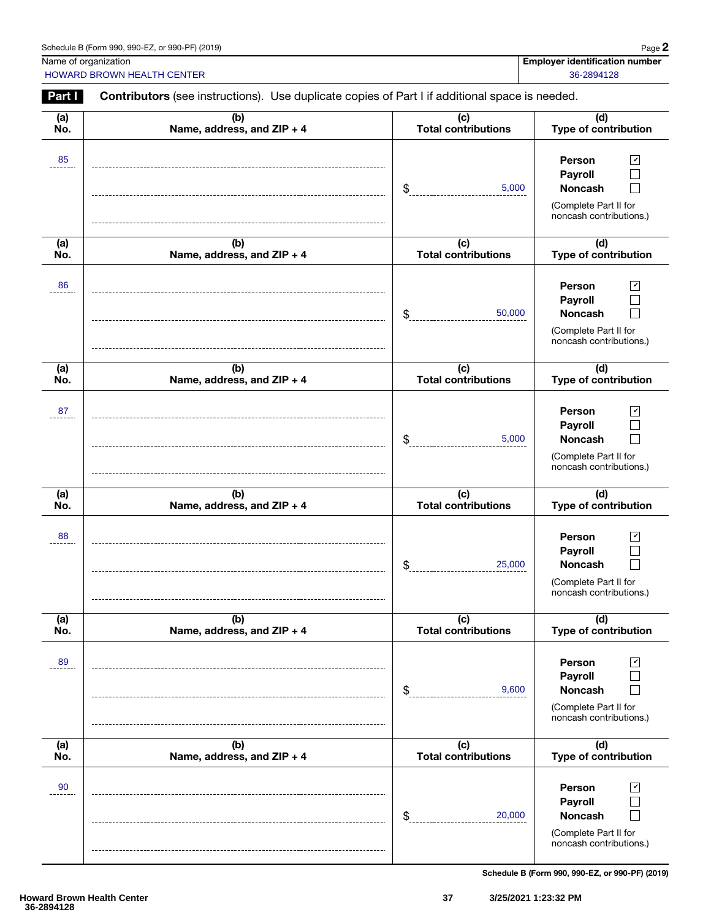| Schedule B (Form 990, 990-EZ, or 990-PF) (2019) | Page |
|-------------------------------------------------|------|
|-------------------------------------------------|------|

HOWARD BROWN HEALTH CENTER **SECURE 2008** 128 and 2008 2894128

| <b>Part I</b> | <b>Contributors</b> (see instructions). Use duplicate copies of Part I if additional space is needed. |                                   |                                                                                                         |  |
|---------------|-------------------------------------------------------------------------------------------------------|-----------------------------------|---------------------------------------------------------------------------------------------------------|--|
| (a)<br>No.    | (b)<br>(c)<br>Total contributions<br>Name, address, and ZIP + 4                                       |                                   | (d)<br>Type of contribution                                                                             |  |
| 85            |                                                                                                       | 5,000<br>\$                       | Person<br>$\mathbf{v}$<br>Payroll<br>Noncash                                                            |  |
|               |                                                                                                       |                                   | (Complete Part II for<br>noncash contributions.)                                                        |  |
| (a)<br>No.    | (b)<br>Name, address, and ZIP + 4                                                                     | (c)<br>Total contributions        | (d)<br>Type of contribution                                                                             |  |
| 86            |                                                                                                       | 50,000<br>\$                      | Person<br>$\mathbf{v}$<br><b>Payroll</b><br><b>Noncash</b>                                              |  |
|               |                                                                                                       |                                   | (Complete Part II for<br>noncash contributions.)                                                        |  |
| (a)<br>No.    | (b)<br>Name, address, and ZIP + 4                                                                     | (c)<br><b>Total contributions</b> | (d)<br>Type of contribution                                                                             |  |
| 87            |                                                                                                       | 5,000<br>\$                       | $\mathbf{v}$<br>Person<br><b>Payroll</b><br><b>Noncash</b>                                              |  |
|               |                                                                                                       |                                   | (Complete Part II for<br>noncash contributions.)                                                        |  |
| (a)<br>No.    | (b)<br>Name, address, and ZIP + 4                                                                     | (c)<br><b>Total contributions</b> | (d)<br>Type of contribution                                                                             |  |
| 88            |                                                                                                       | 25,000<br>\$                      | Person<br>$\mathbf{v}$<br>Payroll<br>Noncash<br>Г<br>(Complete Part II for<br>noncash contributions.)   |  |
| (a)<br>No.    | (b)<br>Name, address, and ZIP + 4                                                                     | (c)<br><b>Total contributions</b> | (d)<br><b>Type of contribution</b>                                                                      |  |
| 89            |                                                                                                       | 9,600<br>\$                       | Person<br>$\vert\,$<br>Payroll<br>Noncash<br>(Complete Part II for<br>noncash contributions.)           |  |
| (a)<br>No.    | (b)<br>Name, address, and ZIP + 4                                                                     | (c)<br><b>Total contributions</b> | (d)<br><b>Type of contribution</b>                                                                      |  |
| 90            |                                                                                                       | 20,000<br>\$                      | Person<br>$\checkmark$<br>Payroll<br><b>Noncash</b><br>(Complete Part II for<br>noncash contributions.) |  |
|               |                                                                                                       |                                   |                                                                                                         |  |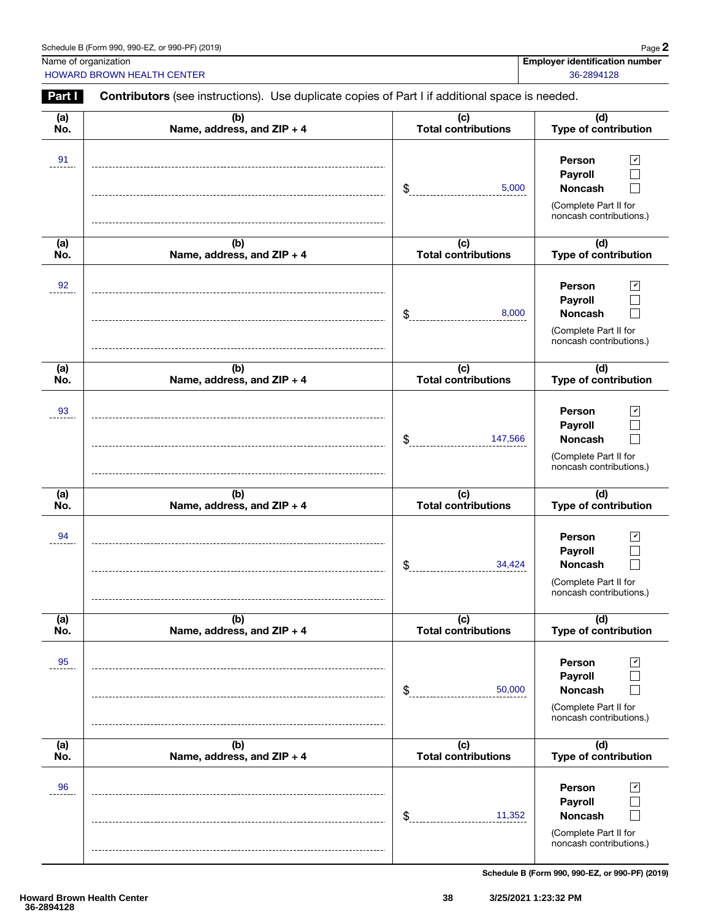| Schedule B (Form 990, 990-EZ, or 990-PF) (2019) | Page |
|-------------------------------------------------|------|
|-------------------------------------------------|------|

HOWARD BROWN HEALTH CENTER **SECURE 2008** 128 and 2008 2894128

| <b>Part I</b>  | <b>Contributors</b> (see instructions). Use duplicate copies of Part I if additional space is needed. |                                   |                                                                                                                 |  |  |
|----------------|-------------------------------------------------------------------------------------------------------|-----------------------------------|-----------------------------------------------------------------------------------------------------------------|--|--|
| (a)<br>No.     | (b)<br>Name, address, and ZIP + 4                                                                     | (c)<br>Total contributions        | (d)<br>Type of contribution                                                                                     |  |  |
| 91             |                                                                                                       | 5,000<br>\$                       | $\sqrt{ }$<br>Person<br>Payroll<br>L.<br><b>Noncash</b>                                                         |  |  |
|                |                                                                                                       |                                   | (Complete Part II for<br>noncash contributions.)                                                                |  |  |
| (a)<br>No.     | (b)<br>Name, address, and ZIP + 4                                                                     | (c)<br><b>Total contributions</b> | (d)<br>Type of contribution                                                                                     |  |  |
| 92             |                                                                                                       | \$<br>8,000                       | $\blacktriangleright$<br>Person<br>Payroll<br>L.<br><b>Noncash</b>                                              |  |  |
|                |                                                                                                       |                                   | (Complete Part II for<br>noncash contributions.)                                                                |  |  |
| (a)<br>No.     | (b)<br>Name, address, and ZIP + 4                                                                     | (c)<br><b>Total contributions</b> | (d)<br>Type of contribution                                                                                     |  |  |
| 93             |                                                                                                       | 147,566<br>\$                     | $\sqrt{ }$<br>Person<br>Payroll<br><b>Noncash</b><br>$\Box$                                                     |  |  |
|                |                                                                                                       |                                   | (Complete Part II for<br>noncash contributions.)                                                                |  |  |
| (a)<br>No.     | (b)<br>Name, address, and ZIP + 4                                                                     | (c)<br><b>Total contributions</b> | (d)<br>Type of contribution                                                                                     |  |  |
| 94             |                                                                                                       | \$<br>34,424                      | $\sqrt{2}$<br>Person<br>Payroll<br>Noncash<br>$\Box$<br>(Complete Part II for<br>noncash contributions.)        |  |  |
| (a)<br>No.     | (b)<br>Name, address, and ZIP + 4                                                                     | (c)<br><b>Total contributions</b> | (d)<br>Type of contribution                                                                                     |  |  |
| $\frac{95}{1}$ |                                                                                                       | 50,000<br>\$                      | $\blacktriangledown$<br>Person<br>Payroll<br><b>Noncash</b><br>(Complete Part II for<br>noncash contributions.) |  |  |
| (a)<br>No.     | (b)<br>Name, address, and ZIP + 4                                                                     | (c)<br><b>Total contributions</b> | (d)<br>Type of contribution                                                                                     |  |  |
| 96             |                                                                                                       | 11,352<br>\$                      | $\overline{\mathbf{v}}$<br>Person<br>Payroll<br><b>Noncash</b><br>(Complete Part II for                         |  |  |
|                |                                                                                                       |                                   | noncash contributions.)                                                                                         |  |  |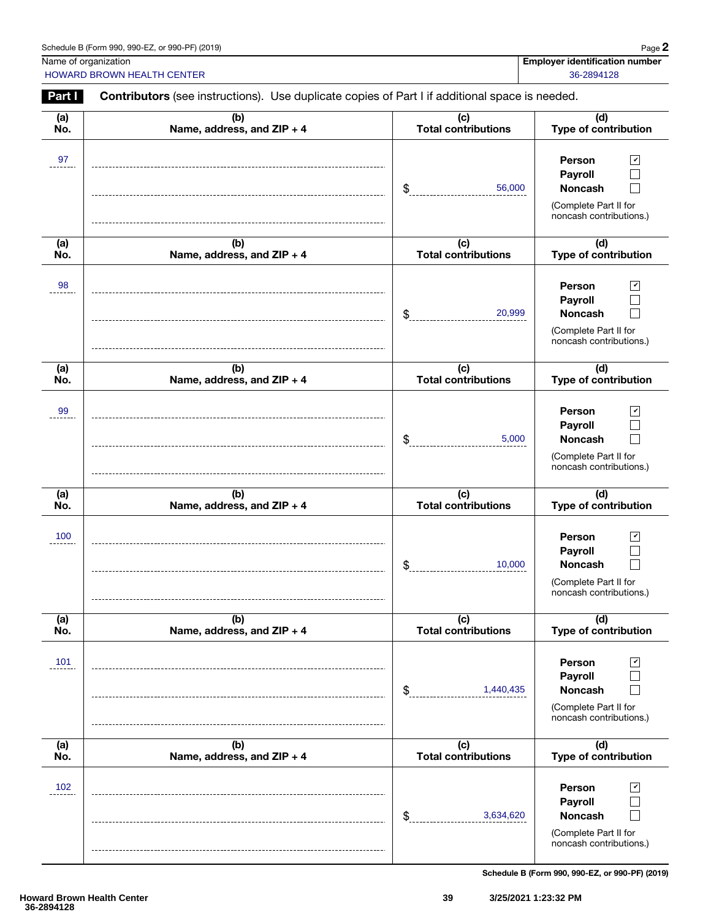| Schedule B (Form 990, 990-EZ, or 990-PF) (2019) | Page |
|-------------------------------------------------|------|
|-------------------------------------------------|------|

HOWARD BROWN HEALTH CENTER **SECURE 2008** 128 and 2008 2894128

| Part I     | <b>Contributors</b> (see instructions). Use duplicate copies of Part I if additional space is needed. |                                   |                                                                                                         |  |  |
|------------|-------------------------------------------------------------------------------------------------------|-----------------------------------|---------------------------------------------------------------------------------------------------------|--|--|
| (a)<br>No. | (b)<br>Name, address, and ZIP + 4                                                                     | (c)<br><b>Total contributions</b> | (d)<br>Type of contribution                                                                             |  |  |
| 97         |                                                                                                       | \$<br>56,000                      | $\blacktriangledown$<br>Person<br>Payroll<br><b>Noncash</b>                                             |  |  |
|            |                                                                                                       |                                   | (Complete Part II for<br>noncash contributions.)                                                        |  |  |
| (a)<br>No. | (b)<br>Name, address, and ZIP + 4                                                                     | (c)<br><b>Total contributions</b> | (d)<br>Type of contribution                                                                             |  |  |
| 98         |                                                                                                       | \$<br>20,999                      | Person<br>$\mathbf{v}$<br>Payroll<br><b>Noncash</b>                                                     |  |  |
|            |                                                                                                       |                                   | (Complete Part II for<br>noncash contributions.)                                                        |  |  |
| (a)<br>No. | (b)<br>Name, address, and ZIP + 4                                                                     | (c)<br><b>Total contributions</b> | (d)<br>Type of contribution                                                                             |  |  |
| 99         |                                                                                                       | 5,000<br>\$                       | $\mathbf{v}$<br>Person<br>Payroll<br><b>Noncash</b><br>(Complete Part II for<br>noncash contributions.) |  |  |
| (a)<br>No. | (b)<br>Name, address, and ZIP + 4                                                                     | (c)<br><b>Total contributions</b> | (d)<br>Type of contribution                                                                             |  |  |
| 100        |                                                                                                       | 10,000<br>\$                      | Person<br>$\mathbf{v}$<br>Payroll<br><b>Noncash</b><br>(Complete Part II for<br>noncash contributions.) |  |  |
| (a)<br>No. | (b)<br>Name, address, and ZIP + 4                                                                     | (c)<br><b>Total contributions</b> | (d)<br><b>Type of contribution</b>                                                                      |  |  |
| 101        |                                                                                                       | 1,440,435<br>\$                   | Person<br>$\vert\,$<br>Payroll<br><b>Noncash</b><br>(Complete Part II for<br>noncash contributions.)    |  |  |
| (a)<br>No. | (b)<br>Name, address, and ZIP + 4                                                                     | (c)<br><b>Total contributions</b> | (d)<br><b>Type of contribution</b>                                                                      |  |  |
| 102        |                                                                                                       | 3,634,620<br>\$                   | Person<br>$\checkmark$<br>Payroll<br><b>Noncash</b><br>(Complete Part II for<br>noncash contributions.) |  |  |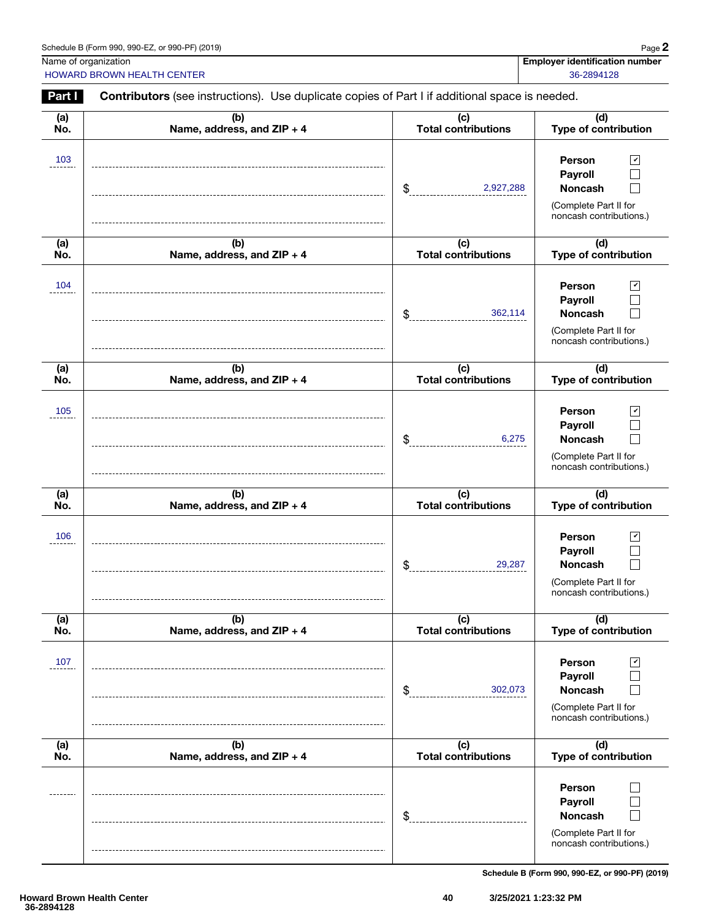| Schedule B (Form 990, 990-EZ, or 990-PF) (2019) | $P$ age $\geq$ |
|-------------------------------------------------|----------------|
|-------------------------------------------------|----------------|

HOWARD BROWN HEALTH CENTER **SECURE 2008** 128 and 2008 2894128

| Part I     | <b>Contributors</b> (see instructions). Use duplicate copies of Part I if additional space is needed. |                                   |                                                                                                                   |
|------------|-------------------------------------------------------------------------------------------------------|-----------------------------------|-------------------------------------------------------------------------------------------------------------------|
| (a)<br>No. | (b)<br>Name, address, and ZIP + 4                                                                     | (c)<br><b>Total contributions</b> | (d)<br>Type of contribution                                                                                       |
| 103        |                                                                                                       | \$<br>2,927,288                   | $\mathbf{v}$<br>Person<br>Payroll<br><b>Noncash</b><br>(Complete Part II for<br>noncash contributions.)           |
| (a)<br>No. | (b)<br>Name, address, and ZIP + 4                                                                     | (c)<br><b>Total contributions</b> | (d)<br>Type of contribution                                                                                       |
| 104        |                                                                                                       | \$<br>362,114                     | $\blacktriangleright$<br>Person<br>Payroll<br><b>Noncash</b><br>(Complete Part II for<br>noncash contributions.)  |
| (a)<br>No. | (b)<br>Name, address, and ZIP + 4                                                                     | (c)<br><b>Total contributions</b> | (d)<br>Type of contribution                                                                                       |
| 105        |                                                                                                       | 6,275<br>\$                       | Person<br>$\sqrt{ }$<br>Payroll<br><b>Noncash</b><br>(Complete Part II for<br>noncash contributions.)             |
| (a)<br>No. | (b)<br>Name, address, and ZIP + 4                                                                     | (c)<br><b>Total contributions</b> | (d)<br>Type of contribution                                                                                       |
| 106        |                                                                                                       | 29,287<br>\$                      | Person<br>⊻<br>Payroll<br>Noncash<br>(Complete Part II for<br>noncash contributions.)                             |
| (a)<br>No. | (b)<br>Name, address, and ZIP + 4                                                                     | (c)<br><b>Total contributions</b> | (d)<br>Type of contribution                                                                                       |
| 107        |                                                                                                       | \$<br>302,073                     | Person<br>$\vert\mathbf{v}\vert$<br>Payroll<br><b>Noncash</b><br>(Complete Part II for<br>noncash contributions.) |
| (a)<br>No. | (b)<br>Name, address, and ZIP + 4                                                                     | (c)<br><b>Total contributions</b> | (d)<br>Type of contribution                                                                                       |
|            |                                                                                                       | \$                                | Person<br>Payroll<br><b>Noncash</b><br>(Complete Part II for<br>noncash contributions.)                           |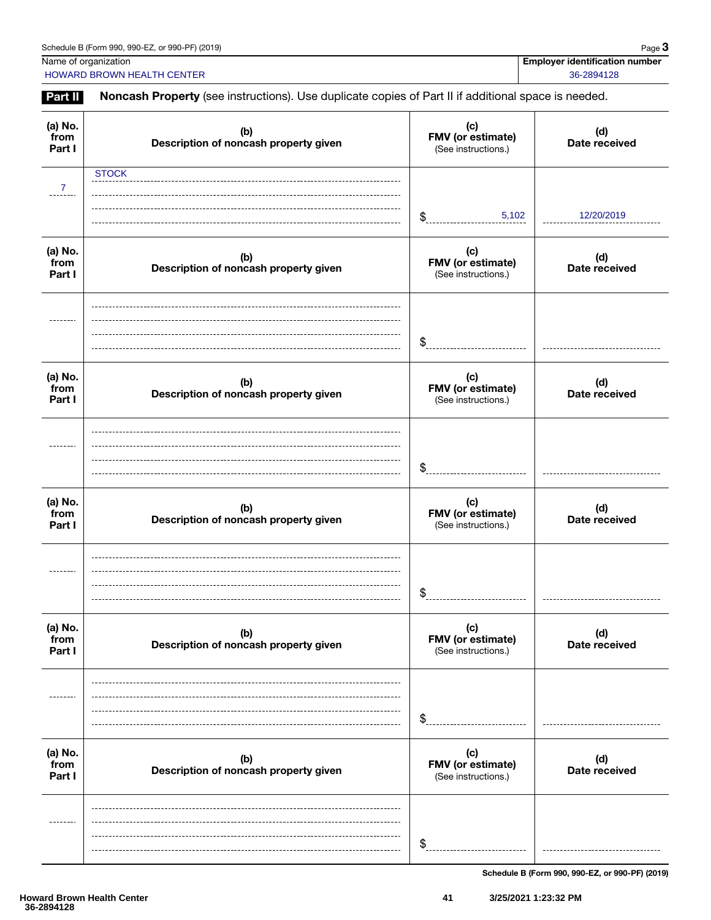Name of organization **Employer identification number**<br>
HOWARD BROWN HEALTH CENTER<br>  $36-2894128$ 

HOWARD BROWN HEALTH CENTER

Part II Noncash Property (see instructions). Use duplicate copies of Part II if additional space is needed.

| (a) No.<br>from<br>Part I | (b)<br>Description of noncash property given | (c)<br>FMV (or estimate)<br>(See instructions.) | (d)<br>Date received |
|---------------------------|----------------------------------------------|-------------------------------------------------|----------------------|
| $\mathbf{7}$              | <b>STOCK</b>                                 |                                                 |                      |
|                           |                                              | \$<br>5,102                                     | 12/20/2019           |
| (a) No.<br>from<br>Part I | (b)<br>Description of noncash property given | (c)<br>FMV (or estimate)<br>(See instructions.) | (d)<br>Date received |
|                           |                                              | \$                                              |                      |
|                           |                                              |                                                 |                      |
| (a) No.<br>from<br>Part I | (b)<br>Description of noncash property given | (c)<br>FMV (or estimate)<br>(See instructions.) | (d)<br>Date received |
|                           |                                              |                                                 |                      |
|                           |                                              | \$                                              |                      |
| (a) No.<br>from<br>Part I | (b)<br>Description of noncash property given | (c)<br>FMV (or estimate)<br>(See instructions.) | (d)<br>Date received |
|                           |                                              |                                                 |                      |
|                           |                                              | \$                                              |                      |
|                           |                                              |                                                 |                      |
| (a) No.<br>from<br>Part I | (b)<br>Description of noncash property given | (c)<br>FMV (or estimate)<br>(See instructions.) | (d)<br>Date received |
|                           |                                              |                                                 |                      |
|                           |                                              | $\frac{1}{2}$                                   |                      |
| (a) No.<br>from<br>Part I | (b)<br>Description of noncash property given | (c)<br>FMV (or estimate)<br>(See instructions.) | (d)<br>Date received |
|                           |                                              |                                                 |                      |
|                           |                                              | $\frac{1}{2}$                                   |                      |

**Howard Brown Health Center 36-2894128**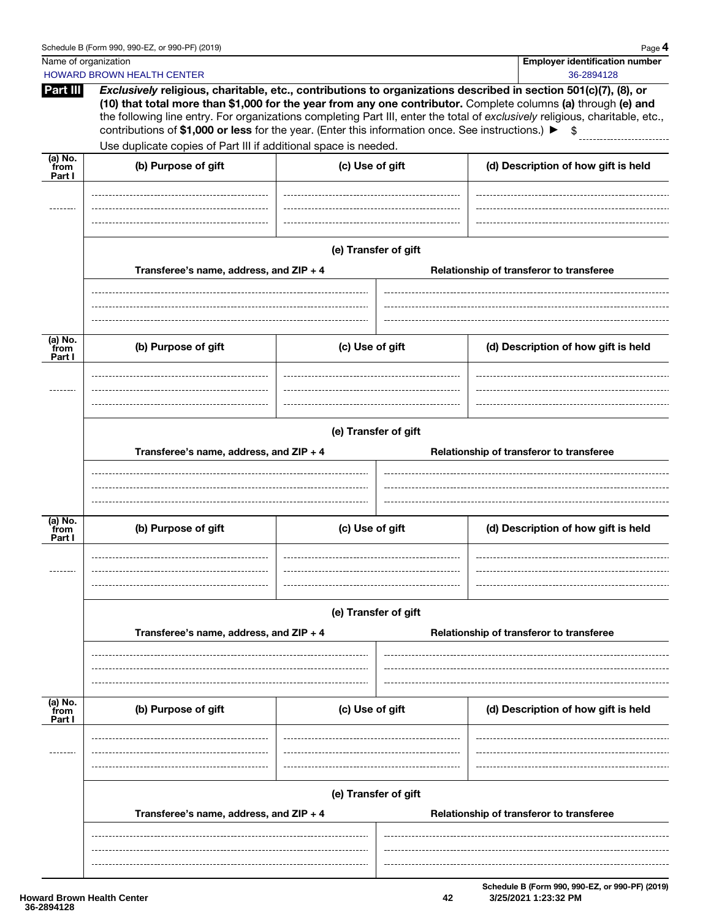|                             | Schedule B (Form 990, 990-EZ, or 990-PF) (2019)                                                                       |                      |  | Page 4                                                                                                                                                                                                                                                                                                                                                                   |
|-----------------------------|-----------------------------------------------------------------------------------------------------------------------|----------------------|--|--------------------------------------------------------------------------------------------------------------------------------------------------------------------------------------------------------------------------------------------------------------------------------------------------------------------------------------------------------------------------|
| Name of organization        | <b>HOWARD BROWN HEALTH CENTER</b>                                                                                     |                      |  | <b>Employer identification number</b><br>36-2894128                                                                                                                                                                                                                                                                                                                      |
| Part III                    | contributions of \$1,000 or less for the year. (Enter this information once. See instructions.) $\blacktriangleright$ |                      |  | Exclusively religious, charitable, etc., contributions to organizations described in section 501(c)(7), (8), or<br>(10) that total more than \$1,000 for the year from any one contributor. Complete columns (a) through (e) and<br>the following line entry. For organizations completing Part III, enter the total of exclusively religious, charitable, etc.,<br>- \$ |
|                             | Use duplicate copies of Part III if additional space is needed.                                                       |                      |  |                                                                                                                                                                                                                                                                                                                                                                          |
| $(a)$ No.<br>from<br>Part I | (b) Purpose of gift                                                                                                   | (c) Use of gift      |  | (d) Description of how gift is held                                                                                                                                                                                                                                                                                                                                      |
|                             | Transferee's name, address, and ZIP + 4                                                                               | (e) Transfer of gift |  | Relationship of transferor to transferee                                                                                                                                                                                                                                                                                                                                 |
|                             |                                                                                                                       |                      |  |                                                                                                                                                                                                                                                                                                                                                                          |
| (a) No.<br>from<br>Part I   | (b) Purpose of gift                                                                                                   | (c) Use of gift      |  | (d) Description of how gift is held                                                                                                                                                                                                                                                                                                                                      |
|                             | Transferee's name, address, and ZIP + 4                                                                               | (e) Transfer of gift |  | Relationship of transferor to transferee                                                                                                                                                                                                                                                                                                                                 |
| (a) No.<br>from<br>Part I   | (b) Purpose of gift                                                                                                   | (c) Use of gift      |  | (d) Description of how gift is held                                                                                                                                                                                                                                                                                                                                      |
|                             | Transferee's name, address, and ZIP + 4                                                                               | (e) Transfer of gift |  | Relationship of transferor to transferee                                                                                                                                                                                                                                                                                                                                 |
|                             |                                                                                                                       |                      |  |                                                                                                                                                                                                                                                                                                                                                                          |
| (a) No.<br>from<br>Part I   | (b) Purpose of gift                                                                                                   | (c) Use of gift      |  | (d) Description of how gift is held                                                                                                                                                                                                                                                                                                                                      |
|                             | (e) Transfer of gift                                                                                                  |                      |  |                                                                                                                                                                                                                                                                                                                                                                          |
|                             | Transferee's name, address, and ZIP + 4                                                                               |                      |  | Relationship of transferor to transferee                                                                                                                                                                                                                                                                                                                                 |
|                             |                                                                                                                       |                      |  | Schedule B (Form 990, 990-EZ, or 990-PF) (2019)                                                                                                                                                                                                                                                                                                                          |

**42 3/25/2021 1:23:32 PM**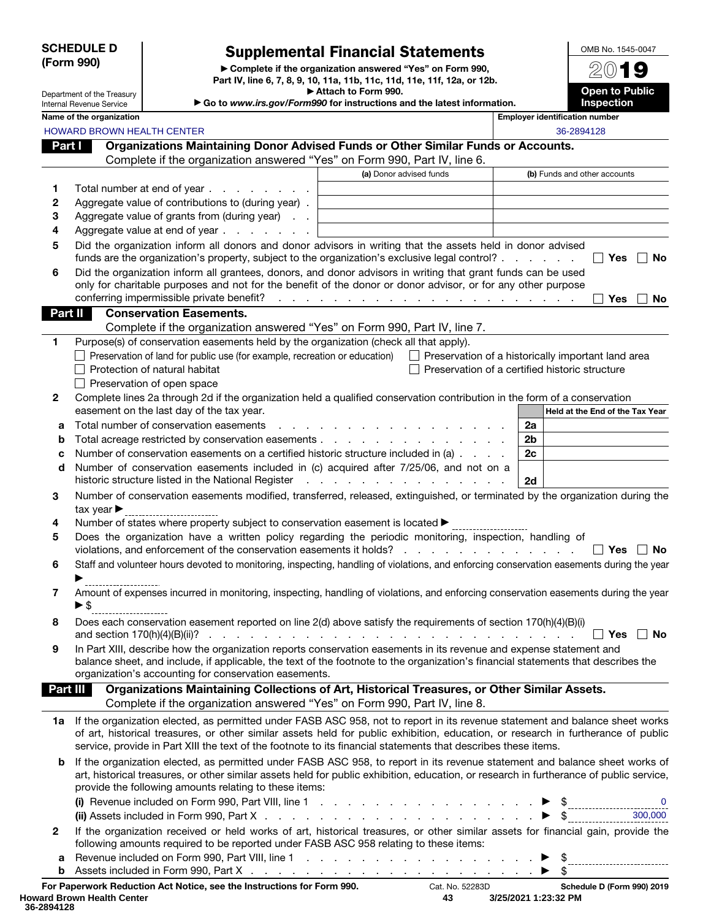| <b>SCHEDULE D</b> |
|-------------------|
| (Form 990)        |

# Supplemental Financial Statements

▶ Complete if the organization answered "Yes" on Form 990, Part IV, line 6, 7, 8, 9, 10, 11a, 11b, 11c, 11d, 11e, 11f, 12a, or 12b. ▶ Attach to Form 990.

Open to Public

OMB No. 1545-0047 2019

|          | Department of the Treasury<br>Internal Revenue Service | Go to www.irs.gov/Form990 for instructions and the latest information.                                                                                                                                                                                                                                                                                                                                                                                      | r Allauli lu Fuilli 990. |                                                                                                                                                                                                                                | орен кот<br>uvilv<br><b>Inspection</b>                    |
|----------|--------------------------------------------------------|-------------------------------------------------------------------------------------------------------------------------------------------------------------------------------------------------------------------------------------------------------------------------------------------------------------------------------------------------------------------------------------------------------------------------------------------------------------|--------------------------|--------------------------------------------------------------------------------------------------------------------------------------------------------------------------------------------------------------------------------|-----------------------------------------------------------|
|          | Name of the organization                               |                                                                                                                                                                                                                                                                                                                                                                                                                                                             |                          |                                                                                                                                                                                                                                | <b>Employer identification number</b>                     |
|          | HOWARD BROWN HEALTH CENTER                             |                                                                                                                                                                                                                                                                                                                                                                                                                                                             |                          |                                                                                                                                                                                                                                | 36-2894128                                                |
| Part I   |                                                        | Organizations Maintaining Donor Advised Funds or Other Similar Funds or Accounts.                                                                                                                                                                                                                                                                                                                                                                           |                          |                                                                                                                                                                                                                                |                                                           |
|          |                                                        | Complete if the organization answered "Yes" on Form 990, Part IV, line 6.                                                                                                                                                                                                                                                                                                                                                                                   |                          |                                                                                                                                                                                                                                |                                                           |
|          |                                                        |                                                                                                                                                                                                                                                                                                                                                                                                                                                             |                          | (a) Donor advised funds                                                                                                                                                                                                        | (b) Funds and other accounts                              |
| 1        |                                                        | Total number at end of year                                                                                                                                                                                                                                                                                                                                                                                                                                 |                          |                                                                                                                                                                                                                                |                                                           |
| 2        |                                                        | Aggregate value of contributions to (during year).                                                                                                                                                                                                                                                                                                                                                                                                          |                          |                                                                                                                                                                                                                                |                                                           |
| 3        |                                                        | Aggregate value of grants from (during year)                                                                                                                                                                                                                                                                                                                                                                                                                |                          |                                                                                                                                                                                                                                |                                                           |
| 4        |                                                        | Aggregate value at end of year                                                                                                                                                                                                                                                                                                                                                                                                                              |                          |                                                                                                                                                                                                                                |                                                           |
| 5        |                                                        | Did the organization inform all donors and donor advisors in writing that the assets held in donor advised<br>funds are the organization's property, subject to the organization's exclusive legal control?                                                                                                                                                                                                                                                 |                          |                                                                                                                                                                                                                                | Yes<br><b>No</b>                                          |
| 6        |                                                        | Did the organization inform all grantees, donors, and donor advisors in writing that grant funds can be used<br>only for charitable purposes and not for the benefit of the donor or donor advisor, or for any other purpose<br>conferring impermissible private benefit?                                                                                                                                                                                   |                          | and the contract of the contract of the contract of the contract of                                                                                                                                                            | Yes<br><b>No</b>                                          |
| Part II  |                                                        | <b>Conservation Easements.</b>                                                                                                                                                                                                                                                                                                                                                                                                                              |                          |                                                                                                                                                                                                                                |                                                           |
|          |                                                        | Complete if the organization answered "Yes" on Form 990, Part IV, line 7.                                                                                                                                                                                                                                                                                                                                                                                   |                          |                                                                                                                                                                                                                                |                                                           |
| 1        |                                                        | Purpose(s) of conservation easements held by the organization (check all that apply).                                                                                                                                                                                                                                                                                                                                                                       |                          |                                                                                                                                                                                                                                |                                                           |
|          |                                                        | Preservation of land for public use (for example, recreation or education)                                                                                                                                                                                                                                                                                                                                                                                  |                          |                                                                                                                                                                                                                                | $\Box$ Preservation of a historically important land area |
|          |                                                        | Protection of natural habitat                                                                                                                                                                                                                                                                                                                                                                                                                               |                          |                                                                                                                                                                                                                                | Preservation of a certified historic structure            |
|          |                                                        | $\Box$ Preservation of open space                                                                                                                                                                                                                                                                                                                                                                                                                           |                          |                                                                                                                                                                                                                                |                                                           |
| 2        |                                                        | Complete lines 2a through 2d if the organization held a qualified conservation contribution in the form of a conservation<br>easement on the last day of the tax year.                                                                                                                                                                                                                                                                                      |                          |                                                                                                                                                                                                                                | Held at the End of the Tax Year                           |
| а        |                                                        | Total number of conservation easements                                                                                                                                                                                                                                                                                                                                                                                                                      |                          | .                                                                                                                                                                                                                              | 2a                                                        |
| b        |                                                        |                                                                                                                                                                                                                                                                                                                                                                                                                                                             |                          |                                                                                                                                                                                                                                | 2b                                                        |
| c        |                                                        | Number of conservation easements on a certified historic structure included in (a)                                                                                                                                                                                                                                                                                                                                                                          |                          |                                                                                                                                                                                                                                | 2c                                                        |
| d        |                                                        | Number of conservation easements included in (c) acquired after 7/25/06, and not on a<br>historic structure listed in the National Register                                                                                                                                                                                                                                                                                                                 |                          | a construction of the construction of the construction of the construction of the construction of the construction of the construction of the construction of the construction of the construction of the construction of the  | 2d                                                        |
| 3        | tax year $\blacktriangleright$                         | Number of conservation easements modified, transferred, released, extinguished, or terminated by the organization during the                                                                                                                                                                                                                                                                                                                                |                          |                                                                                                                                                                                                                                |                                                           |
| 4        |                                                        | Number of states where property subject to conservation easement is located ▶                                                                                                                                                                                                                                                                                                                                                                               |                          |                                                                                                                                                                                                                                |                                                           |
| 5        |                                                        | Does the organization have a written policy regarding the periodic monitoring, inspection, handling of<br>violations, and enforcement of the conservation easements it holds?                                                                                                                                                                                                                                                                               |                          | the second contract of the second contract of the second contract of the second contract of the second contract of the second contract of the second contract of the second contract of the second contract of the second cont | Yes<br>No.                                                |
| 6        |                                                        | Staff and volunteer hours devoted to monitoring, inspecting, handling of violations, and enforcing conservation easements during the year                                                                                                                                                                                                                                                                                                                   |                          |                                                                                                                                                                                                                                |                                                           |
| 7        | $\blacktriangleright$ \$                               | Amount of expenses incurred in monitoring, inspecting, handling of violations, and enforcing conservation easements during the year                                                                                                                                                                                                                                                                                                                         |                          |                                                                                                                                                                                                                                |                                                           |
| 8        |                                                        | Does each conservation easement reported on line 2(d) above satisfy the requirements of section 170(h)(4)(B)(i)                                                                                                                                                                                                                                                                                                                                             |                          |                                                                                                                                                                                                                                | $Yes \Box No$                                             |
| 9        |                                                        | In Part XIII, describe how the organization reports conservation easements in its revenue and expense statement and<br>balance sheet, and include, if applicable, the text of the footnote to the organization's financial statements that describes the<br>organization's accounting for conservation easements.                                                                                                                                           |                          |                                                                                                                                                                                                                                |                                                           |
| Part III |                                                        | Organizations Maintaining Collections of Art, Historical Treasures, or Other Similar Assets.                                                                                                                                                                                                                                                                                                                                                                |                          |                                                                                                                                                                                                                                |                                                           |
|          |                                                        | Complete if the organization answered "Yes" on Form 990, Part IV, line 8.                                                                                                                                                                                                                                                                                                                                                                                   |                          |                                                                                                                                                                                                                                |                                                           |
|          |                                                        | 1a If the organization elected, as permitted under FASB ASC 958, not to report in its revenue statement and balance sheet works<br>of art, historical treasures, or other similar assets held for public exhibition, education, or research in furtherance of public<br>service, provide in Part XIII the text of the footnote to its financial statements that describes these items.                                                                      |                          |                                                                                                                                                                                                                                |                                                           |
| b        |                                                        | If the organization elected, as permitted under FASB ASC 958, to report in its revenue statement and balance sheet works of<br>art, historical treasures, or other similar assets held for public exhibition, education, or research in furtherance of public service,<br>provide the following amounts relating to these items:                                                                                                                            |                          |                                                                                                                                                                                                                                |                                                           |
|          |                                                        |                                                                                                                                                                                                                                                                                                                                                                                                                                                             |                          |                                                                                                                                                                                                                                | 300,000                                                   |
| 2<br>а   |                                                        | If the organization received or held works of art, historical treasures, or other similar assets for financial gain, provide the<br>following amounts required to be reported under FASB ASC 958 relating to these items:<br>Revenue included on Form 990, Part VIII, line 1 (a) and a set of the set of the set of the set of the set of the set of the set of the set of the set of the set of the set of the set of the set of the set of the set of the |                          |                                                                                                                                                                                                                                | \$                                                        |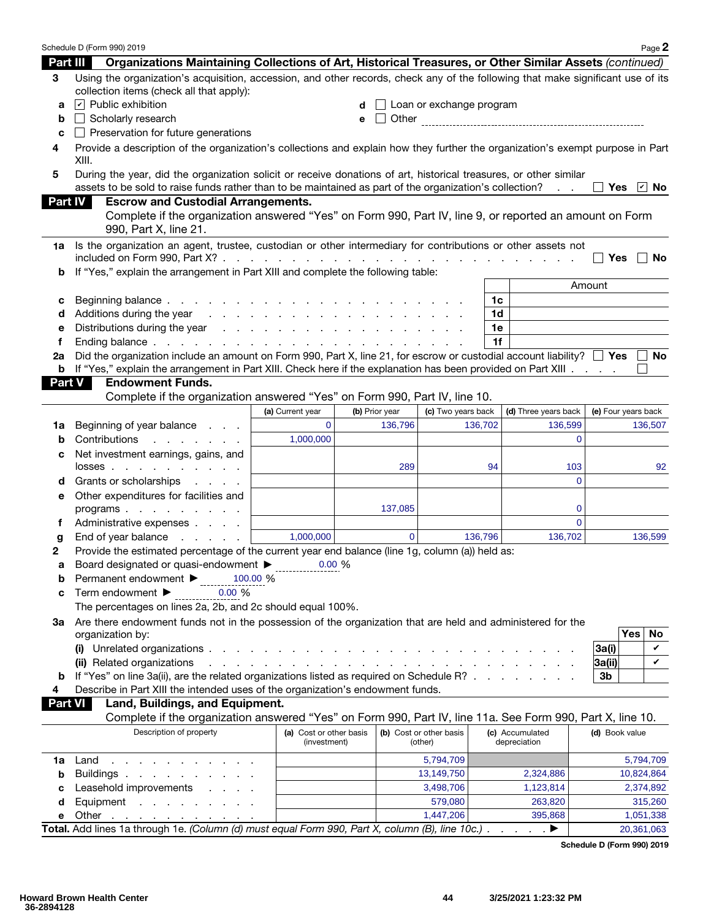|                | Schedule D (Form 990) 2019                                                                                                                                                                                                   |                                                                                                                 |                |                                    |                                 | Page 2              |  |  |
|----------------|------------------------------------------------------------------------------------------------------------------------------------------------------------------------------------------------------------------------------|-----------------------------------------------------------------------------------------------------------------|----------------|------------------------------------|---------------------------------|---------------------|--|--|
| Part III       | Organizations Maintaining Collections of Art, Historical Treasures, or Other Similar Assets (continued)                                                                                                                      |                                                                                                                 |                |                                    |                                 |                     |  |  |
| 3              | Using the organization's acquisition, accession, and other records, check any of the following that make significant use of its<br>collection items (check all that apply):                                                  |                                                                                                                 |                |                                    |                                 |                     |  |  |
| a              | $\boxed{\triangleright}$ Public exhibition                                                                                                                                                                                   |                                                                                                                 |                | Loan or exchange program           |                                 |                     |  |  |
| b              | Scholarly research                                                                                                                                                                                                           |                                                                                                                 | e              |                                    |                                 |                     |  |  |
| с              | $\Box$ Preservation for future generations                                                                                                                                                                                   |                                                                                                                 |                |                                    |                                 |                     |  |  |
| 4              | Provide a description of the organization's collections and explain how they further the organization's exempt purpose in Part<br>XIII.                                                                                      |                                                                                                                 |                |                                    |                                 |                     |  |  |
| 5              | During the year, did the organization solicit or receive donations of art, historical treasures, or other similar<br>assets to be sold to raise funds rather than to be maintained as part of the organization's collection? |                                                                                                                 |                |                                    | $\mathbf{r}=\mathbf{r}$         | $\vee$ No<br>Yes    |  |  |
| <b>Part IV</b> | <b>Escrow and Custodial Arrangements.</b>                                                                                                                                                                                    |                                                                                                                 |                |                                    |                                 |                     |  |  |
|                | Complete if the organization answered "Yes" on Form 990, Part IV, line 9, or reported an amount on Form<br>990, Part X, line 21.                                                                                             |                                                                                                                 |                |                                    |                                 |                     |  |  |
| 1a             | Is the organization an agent, trustee, custodian or other intermediary for contributions or other assets not                                                                                                                 |                                                                                                                 |                |                                    |                                 | <b>Yes</b><br>No    |  |  |
| b              | If "Yes," explain the arrangement in Part XIII and complete the following table:                                                                                                                                             |                                                                                                                 |                |                                    |                                 |                     |  |  |
|                |                                                                                                                                                                                                                              |                                                                                                                 |                |                                    |                                 | Amount              |  |  |
| с              | Beginning balance.                                                                                                                                                                                                           | the contract of the contract of the contract of the contract of the contract of the contract of the contract of |                |                                    | 1c                              |                     |  |  |
| d              | Additions during the year                                                                                                                                                                                                    | the contract of the contract of the contract of the contract of the contract of the contract of the contract of |                |                                    | 1d                              |                     |  |  |
| е              | Distributions during the year response to the contract of the year for the contract of the contract of the vector                                                                                                            |                                                                                                                 |                |                                    | 1e                              |                     |  |  |
| f              |                                                                                                                                                                                                                              |                                                                                                                 |                |                                    | 1f                              |                     |  |  |
| 2a             | Did the organization include an amount on Form 990, Part X, line 21, for escrow or custodial account liability? $\Box$ Yes $\Box$                                                                                            |                                                                                                                 |                |                                    |                                 | No.                 |  |  |
| b              | If "Yes," explain the arrangement in Part XIII. Check here if the explanation has been provided on Part XIII                                                                                                                 |                                                                                                                 |                |                                    |                                 |                     |  |  |
| <b>Part V</b>  | <b>Endowment Funds.</b>                                                                                                                                                                                                      |                                                                                                                 |                |                                    |                                 |                     |  |  |
|                | Complete if the organization answered "Yes" on Form 990, Part IV, line 10.                                                                                                                                                   |                                                                                                                 |                |                                    |                                 |                     |  |  |
|                |                                                                                                                                                                                                                              | (a) Current year                                                                                                | (b) Prior year | (c) Two years back                 | (d) Three years back            | (e) Four years back |  |  |
| 1a             | Beginning of year balance                                                                                                                                                                                                    | $\Omega$                                                                                                        | 136,796        |                                    | 136,702<br>136,599              | 136,507             |  |  |
| b              | Contributions<br>and a state of the state of the                                                                                                                                                                             | 1,000,000                                                                                                       |                |                                    |                                 | $\Omega$            |  |  |
|                | Net investment earnings, gains, and                                                                                                                                                                                          |                                                                                                                 |                |                                    |                                 |                     |  |  |
| с              | $losses$                                                                                                                                                                                                                     |                                                                                                                 | 289            |                                    | 94<br>103                       | 92                  |  |  |
|                |                                                                                                                                                                                                                              |                                                                                                                 |                |                                    |                                 | $\Omega$            |  |  |
| d              | Grants or scholarships<br><b>Contractor</b>                                                                                                                                                                                  |                                                                                                                 |                |                                    |                                 |                     |  |  |
| е              | Other expenditures for facilities and<br>programs $\cdots$ $\cdots$ $\cdots$                                                                                                                                                 |                                                                                                                 |                |                                    |                                 | 0                   |  |  |
|                |                                                                                                                                                                                                                              |                                                                                                                 | 137,085        |                                    |                                 | $\Omega$            |  |  |
| f              | Administrative expenses<br>and the state of the                                                                                                                                                                              | 1,000,000                                                                                                       | $\Omega$       |                                    | 136,702<br>136.796              | 136,599             |  |  |
| g              | End of year balance                                                                                                                                                                                                          |                                                                                                                 |                |                                    |                                 |                     |  |  |
| 2              | Provide the estimated percentage of the current year end balance (line 1g, column (a)) held as:                                                                                                                              |                                                                                                                 |                |                                    |                                 |                     |  |  |
| а              | Board designated or quasi-endowment $\blacktriangleright$                                                                                                                                                                    | 0.00%<br>100.00 %                                                                                               |                |                                    |                                 |                     |  |  |
| b              | Permanent endowment ▶                                                                                                                                                                                                        |                                                                                                                 |                |                                    |                                 |                     |  |  |
| c              | 0.00%<br>Term endowment ▶                                                                                                                                                                                                    |                                                                                                                 |                |                                    |                                 |                     |  |  |
|                | The percentages on lines 2a, 2b, and 2c should equal 100%.                                                                                                                                                                   |                                                                                                                 |                |                                    |                                 |                     |  |  |
| За             | Are there endowment funds not in the possession of the organization that are held and administered for the                                                                                                                   |                                                                                                                 |                |                                    |                                 |                     |  |  |
|                | organization by:                                                                                                                                                                                                             |                                                                                                                 |                |                                    |                                 | Yes<br>No           |  |  |
|                |                                                                                                                                                                                                                              |                                                                                                                 |                |                                    |                                 | 3a(i)<br>V          |  |  |
|                | (ii) Related organizations                                                                                                                                                                                                   |                                                                                                                 |                |                                    |                                 | V<br> 3a(i)         |  |  |
| b              | If "Yes" on line 3a(ii), are the related organizations listed as required on Schedule R?                                                                                                                                     |                                                                                                                 |                |                                    |                                 | 3b                  |  |  |
| 4              | Describe in Part XIII the intended uses of the organization's endowment funds.                                                                                                                                               |                                                                                                                 |                |                                    |                                 |                     |  |  |
| <b>Part VI</b> | Land, Buildings, and Equipment.                                                                                                                                                                                              |                                                                                                                 |                |                                    |                                 |                     |  |  |
|                | Complete if the organization answered "Yes" on Form 990, Part IV, line 11a. See Form 990, Part X, line 10.                                                                                                                   |                                                                                                                 |                |                                    |                                 |                     |  |  |
|                | Description of property                                                                                                                                                                                                      | (a) Cost or other basis<br>(investment)                                                                         |                | (b) Cost or other basis<br>(other) | (c) Accumulated<br>depreciation | (d) Book value      |  |  |
| 1a             | Land<br>the contract of the contract of the contract of the contract of the contract of the contract of the contract of                                                                                                      |                                                                                                                 |                | 5,794,709                          |                                 | 5,794,709           |  |  |
| b              | Buildings                                                                                                                                                                                                                    |                                                                                                                 |                | 13,149,750                         | 2,324,886                       | 10,824,864          |  |  |
| с              | Leasehold improvements                                                                                                                                                                                                       |                                                                                                                 |                | 3,498,706                          | 1,123,814                       | 2,374,892           |  |  |
| d              | Equipment                                                                                                                                                                                                                    |                                                                                                                 |                | 579,080                            | 263,820                         | 315,260             |  |  |
| е              | Other                                                                                                                                                                                                                        |                                                                                                                 |                | 1,447,206                          | 395,868                         | 1,051,338           |  |  |
|                | Total. Add lines 1a through 1e. (Column (d) must equal Form 990, Part X, column (B), line 10c.).                                                                                                                             |                                                                                                                 |                |                                    | $\ldots$                        | 20,361,063          |  |  |
|                |                                                                                                                                                                                                                              |                                                                                                                 |                |                                    |                                 |                     |  |  |

Schedule D (Form 990) 2019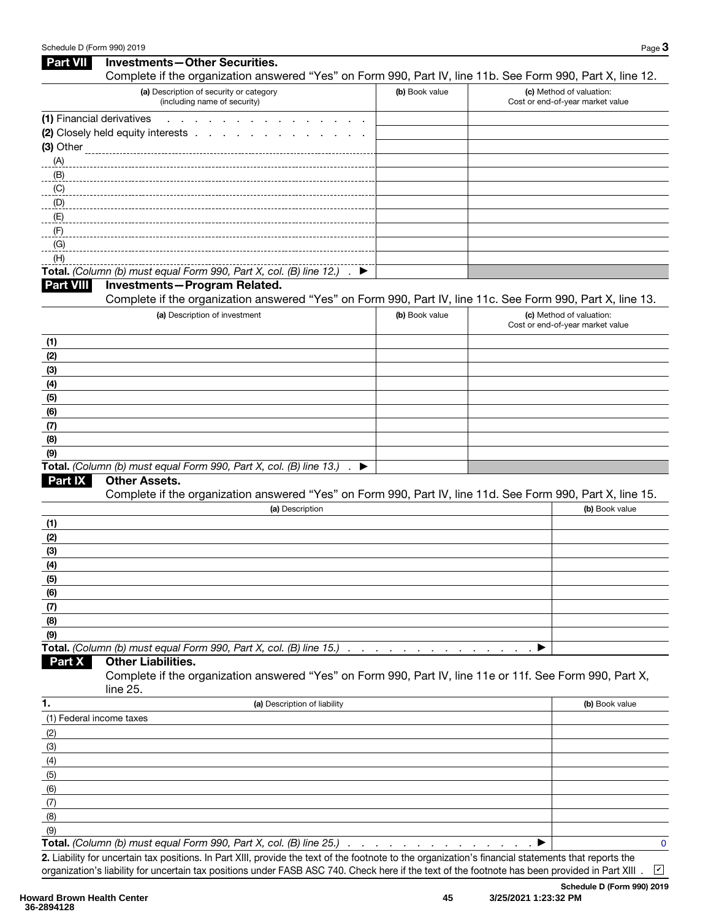| <b>Part VII</b>           | <b>Investments-Other Securities.</b>                                                                                                                         |                |                                                              |
|---------------------------|--------------------------------------------------------------------------------------------------------------------------------------------------------------|----------------|--------------------------------------------------------------|
|                           | Complete if the organization answered "Yes" on Form 990, Part IV, line 11b. See Form 990, Part X, line 12.                                                   |                |                                                              |
|                           | (a) Description of security or category<br>(including name of security)                                                                                      | (b) Book value | (c) Method of valuation:<br>Cost or end-of-year market value |
| (1) Financial derivatives | $\sim$ $\sim$                                                                                                                                                |                |                                                              |
|                           | (2) Closely held equity interests<br>$\sim$ $\sim$ $\sim$                                                                                                    |                |                                                              |
|                           |                                                                                                                                                              |                |                                                              |
| (A)                       |                                                                                                                                                              |                |                                                              |
| (B)                       |                                                                                                                                                              |                |                                                              |
| (C)                       |                                                                                                                                                              |                |                                                              |
| (D)                       |                                                                                                                                                              |                |                                                              |
| (E)                       |                                                                                                                                                              |                |                                                              |
| (F)                       |                                                                                                                                                              |                |                                                              |
| (G)                       |                                                                                                                                                              |                |                                                              |
| (H)                       |                                                                                                                                                              |                |                                                              |
|                           | Total. (Column (b) must equal Form 990, Part X, col. (B) line 12.).<br>▸                                                                                     |                |                                                              |
| <b>Part VIII</b>          | <b>Investments-Program Related.</b>                                                                                                                          |                |                                                              |
|                           | Complete if the organization answered "Yes" on Form 990, Part IV, line 11c. See Form 990, Part X, line 13.                                                   |                |                                                              |
|                           | (a) Description of investment                                                                                                                                | (b) Book value | (c) Method of valuation:<br>Cost or end-of-year market value |
| (1)                       |                                                                                                                                                              |                |                                                              |
| (2)                       |                                                                                                                                                              |                |                                                              |
| (3)                       |                                                                                                                                                              |                |                                                              |
| (4)                       |                                                                                                                                                              |                |                                                              |
| (5)                       |                                                                                                                                                              |                |                                                              |
| (6)                       |                                                                                                                                                              |                |                                                              |
| (7)                       |                                                                                                                                                              |                |                                                              |
| (8)                       |                                                                                                                                                              |                |                                                              |
| (9)                       |                                                                                                                                                              |                |                                                              |
|                           | Total. (Column (b) must equal Form 990, Part X, col. (B) line 13.)<br>▶                                                                                      |                |                                                              |
| Part IX                   | <b>Other Assets.</b>                                                                                                                                         |                |                                                              |
|                           | Complete if the organization answered "Yes" on Form 990, Part IV, line 11d. See Form 990, Part X, line 15.                                                   |                |                                                              |
|                           | (a) Description                                                                                                                                              |                | (b) Book value                                               |
| (1)                       |                                                                                                                                                              |                |                                                              |
| (2)                       |                                                                                                                                                              |                |                                                              |
| (3)                       |                                                                                                                                                              |                |                                                              |
| (4)                       |                                                                                                                                                              |                |                                                              |
| (5)                       |                                                                                                                                                              |                |                                                              |
| (6)                       |                                                                                                                                                              |                |                                                              |
| (7)                       |                                                                                                                                                              |                |                                                              |
| (8)                       |                                                                                                                                                              |                |                                                              |
| (9)                       | Total. (Column (b) must equal Form 990, Part X, col. (B) line 15.)                                                                                           |                |                                                              |
| Part X                    | $\cdot$<br><b>Other Liabilities.</b><br>Complete if the organization answered "Yes" on Form 990, Part IV, line 11e or 11f. See Form 990, Part X,<br>line 25. |                |                                                              |
| 1.                        | (a) Description of liability                                                                                                                                 |                | (b) Book value                                               |
| (1) Federal income taxes  |                                                                                                                                                              |                |                                                              |
| (2)                       |                                                                                                                                                              |                |                                                              |
| (3)                       |                                                                                                                                                              |                |                                                              |
| (4)                       |                                                                                                                                                              |                |                                                              |
| (5)                       |                                                                                                                                                              |                |                                                              |
| (6)                       |                                                                                                                                                              |                |                                                              |
| (7)                       |                                                                                                                                                              |                |                                                              |
| (8)                       |                                                                                                                                                              |                |                                                              |
| (9)                       |                                                                                                                                                              |                |                                                              |
|                           | Total. (Column (b) must equal Form 990, Part X, col. (B) line 25.)                                                                                           |                | $\mathbf 0$                                                  |
|                           |                                                                                                                                                              |                |                                                              |

2. Liability for uncertain tax positions. In Part XIII, provide the text of the footnote to the organization's financial statements that reports the organization's liability for uncertain tax positions under FASB ASC 740. Check here if the text of the footnote has been provided in Part XIII .

Schedule D (Form 990) 2019

✔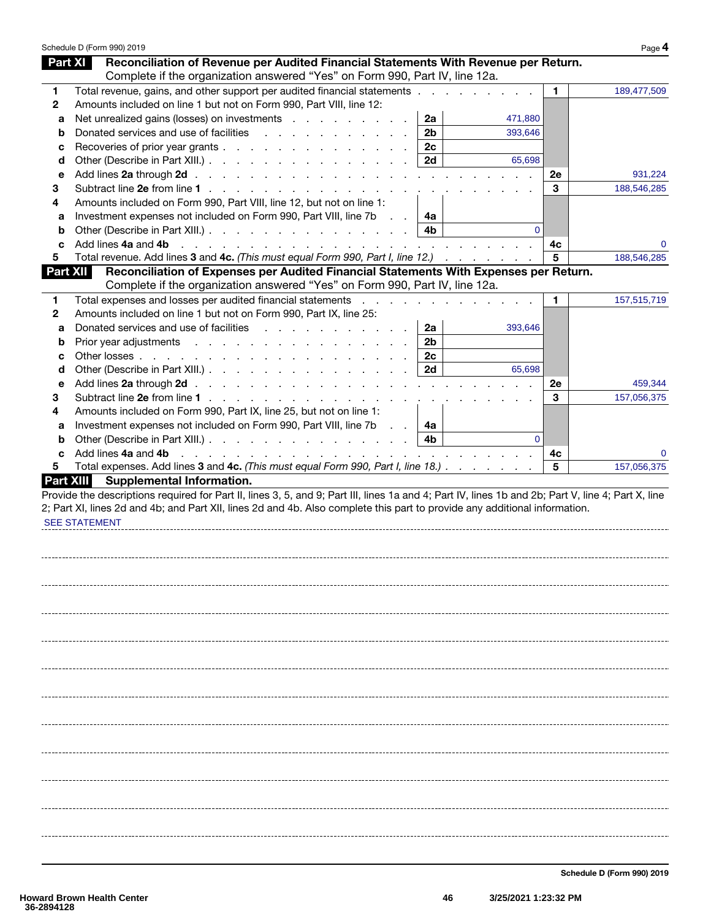|                  | Schedule D (Form 990) 2019                                                                                                                                                                                                                            |                |                          |    | Page 4      |
|------------------|-------------------------------------------------------------------------------------------------------------------------------------------------------------------------------------------------------------------------------------------------------|----------------|--------------------------|----|-------------|
| <b>Part XI</b>   | Reconciliation of Revenue per Audited Financial Statements With Revenue per Return.                                                                                                                                                                   |                |                          |    |             |
|                  | Complete if the organization answered "Yes" on Form 990, Part IV, line 12a.                                                                                                                                                                           |                |                          |    |             |
| 1                | Total revenue, gains, and other support per audited financial statements                                                                                                                                                                              |                |                          | 1. | 189,477,509 |
| $\mathbf{2}$     | Amounts included on line 1 but not on Form 990, Part VIII, line 12:                                                                                                                                                                                   |                |                          |    |             |
| a                | Net unrealized gains (losses) on investments                                                                                                                                                                                                          | 2a             | 471,880                  |    |             |
| b                | Donated services and use of facilities                                                                                                                                                                                                                | 2 <sub>b</sub> | 393,646                  |    |             |
| с                | Recoveries of prior year grants                                                                                                                                                                                                                       | 2c             |                          |    |             |
| d                | Other (Describe in Part XIII.)                                                                                                                                                                                                                        | 2d             | 65,698                   |    |             |
| е                |                                                                                                                                                                                                                                                       |                |                          | 2e | 931,224     |
| 3                |                                                                                                                                                                                                                                                       |                |                          | 3  | 188,546,285 |
| 4                | Amounts included on Form 990, Part VIII, line 12, but not on line 1:                                                                                                                                                                                  |                |                          |    |             |
| а                | Investment expenses not included on Form 990, Part VIII, line 7b<br>$\sim 100$ km s $^{-1}$                                                                                                                                                           | 4a             |                          |    |             |
| b                |                                                                                                                                                                                                                                                       | 4b.            | $\Omega$                 |    |             |
| c                | Add lines 4a and 4b<br>the contract of the contract of the contract of the contract of the contract of the contract of the contract of the contract of the contract of the contract of the contract of the contract of the contract of the contract o |                | $\sim$ $\sim$            | 4c | 0           |
| 5                | Total revenue. Add lines 3 and 4c. (This must equal Form 990, Part I, line 12.)                                                                                                                                                                       |                |                          | 5  | 188,546,285 |
| <b>Part XII</b>  | Reconciliation of Expenses per Audited Financial Statements With Expenses per Return.                                                                                                                                                                 |                |                          |    |             |
|                  | Complete if the organization answered "Yes" on Form 990, Part IV, line 12a.                                                                                                                                                                           |                |                          |    |             |
| 1                | Total expenses and losses per audited financial statements<br>and a state of the                                                                                                                                                                      |                | and a state of the state | 1. | 157,515,719 |
| 2                | Amounts included on line 1 but not on Form 990, Part IX, line 25:                                                                                                                                                                                     |                |                          |    |             |
| a                | Donated services and use of facilities results and results and results are a series of facilities and results and results are a series of the series of the series of the series of the series of the series of the series of                         | 2a             | 393,646                  |    |             |
| b                | Prior year adjustments                                                                                                                                                                                                                                | 2 <sub>b</sub> |                          |    |             |
| c                |                                                                                                                                                                                                                                                       | 2c             |                          |    |             |
| d                | Other (Describe in Part XIII.)                                                                                                                                                                                                                        | 2d             | 65,698                   |    |             |
| е                |                                                                                                                                                                                                                                                       |                |                          | 2e | 459,344     |
| 3                | Subtract line 2e from line 1                                                                                                                                                                                                                          | $\sim$ $\sim$  |                          | 3  | 157,056,375 |
| 4                | Amounts included on Form 990, Part IX, line 25, but not on line 1:                                                                                                                                                                                    |                |                          |    |             |
| а                | Investment expenses not included on Form 990, Part VIII, line 7b<br>$\mathcal{L} \subset \mathcal{L}$ .                                                                                                                                               | 4a             |                          |    |             |
| b                | Other (Describe in Part XIII.)                                                                                                                                                                                                                        | 4b             | $\Omega$                 |    |             |
| C                | Add lines 4a and 4b<br>and the contract of the contract of the contract of the contract of the contract of                                                                                                                                            |                |                          | 4c | 0           |
| 5.               | Total expenses. Add lines 3 and 4c. (This must equal Form 990, Part I, line 18.)                                                                                                                                                                      |                |                          | 5  | 157,056,375 |
| <b>Part XIII</b> | <b>Supplemental Information.</b>                                                                                                                                                                                                                      |                |                          |    |             |
|                  | Provide the descriptions required for Part II, lines 3, 5, and 9; Part III, lines 1a and 4; Part IV, lines 1b and 2b; Part V, line 4; Part X, line                                                                                                    |                |                          |    |             |
|                  | 2; Part XI, lines 2d and 4b; and Part XII, lines 2d and 4b. Also complete this part to provide any additional information.                                                                                                                            |                |                          |    |             |
|                  | <b>SEE STATEMENT</b>                                                                                                                                                                                                                                  |                |                          |    |             |
|                  |                                                                                                                                                                                                                                                       |                |                          |    |             |
|                  |                                                                                                                                                                                                                                                       |                |                          |    |             |
|                  |                                                                                                                                                                                                                                                       |                |                          |    |             |
|                  |                                                                                                                                                                                                                                                       |                |                          |    |             |
|                  |                                                                                                                                                                                                                                                       |                |                          |    |             |
|                  |                                                                                                                                                                                                                                                       |                |                          |    |             |
|                  |                                                                                                                                                                                                                                                       |                |                          |    |             |
|                  |                                                                                                                                                                                                                                                       |                |                          |    |             |
|                  |                                                                                                                                                                                                                                                       |                |                          |    |             |
|                  |                                                                                                                                                                                                                                                       |                |                          |    |             |
|                  |                                                                                                                                                                                                                                                       |                |                          |    |             |
|                  |                                                                                                                                                                                                                                                       |                |                          |    |             |
|                  |                                                                                                                                                                                                                                                       |                |                          |    |             |
|                  |                                                                                                                                                                                                                                                       |                |                          |    |             |
|                  |                                                                                                                                                                                                                                                       |                |                          |    |             |
|                  |                                                                                                                                                                                                                                                       |                |                          |    |             |
|                  |                                                                                                                                                                                                                                                       |                |                          |    |             |
|                  |                                                                                                                                                                                                                                                       |                |                          |    |             |
|                  |                                                                                                                                                                                                                                                       |                |                          |    |             |
|                  |                                                                                                                                                                                                                                                       |                |                          |    |             |
|                  |                                                                                                                                                                                                                                                       |                |                          |    |             |
|                  |                                                                                                                                                                                                                                                       |                |                          |    |             |
|                  |                                                                                                                                                                                                                                                       |                |                          |    |             |
|                  |                                                                                                                                                                                                                                                       |                |                          |    |             |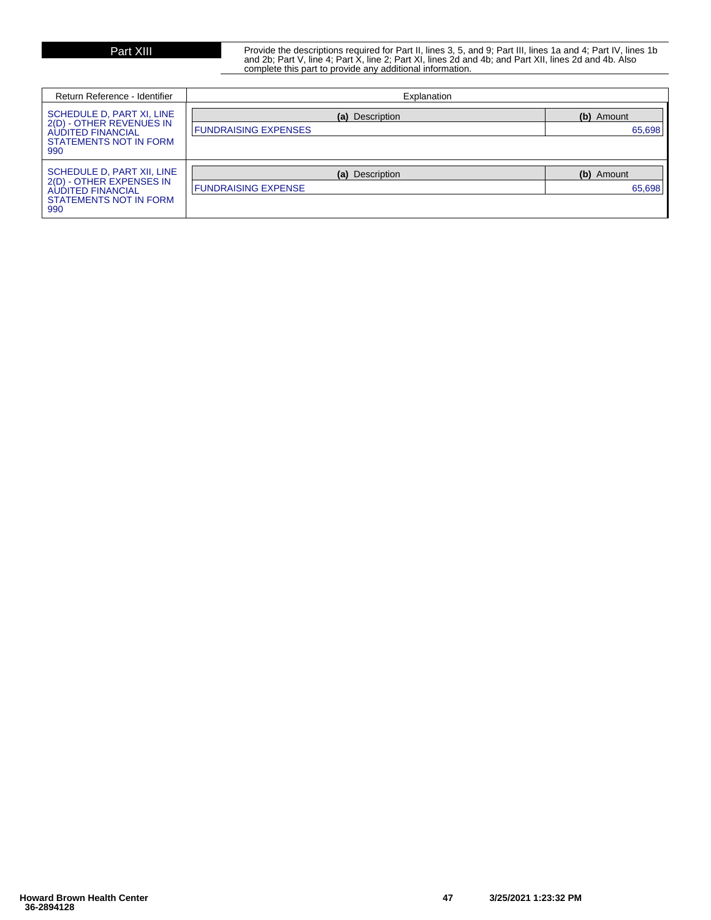Part XIII Provide the descriptions required for Part II, lines 3, 5, and 9; Part III, lines 1a and 4; Part IV, lines 1b<br>and 2b; Part V, line 4; Part X, line 2; Part XI, lines 2d and 4b; and Part XII, lines 2d and 4b. Also complete this part to provide any additional information.

| Return Reference - Identifier                                                                                             | Explanation                                    |                      |
|---------------------------------------------------------------------------------------------------------------------------|------------------------------------------------|----------------------|
| SCHEDULE D, PART XI, LINE<br>2(D) - OTHER REVENUES IN<br><b>AUDITED FINANCIAL</b><br><b>STATEMENTS NOT IN FORM</b><br>990 | (a) Description<br><b>FUNDRAISING EXPENSES</b> | (b) Amount<br>65,698 |
| SCHEDULE D, PART XII, LINE<br>2(D) - OTHER EXPENSES IN<br><b>AUDITED FINANCIAL</b><br>STATEMENTS NOT IN FORM<br>990       | (a) Description<br>FUNDRAISING EXPENSE         | (b) Amount<br>65,698 |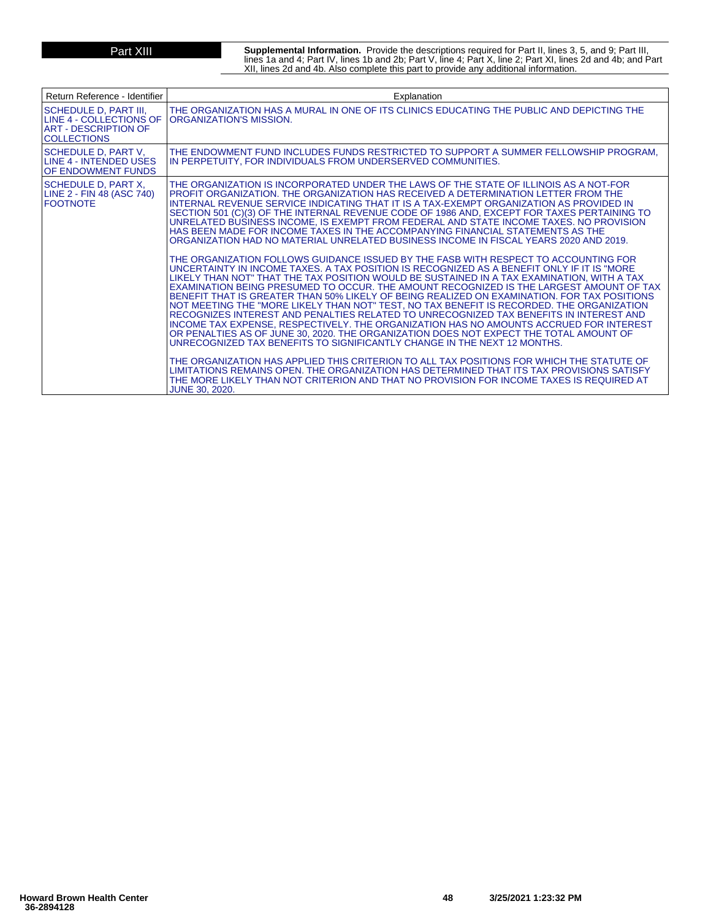**Part XIII** Supplemental Information. Provide the descriptions required for Part II, lines 3, 5, and 9; Part III,<br>lines 1a and 4; Part IV, lines 1b and 2b; Part V, line 4; Part X, line 2; Part XI, lines 2d and 4b; and Part XII, lines 2d and 4b. Also complete this part to provide any additional information.

| Return Reference - Identifier                                                                         | Explanation                                                                                                                                                                                                                                                                                                                                                                                                                                                                                                                                                                                                                                                                                                                                                                                                                                                                                                                                                                                                                                                                                                                                                                                                                                                                                                                                                                                                                                                                                                                                                                                                                                                                                                                                                                                                                                                                                   |
|-------------------------------------------------------------------------------------------------------|-----------------------------------------------------------------------------------------------------------------------------------------------------------------------------------------------------------------------------------------------------------------------------------------------------------------------------------------------------------------------------------------------------------------------------------------------------------------------------------------------------------------------------------------------------------------------------------------------------------------------------------------------------------------------------------------------------------------------------------------------------------------------------------------------------------------------------------------------------------------------------------------------------------------------------------------------------------------------------------------------------------------------------------------------------------------------------------------------------------------------------------------------------------------------------------------------------------------------------------------------------------------------------------------------------------------------------------------------------------------------------------------------------------------------------------------------------------------------------------------------------------------------------------------------------------------------------------------------------------------------------------------------------------------------------------------------------------------------------------------------------------------------------------------------------------------------------------------------------------------------------------------------|
| SCHEDULE D. PART III.<br>LINE 4 - COLLECTIONS OF<br><b>ART - DESCRIPTION OF</b><br><b>COLLECTIONS</b> | THE ORGANIZATION HAS A MURAL IN ONE OF ITS CLINICS EDUCATING THE PUBLIC AND DEPICTING THE<br>ORGANIZATION'S MISSION.                                                                                                                                                                                                                                                                                                                                                                                                                                                                                                                                                                                                                                                                                                                                                                                                                                                                                                                                                                                                                                                                                                                                                                                                                                                                                                                                                                                                                                                                                                                                                                                                                                                                                                                                                                          |
| SCHEDULE D. PART V.<br>LINE 4 - INTENDED USES<br>OF ENDOWMENT FUNDS                                   | THE ENDOWMENT FUND INCLUDES FUNDS RESTRICTED TO SUPPORT A SUMMER FELLOWSHIP PROGRAM.<br>IN PERPETUITY. FOR INDIVIDUALS FROM UNDERSERVED COMMUNITIES.                                                                                                                                                                                                                                                                                                                                                                                                                                                                                                                                                                                                                                                                                                                                                                                                                                                                                                                                                                                                                                                                                                                                                                                                                                                                                                                                                                                                                                                                                                                                                                                                                                                                                                                                          |
| SCHEDULE D, PART X,<br>LINE 2 - FIN 48 (ASC 740)<br><b>FOOTNOTE</b>                                   | THE ORGANIZATION IS INCORPORATED UNDER THE LAWS OF THE STATE OF ILLINOIS AS A NOT-FOR<br>PROFIT ORGANIZATION. THE ORGANIZATION HAS RECEIVED A DETERMINATION LETTER FROM THE<br>INTERNAL REVENUE SERVICE INDICATING THAT IT IS A TAX-EXEMPT ORGANIZATION AS PROVIDED IN<br>SECTION 501 (C)(3) OF THE INTERNAL REVENUE CODE OF 1986 AND, EXCEPT FOR TAXES PERTAINING TO<br>UNRELATED BUSINESS INCOME, IS EXEMPT FROM FEDERAL AND STATE INCOME TAXES. NO PROVISION<br>HAS BEEN MADE FOR INCOME TAXES IN THE ACCOMPANYING FINANCIAL STATEMENTS AS THE<br>ORGANIZATION HAD NO MATERIAL UNRELATED BUSINESS INCOME IN FISCAL YEARS 2020 AND 2019.<br>THE ORGANIZATION FOLLOWS GUIDANCE ISSUED BY THE FASB WITH RESPECT TO ACCOUNTING FOR<br>UNCERTAINTY IN INCOME TAXES. A TAX POSITION IS RECOGNIZED AS A BENEFIT ONLY IF IT IS "MORE<br>LIKELY THAN NOT" THAT THE TAX POSITION WOULD BE SUSTAINED IN A TAX EXAMINATION, WITH A TAX<br>EXAMINATION BEING PRESUMED TO OCCUR. THE AMOUNT RECOGNIZED IS THE LARGEST AMOUNT OF TAX<br>BENEFIT THAT IS GREATER THAN 50% LIKELY OF BEING REALIZED ON EXAMINATION. FOR TAX POSITIONS<br>NOT MEETING THE "MORE LIKELY THAN NOT" TEST, NO TAX BENEFIT IS RECORDED. THE ORGANIZATION<br>RECOGNIZES INTEREST AND PENALTIES RELATED TO UNRECOGNIZED TAX BENEFITS IN INTEREST AND<br>INCOME TAX EXPENSE, RESPECTIVELY. THE ORGANIZATION HAS NO AMOUNTS ACCRUED FOR INTEREST<br>OR PENALTIES AS OF JUNE 30, 2020. THE ORGANIZATION DOES NOT EXPECT THE TOTAL AMOUNT OF<br>UNRECOGNIZED TAX BENEFITS TO SIGNIFICANTLY CHANGE IN THE NEXT 12 MONTHS.<br>THE ORGANIZATION HAS APPLIED THIS CRITERION TO ALL TAX POSITIONS FOR WHICH THE STATUTE OF<br>LIMITATIONS REMAINS OPEN. THE ORGANIZATION HAS DETERMINED THAT ITS TAX PROVISIONS SATISFY<br>THE MORE LIKELY THAN NOT CRITERION AND THAT NO PROVISION FOR INCOME TAXES IS REQUIRED AT<br><b>JUNE 30, 2020.</b> |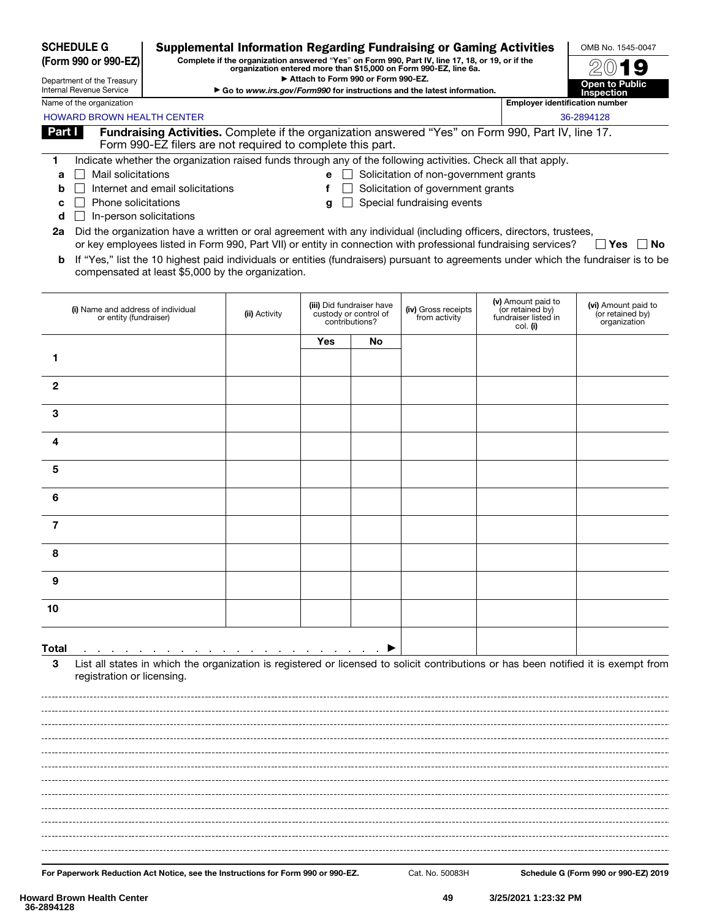| Name of the organization<br><b>Employer identification number</b><br><b>HOWARD BROWN HEALTH CENTER</b><br>36-2894128<br>Fundraising Activities. Complete if the organization answered "Yes" on Form 990, Part IV, line 17.<br>Part I<br>Form 990-EZ filers are not required to complete this part.<br>Indicate whether the organization raised funds through any of the following activities. Check all that apply.<br>1<br>Mail solicitations<br>Solicitation of non-government grants<br>е<br>a<br>Solicitation of government grants<br>Internet and email solicitations<br>f<br>b<br>Phone solicitations<br>Special fundraising events<br>q<br>с<br>In-person solicitations<br>d<br>Did the organization have a written or oral agreement with any individual (including officers, directors, trustees,<br>2a<br>or key employees listed in Form 990, Part VII) or entity in connection with professional fundraising services?<br>∣ ∣ Yes<br>If "Yes," list the 10 highest paid individuals or entities (fundraisers) pursuant to agreements under which the fundraiser is to be<br>b<br>compensated at least \$5,000 by the organization.<br>(v) Amount paid to<br>(iii) Did fundraiser have<br>(i) Name and address of individual<br>(iv) Gross receipts<br>(or retained by)<br>(ii) Activity<br>custody or control of<br>from activity<br>fundraiser listed in<br>or entity (fundraiser)<br>contributions?<br>organization<br>col. (i)<br>Yes<br>No<br>1<br>$\mathbf{2}$<br>3<br>4<br>5<br>6<br>7<br>8<br>9<br>10<br><b>Total</b><br>the contract of the contract of the contract of the contract of the contract of<br>List all states in which the organization is registered or licensed to solicit contributions or has been notified it is exempt from<br>3<br>registration or licensing. | Department of the Treasury<br>Internal Revenue Service | Attach to Form 990 or Form 990-EZ. | Go to www.irs.gov/Form990 for instructions and the latest information. | Open to Public<br><b>Inspection</b>     |
|-------------------------------------------------------------------------------------------------------------------------------------------------------------------------------------------------------------------------------------------------------------------------------------------------------------------------------------------------------------------------------------------------------------------------------------------------------------------------------------------------------------------------------------------------------------------------------------------------------------------------------------------------------------------------------------------------------------------------------------------------------------------------------------------------------------------------------------------------------------------------------------------------------------------------------------------------------------------------------------------------------------------------------------------------------------------------------------------------------------------------------------------------------------------------------------------------------------------------------------------------------------------------------------------------------------------------------------------------------------------------------------------------------------------------------------------------------------------------------------------------------------------------------------------------------------------------------------------------------------------------------------------------------------------------------------------------------------------------------------------------------------------------------------------------------|--------------------------------------------------------|------------------------------------|------------------------------------------------------------------------|-----------------------------------------|
|                                                                                                                                                                                                                                                                                                                                                                                                                                                                                                                                                                                                                                                                                                                                                                                                                                                                                                                                                                                                                                                                                                                                                                                                                                                                                                                                                                                                                                                                                                                                                                                                                                                                                                                                                                                                       |                                                        |                                    |                                                                        |                                         |
|                                                                                                                                                                                                                                                                                                                                                                                                                                                                                                                                                                                                                                                                                                                                                                                                                                                                                                                                                                                                                                                                                                                                                                                                                                                                                                                                                                                                                                                                                                                                                                                                                                                                                                                                                                                                       |                                                        |                                    |                                                                        |                                         |
|                                                                                                                                                                                                                                                                                                                                                                                                                                                                                                                                                                                                                                                                                                                                                                                                                                                                                                                                                                                                                                                                                                                                                                                                                                                                                                                                                                                                                                                                                                                                                                                                                                                                                                                                                                                                       |                                                        |                                    |                                                                        |                                         |
|                                                                                                                                                                                                                                                                                                                                                                                                                                                                                                                                                                                                                                                                                                                                                                                                                                                                                                                                                                                                                                                                                                                                                                                                                                                                                                                                                                                                                                                                                                                                                                                                                                                                                                                                                                                                       |                                                        |                                    |                                                                        |                                         |
|                                                                                                                                                                                                                                                                                                                                                                                                                                                                                                                                                                                                                                                                                                                                                                                                                                                                                                                                                                                                                                                                                                                                                                                                                                                                                                                                                                                                                                                                                                                                                                                                                                                                                                                                                                                                       |                                                        |                                    |                                                                        |                                         |
|                                                                                                                                                                                                                                                                                                                                                                                                                                                                                                                                                                                                                                                                                                                                                                                                                                                                                                                                                                                                                                                                                                                                                                                                                                                                                                                                                                                                                                                                                                                                                                                                                                                                                                                                                                                                       |                                                        |                                    |                                                                        |                                         |
|                                                                                                                                                                                                                                                                                                                                                                                                                                                                                                                                                                                                                                                                                                                                                                                                                                                                                                                                                                                                                                                                                                                                                                                                                                                                                                                                                                                                                                                                                                                                                                                                                                                                                                                                                                                                       |                                                        |                                    |                                                                        |                                         |
|                                                                                                                                                                                                                                                                                                                                                                                                                                                                                                                                                                                                                                                                                                                                                                                                                                                                                                                                                                                                                                                                                                                                                                                                                                                                                                                                                                                                                                                                                                                                                                                                                                                                                                                                                                                                       |                                                        |                                    |                                                                        |                                         |
|                                                                                                                                                                                                                                                                                                                                                                                                                                                                                                                                                                                                                                                                                                                                                                                                                                                                                                                                                                                                                                                                                                                                                                                                                                                                                                                                                                                                                                                                                                                                                                                                                                                                                                                                                                                                       |                                                        |                                    |                                                                        | ∣No                                     |
|                                                                                                                                                                                                                                                                                                                                                                                                                                                                                                                                                                                                                                                                                                                                                                                                                                                                                                                                                                                                                                                                                                                                                                                                                                                                                                                                                                                                                                                                                                                                                                                                                                                                                                                                                                                                       |                                                        |                                    |                                                                        |                                         |
|                                                                                                                                                                                                                                                                                                                                                                                                                                                                                                                                                                                                                                                                                                                                                                                                                                                                                                                                                                                                                                                                                                                                                                                                                                                                                                                                                                                                                                                                                                                                                                                                                                                                                                                                                                                                       |                                                        |                                    |                                                                        | (vi) Amount paid to<br>(or retained by) |
|                                                                                                                                                                                                                                                                                                                                                                                                                                                                                                                                                                                                                                                                                                                                                                                                                                                                                                                                                                                                                                                                                                                                                                                                                                                                                                                                                                                                                                                                                                                                                                                                                                                                                                                                                                                                       |                                                        |                                    |                                                                        |                                         |
|                                                                                                                                                                                                                                                                                                                                                                                                                                                                                                                                                                                                                                                                                                                                                                                                                                                                                                                                                                                                                                                                                                                                                                                                                                                                                                                                                                                                                                                                                                                                                                                                                                                                                                                                                                                                       |                                                        |                                    |                                                                        |                                         |
|                                                                                                                                                                                                                                                                                                                                                                                                                                                                                                                                                                                                                                                                                                                                                                                                                                                                                                                                                                                                                                                                                                                                                                                                                                                                                                                                                                                                                                                                                                                                                                                                                                                                                                                                                                                                       |                                                        |                                    |                                                                        |                                         |
|                                                                                                                                                                                                                                                                                                                                                                                                                                                                                                                                                                                                                                                                                                                                                                                                                                                                                                                                                                                                                                                                                                                                                                                                                                                                                                                                                                                                                                                                                                                                                                                                                                                                                                                                                                                                       |                                                        |                                    |                                                                        |                                         |
|                                                                                                                                                                                                                                                                                                                                                                                                                                                                                                                                                                                                                                                                                                                                                                                                                                                                                                                                                                                                                                                                                                                                                                                                                                                                                                                                                                                                                                                                                                                                                                                                                                                                                                                                                                                                       |                                                        |                                    |                                                                        |                                         |
|                                                                                                                                                                                                                                                                                                                                                                                                                                                                                                                                                                                                                                                                                                                                                                                                                                                                                                                                                                                                                                                                                                                                                                                                                                                                                                                                                                                                                                                                                                                                                                                                                                                                                                                                                                                                       |                                                        |                                    |                                                                        |                                         |
|                                                                                                                                                                                                                                                                                                                                                                                                                                                                                                                                                                                                                                                                                                                                                                                                                                                                                                                                                                                                                                                                                                                                                                                                                                                                                                                                                                                                                                                                                                                                                                                                                                                                                                                                                                                                       |                                                        |                                    |                                                                        |                                         |
|                                                                                                                                                                                                                                                                                                                                                                                                                                                                                                                                                                                                                                                                                                                                                                                                                                                                                                                                                                                                                                                                                                                                                                                                                                                                                                                                                                                                                                                                                                                                                                                                                                                                                                                                                                                                       |                                                        |                                    |                                                                        |                                         |
|                                                                                                                                                                                                                                                                                                                                                                                                                                                                                                                                                                                                                                                                                                                                                                                                                                                                                                                                                                                                                                                                                                                                                                                                                                                                                                                                                                                                                                                                                                                                                                                                                                                                                                                                                                                                       |                                                        |                                    |                                                                        |                                         |
|                                                                                                                                                                                                                                                                                                                                                                                                                                                                                                                                                                                                                                                                                                                                                                                                                                                                                                                                                                                                                                                                                                                                                                                                                                                                                                                                                                                                                                                                                                                                                                                                                                                                                                                                                                                                       |                                                        |                                    |                                                                        |                                         |
|                                                                                                                                                                                                                                                                                                                                                                                                                                                                                                                                                                                                                                                                                                                                                                                                                                                                                                                                                                                                                                                                                                                                                                                                                                                                                                                                                                                                                                                                                                                                                                                                                                                                                                                                                                                                       |                                                        |                                    |                                                                        |                                         |
|                                                                                                                                                                                                                                                                                                                                                                                                                                                                                                                                                                                                                                                                                                                                                                                                                                                                                                                                                                                                                                                                                                                                                                                                                                                                                                                                                                                                                                                                                                                                                                                                                                                                                                                                                                                                       |                                                        |                                    |                                                                        |                                         |
|                                                                                                                                                                                                                                                                                                                                                                                                                                                                                                                                                                                                                                                                                                                                                                                                                                                                                                                                                                                                                                                                                                                                                                                                                                                                                                                                                                                                                                                                                                                                                                                                                                                                                                                                                                                                       |                                                        |                                    |                                                                        |                                         |
|                                                                                                                                                                                                                                                                                                                                                                                                                                                                                                                                                                                                                                                                                                                                                                                                                                                                                                                                                                                                                                                                                                                                                                                                                                                                                                                                                                                                                                                                                                                                                                                                                                                                                                                                                                                                       |                                                        |                                    |                                                                        |                                         |
|                                                                                                                                                                                                                                                                                                                                                                                                                                                                                                                                                                                                                                                                                                                                                                                                                                                                                                                                                                                                                                                                                                                                                                                                                                                                                                                                                                                                                                                                                                                                                                                                                                                                                                                                                                                                       |                                                        |                                    |                                                                        |                                         |
|                                                                                                                                                                                                                                                                                                                                                                                                                                                                                                                                                                                                                                                                                                                                                                                                                                                                                                                                                                                                                                                                                                                                                                                                                                                                                                                                                                                                                                                                                                                                                                                                                                                                                                                                                                                                       |                                                        |                                    |                                                                        |                                         |
|                                                                                                                                                                                                                                                                                                                                                                                                                                                                                                                                                                                                                                                                                                                                                                                                                                                                                                                                                                                                                                                                                                                                                                                                                                                                                                                                                                                                                                                                                                                                                                                                                                                                                                                                                                                                       |                                                        |                                    |                                                                        |                                         |
|                                                                                                                                                                                                                                                                                                                                                                                                                                                                                                                                                                                                                                                                                                                                                                                                                                                                                                                                                                                                                                                                                                                                                                                                                                                                                                                                                                                                                                                                                                                                                                                                                                                                                                                                                                                                       |                                                        |                                    |                                                                        |                                         |
|                                                                                                                                                                                                                                                                                                                                                                                                                                                                                                                                                                                                                                                                                                                                                                                                                                                                                                                                                                                                                                                                                                                                                                                                                                                                                                                                                                                                                                                                                                                                                                                                                                                                                                                                                                                                       |                                                        |                                    |                                                                        |                                         |
|                                                                                                                                                                                                                                                                                                                                                                                                                                                                                                                                                                                                                                                                                                                                                                                                                                                                                                                                                                                                                                                                                                                                                                                                                                                                                                                                                                                                                                                                                                                                                                                                                                                                                                                                                                                                       |                                                        |                                    |                                                                        |                                         |
|                                                                                                                                                                                                                                                                                                                                                                                                                                                                                                                                                                                                                                                                                                                                                                                                                                                                                                                                                                                                                                                                                                                                                                                                                                                                                                                                                                                                                                                                                                                                                                                                                                                                                                                                                                                                       |                                                        |                                    |                                                                        |                                         |
|                                                                                                                                                                                                                                                                                                                                                                                                                                                                                                                                                                                                                                                                                                                                                                                                                                                                                                                                                                                                                                                                                                                                                                                                                                                                                                                                                                                                                                                                                                                                                                                                                                                                                                                                                                                                       |                                                        |                                    |                                                                        |                                         |
|                                                                                                                                                                                                                                                                                                                                                                                                                                                                                                                                                                                                                                                                                                                                                                                                                                                                                                                                                                                                                                                                                                                                                                                                                                                                                                                                                                                                                                                                                                                                                                                                                                                                                                                                                                                                       |                                                        |                                    |                                                                        |                                         |

Supplemental Information Regarding Fundraising or Gaming Activities Complete if the organization answered "Yes" on Form 990, Part IV, line 17, 18, or 19, or if the organization entered more than \$15,000 on Form 990-EZ, line 6a.

For Paperwork Reduction Act Notice, see the Instructions for Form 990 or 990-EZ. Cat. No. 50083H Schedule G (Form 990 or 990-EZ) 2019

OMB No. 1545-0047 2019

SCHEDULE G (Form 990 or 990-EZ)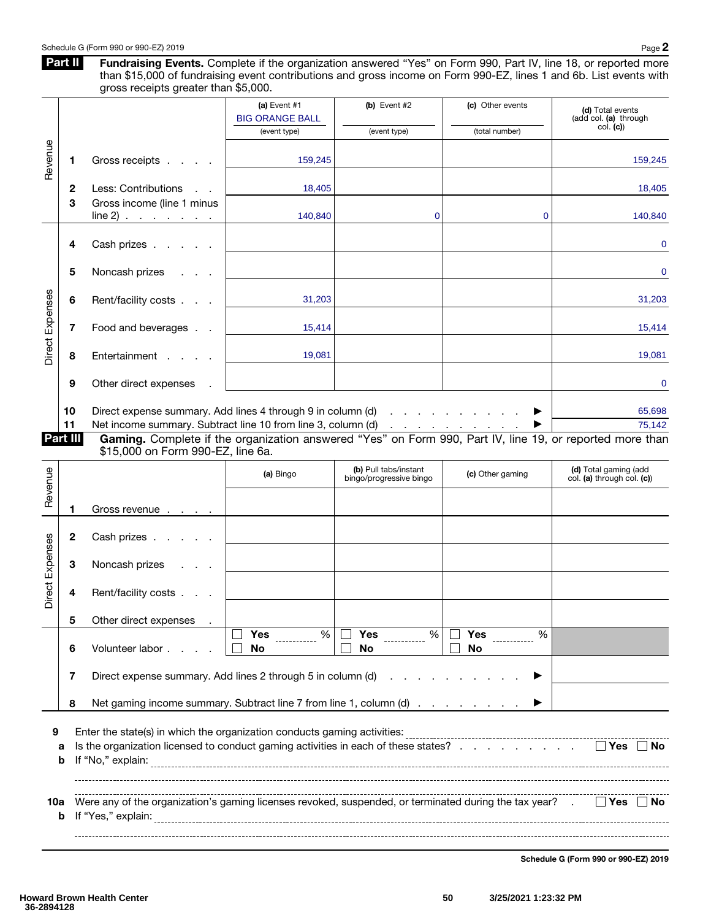Part II Fundraising Events. Complete if the organization answered "Yes" on Form 990, Part IV, line 18, or reported more than \$15,000 of fundraising event contributions and gross income on Form 990-EZ, lines 1 and 6b. List events with gross receipts greater than \$5,000.

|                 |                         |                                                                                                                                                                | (a) Event #1<br><b>BIG ORANGE BALL</b><br>(event type) | $(b)$ Event #2<br>(event type)                   | (c) Other events<br>(total number)                                         | (d) Total events<br>(add col. (a) through<br>col. (c) |
|-----------------|-------------------------|----------------------------------------------------------------------------------------------------------------------------------------------------------------|--------------------------------------------------------|--------------------------------------------------|----------------------------------------------------------------------------|-------------------------------------------------------|
| Revenue         | ı                       | Gross receipts                                                                                                                                                 | 159,245                                                |                                                  |                                                                            | 159,245                                               |
|                 | 2                       | Less: Contributions                                                                                                                                            | 18,405                                                 |                                                  |                                                                            | 18,405                                                |
|                 | 3                       | Gross income (line 1 minus<br>line 2)                                                                                                                          | 140,840                                                | $\mathbf{0}$                                     | 0                                                                          | 140,840                                               |
|                 | 4                       | Cash prizes                                                                                                                                                    |                                                        |                                                  |                                                                            | 0                                                     |
|                 | 5                       | Noncash prizes                                                                                                                                                 |                                                        |                                                  |                                                                            | 0                                                     |
|                 | 6                       | Rent/facility costs                                                                                                                                            | 31,203                                                 |                                                  |                                                                            | 31,203                                                |
| Direct Expenses | 7                       | Food and beverages                                                                                                                                             | 15,414                                                 |                                                  |                                                                            | 15,414                                                |
|                 | 8                       | Entertainment                                                                                                                                                  | 19,081                                                 |                                                  |                                                                            | 19,081                                                |
|                 | 9                       | Other direct expenses                                                                                                                                          |                                                        |                                                  |                                                                            | 0                                                     |
|                 | 10<br>11                | Direct expense summary. Add lines 4 through 9 in column (d)<br>Net income summary. Subtract line 10 from line 3, column (d)                                    |                                                        |                                                  | and the contract of the contract of<br>▶<br>and the company of the company | 65,698<br>75,142                                      |
| Part III        |                         | Gaming. Complete if the organization answered "Yes" on Form 990, Part IV, line 19, or reported more than<br>\$15,000 on Form 990-EZ, line 6a.                  |                                                        |                                                  |                                                                            |                                                       |
| Revenue         |                         |                                                                                                                                                                | (a) Bingo                                              | (b) Pull tabs/instant<br>bingo/progressive bingo | (c) Other gaming                                                           | (d) Total gaming (add<br>col. (a) through col. (c))   |
|                 | 1                       | Gross revenue                                                                                                                                                  |                                                        |                                                  |                                                                            |                                                       |
|                 | 2                       | Cash prizes                                                                                                                                                    |                                                        |                                                  |                                                                            |                                                       |
| Direct Expenses | 3                       | Noncash prizes                                                                                                                                                 |                                                        |                                                  |                                                                            |                                                       |
|                 | 4                       | Rent/facility costs                                                                                                                                            |                                                        |                                                  |                                                                            |                                                       |
|                 | 5                       | Other direct expenses                                                                                                                                          |                                                        |                                                  |                                                                            |                                                       |
|                 | 6                       | Volunteer labor.                                                                                                                                               | %<br>Yes<br>No                                         | %<br><b>Yes</b><br>No                            | %<br>Yes<br>No                                                             |                                                       |
|                 | 7                       | Direct expense summary. Add lines 2 through 5 in column (d)                                                                                                    |                                                        | and the company                                  |                                                                            |                                                       |
|                 | 8                       | Net gaming income summary. Subtract line 7 from line 1, column (d)                                                                                             |                                                        |                                                  |                                                                            |                                                       |
| 9               | а<br>b                  | Enter the state(s) in which the organization conducts gaming activities:<br>Is the organization licensed to conduct gaming activities in each of these states? |                                                        |                                                  |                                                                            |                                                       |
| 10a             | If "Yes," explain:<br>b | Were any of the organization's gaming licenses revoked, suspended, or terminated during the tax year?<br>  Yes   ∣No                                           |                                                        |                                                  |                                                                            |                                                       |

Schedule G (Form 990 or 990-EZ) 2019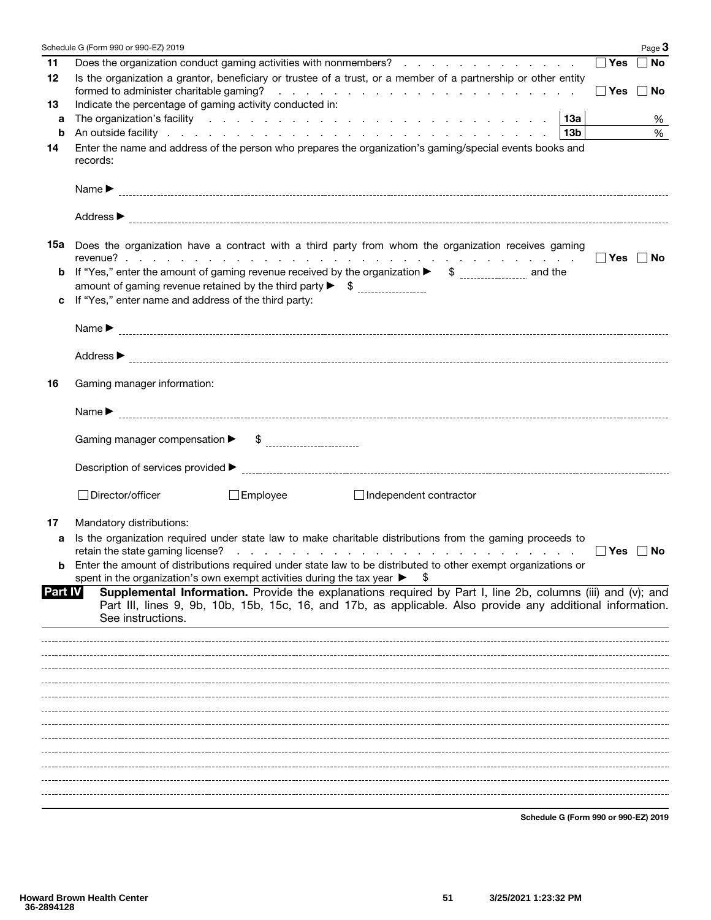|                | Schedule G (Form 990 or 990-EZ) 2019<br>Page 3                                                                                                                                                                                                                  |
|----------------|-----------------------------------------------------------------------------------------------------------------------------------------------------------------------------------------------------------------------------------------------------------------|
| 11             | $\Box$ Yes<br>Does the organization conduct gaming activities with nonmembers?<br>$\Box$ No                                                                                                                                                                     |
| 12             | Is the organization a grantor, beneficiary or trustee of a trust, or a member of a partnership or other entity<br>formed to administer charitable gaming?<br>the contract of the contract of the contract of the contract of the contract of<br>∣ ∣Yes<br>∣ ∣No |
| 13             | Indicate the percentage of gaming activity conducted in:                                                                                                                                                                                                        |
| a              | <b>∣13a</b><br>%                                                                                                                                                                                                                                                |
| b              | $\%$<br>An outside facility research and a result of the contract of the contract of the contract of the contract of the contract of the contract of the contract of the contract of the contract of the contract of the contract of t<br>  13b                 |
| 14             | Enter the name and address of the person who prepares the organization's gaming/special events books and<br>records:                                                                                                                                            |
|                | Name $\blacktriangleright$                                                                                                                                                                                                                                      |
|                |                                                                                                                                                                                                                                                                 |
|                | 15a Does the organization have a contract with a third party from whom the organization receives gaming                                                                                                                                                         |
| b              | Yes     No<br>If "Yes," enter the amount of gaming revenue received by the organization $\blacktriangleright$ \$ ________________ and the                                                                                                                       |
|                |                                                                                                                                                                                                                                                                 |
| c              | If "Yes," enter name and address of the third party:                                                                                                                                                                                                            |
|                |                                                                                                                                                                                                                                                                 |
|                | Name $\blacktriangleright$                                                                                                                                                                                                                                      |
|                |                                                                                                                                                                                                                                                                 |
| 16             | Gaming manager information:                                                                                                                                                                                                                                     |
|                | Name $\blacktriangleright$                                                                                                                                                                                                                                      |
|                | Gaming manager compensation ▶<br>$\frac{1}{2}$                                                                                                                                                                                                                  |
|                |                                                                                                                                                                                                                                                                 |
|                | $\Box$ Employee<br>□ Director/officer<br>Independent contractor                                                                                                                                                                                                 |
| 17             | Mandatory distributions:                                                                                                                                                                                                                                        |
| a              | Is the organization required under state law to make charitable distributions from the gaming proceeds to<br>∣ Yes<br>∣ ∣No                                                                                                                                     |
| b              | Enter the amount of distributions required under state law to be distributed to other exempt organizations or<br>spent in the organization's own exempt activities during the tax year ▶<br>\$                                                                  |
| <b>Part IV</b> | Supplemental Information. Provide the explanations required by Part I, line 2b, columns (iii) and (v); and<br>Part III, lines 9, 9b, 10b, 15b, 15c, 16, and 17b, as applicable. Also provide any additional information.<br>See instructions.                   |
|                |                                                                                                                                                                                                                                                                 |
|                |                                                                                                                                                                                                                                                                 |
|                |                                                                                                                                                                                                                                                                 |
|                |                                                                                                                                                                                                                                                                 |
|                |                                                                                                                                                                                                                                                                 |
|                |                                                                                                                                                                                                                                                                 |
|                |                                                                                                                                                                                                                                                                 |
|                |                                                                                                                                                                                                                                                                 |
|                |                                                                                                                                                                                                                                                                 |
|                |                                                                                                                                                                                                                                                                 |
|                |                                                                                                                                                                                                                                                                 |
|                |                                                                                                                                                                                                                                                                 |

Schedule G (Form 990 or 990-EZ) 2019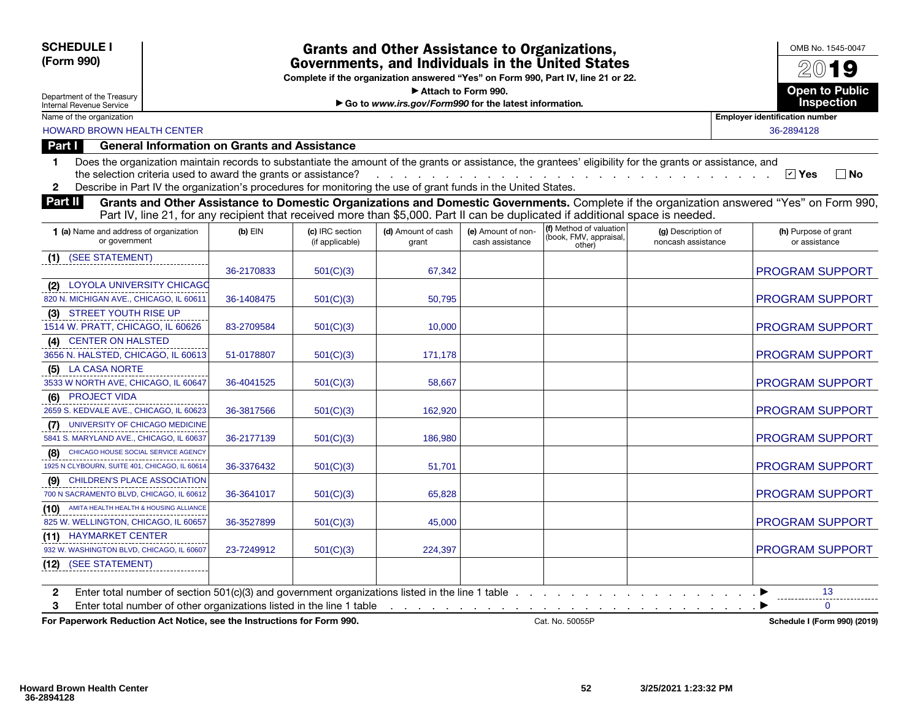### SCHEDULE I (Form 990)

### Grants and Other Assistance to Organizations, Governments, and Individuals in the United States

Complete if the organization answered "Yes" on Form 990, Part IV, line 21 or 22.

▶ Attach to Form 990.

▶ Go to *www.irs.gov/Form990* for the latest information*.*



OMB No. 1545-0047

Name of the organization **Employer identification number**  $\blacksquare$ 

HOWARD BROWN HEALTH CENTER 36-2894128

### Part I General Information on Grants and Assistance

Department of the Treasury Internal Revenue Service

| Does the organization maintain records to substantiate the amount of the grants or assistance, the grantees' eligibility for the grants or assistance, and |  |
|------------------------------------------------------------------------------------------------------------------------------------------------------------|--|
| the selection criteria used to award the grants or assistance? The contract of the selection criteria used to award the grants or assistance?              |  |

2 Describe in Part IV the organization's procedures for monitoring the use of grant funds in the United States.

Part II Grants and Other Assistance to Domestic Organizations and Domestic Governments. Complete if the organization answered "Yes" on Form 990, Part IV, line 21, for any recipient that received more than \$5,000. Part II can be duplicated if additional space is needed.

| 1 (a) Name and address of organization<br>or government                                                                                                   | $(b)$ EIN  | (c) IRC section<br>(if applicable) | (d) Amount of cash<br>grant | (e) Amount of non-<br>cash assistance | (f) Method of valuation<br>(book, FMV, appraisal,<br>other) | (g) Description of<br>noncash assistance | (h) Purpose of grant<br>or assistance |
|-----------------------------------------------------------------------------------------------------------------------------------------------------------|------------|------------------------------------|-----------------------------|---------------------------------------|-------------------------------------------------------------|------------------------------------------|---------------------------------------|
| (1) (SEE STATEMENT)                                                                                                                                       |            |                                    |                             |                                       |                                                             |                                          |                                       |
|                                                                                                                                                           | 36-2170833 | 501(C)(3)                          | 67,342                      |                                       |                                                             |                                          | <b>PROGRAM SUPPORT</b>                |
| (2) LOYOLA UNIVERSITY CHICAGO                                                                                                                             |            |                                    |                             |                                       |                                                             |                                          |                                       |
| 820 N. MICHIGAN AVE., CHICAGO, IL 60611                                                                                                                   | 36-1408475 | 501(C)(3)                          | 50,795                      |                                       |                                                             |                                          | <b>PROGRAM SUPPORT</b>                |
| (3) STREET YOUTH RISE UP                                                                                                                                  |            |                                    |                             |                                       |                                                             |                                          |                                       |
| 1514 W. PRATT, CHICAGO, IL 60626                                                                                                                          | 83-2709584 | 501(C)(3)                          | 10.000                      |                                       |                                                             |                                          | <b>PROGRAM SUPPORT</b>                |
| (4) CENTER ON HALSTED                                                                                                                                     |            |                                    |                             |                                       |                                                             |                                          |                                       |
| 3656 N. HALSTED, CHICAGO, IL 60613                                                                                                                        | 51-0178807 | 501(C)(3)                          | 171,178                     |                                       |                                                             |                                          | <b>PROGRAM SUPPORT</b>                |
| (5) LA CASA NORTE                                                                                                                                         |            |                                    |                             |                                       |                                                             |                                          |                                       |
| 3533 W NORTH AVE, CHICAGO, IL 60647                                                                                                                       | 36-4041525 | 501(C)(3)                          | 58,667                      |                                       |                                                             |                                          | <b>PROGRAM SUPPORT</b>                |
| (6) PROJECT VIDA                                                                                                                                          |            |                                    |                             |                                       |                                                             |                                          |                                       |
| 2659 S. KEDVALE AVE., CHICAGO, IL 60623                                                                                                                   | 36-3817566 | 501(C)(3)                          | 162,920                     |                                       |                                                             |                                          | <b>PROGRAM SUPPORT</b>                |
| UNIVERSITY OF CHICAGO MEDICINE<br>(7)                                                                                                                     |            |                                    |                             |                                       |                                                             |                                          |                                       |
| 5841 S. MARYLAND AVE., CHICAGO, IL 60637                                                                                                                  | 36-2177139 | 501(C)(3)                          | 186,980                     |                                       |                                                             |                                          | <b>PROGRAM SUPPORT</b>                |
| <b>(8)</b> CHICAGO HOUSE SOCIAL SERVICE AGENCY                                                                                                            |            |                                    |                             |                                       |                                                             |                                          |                                       |
| 1925 N CLYBOURN, SUITE 401, CHICAGO, IL 60614                                                                                                             | 36-3376432 | 501(C)(3)                          | 51,701                      |                                       |                                                             |                                          | <b>PROGRAM SUPPORT</b>                |
| (9) CHILDREN'S PLACE ASSOCIATION                                                                                                                          |            |                                    |                             |                                       |                                                             |                                          |                                       |
| 700 N SACRAMENTO BLVD, CHICAGO, IL 60612                                                                                                                  | 36-3641017 | 501(C)(3)                          | 65,828                      |                                       |                                                             |                                          | <b>PROGRAM SUPPORT</b>                |
| (10) AMITA HEALTH HEALTH & HOUSING ALLIANCE                                                                                                               |            |                                    |                             |                                       |                                                             |                                          |                                       |
| 825 W. WELLINGTON, CHICAGO, IL 60657                                                                                                                      | 36-3527899 | 501(C)(3)                          | 45.000                      |                                       |                                                             |                                          | <b>PROGRAM SUPPORT</b>                |
| (11) HAYMARKET CENTER                                                                                                                                     |            |                                    |                             |                                       |                                                             |                                          |                                       |
| 932 W. WASHINGTON BLVD, CHICAGO, IL 60607                                                                                                                 | 23-7249912 | 501(C)(3)                          | 224,397                     |                                       |                                                             |                                          | <b>PROGRAM SUPPORT</b>                |
| (12) (SEE STATEMENT)                                                                                                                                      |            |                                    |                             |                                       |                                                             |                                          |                                       |
| Enter total number of section 501(c)(3) and government organizations listed in the line 1 table $\ldots$ , $\ldots$ , $\ldots$ , $\ldots$ , $\ldots$<br>2 |            |                                    |                             |                                       |                                                             |                                          | 13                                    |
| 3                                                                                                                                                         |            |                                    |                             |                                       |                                                             |                                          |                                       |
|                                                                                                                                                           |            |                                    |                             |                                       |                                                             |                                          |                                       |

For Paperwork Reduction Act Notice, see the Instructions for Form 990. Cat. No. 50055P Schedule I (Form 990) (2019) (2019)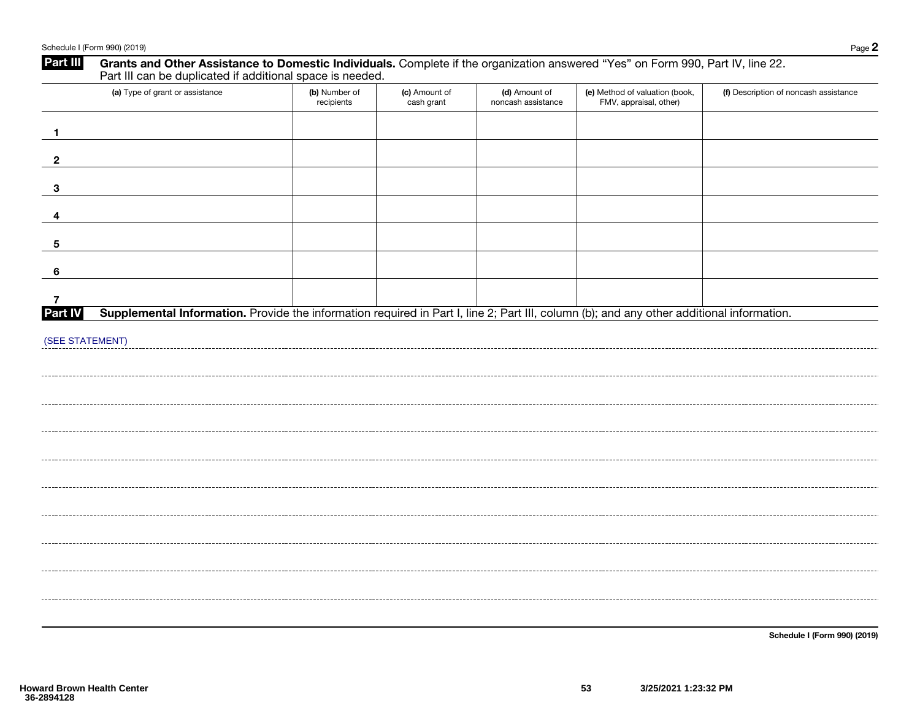| Part III                         | Grants and Other Assistance to Domestic Individuals. Complete if the organization answered "Yes" on Form 990, Part IV, line 22.<br>Part III can be duplicated if additional space is needed. |                             |                             |                                     |                                                          |                                       |
|----------------------------------|----------------------------------------------------------------------------------------------------------------------------------------------------------------------------------------------|-----------------------------|-----------------------------|-------------------------------------|----------------------------------------------------------|---------------------------------------|
|                                  | (a) Type of grant or assistance                                                                                                                                                              | (b) Number of<br>recipients | (c) Amount of<br>cash grant | (d) Amount of<br>noncash assistance | (e) Method of valuation (book,<br>FMV, appraisal, other) | (f) Description of noncash assistance |
| $\mathbf{1}$                     |                                                                                                                                                                                              |                             |                             |                                     |                                                          |                                       |
| $\mathbf{2}$                     |                                                                                                                                                                                              |                             |                             |                                     |                                                          |                                       |
| 3                                |                                                                                                                                                                                              |                             |                             |                                     |                                                          |                                       |
| 4                                |                                                                                                                                                                                              |                             |                             |                                     |                                                          |                                       |
| 5                                |                                                                                                                                                                                              |                             |                             |                                     |                                                          |                                       |
| 6                                |                                                                                                                                                                                              |                             |                             |                                     |                                                          |                                       |
| $\overline{7}$<br><b>Part IV</b> | Supplemental Information. Provide the information required in Part I, line 2; Part III, column (b); and any other additional information.                                                    |                             |                             |                                     |                                                          |                                       |
| (SEE STATEMENT)                  |                                                                                                                                                                                              |                             |                             |                                     |                                                          |                                       |
|                                  |                                                                                                                                                                                              |                             |                             |                                     |                                                          |                                       |
|                                  |                                                                                                                                                                                              |                             |                             |                                     |                                                          |                                       |
|                                  |                                                                                                                                                                                              |                             |                             |                                     |                                                          |                                       |
|                                  |                                                                                                                                                                                              |                             |                             |                                     |                                                          |                                       |
|                                  |                                                                                                                                                                                              |                             |                             |                                     |                                                          |                                       |
|                                  |                                                                                                                                                                                              |                             |                             |                                     |                                                          |                                       |
|                                  |                                                                                                                                                                                              |                             |                             |                                     |                                                          |                                       |
|                                  |                                                                                                                                                                                              |                             |                             |                                     |                                                          |                                       |
|                                  |                                                                                                                                                                                              |                             |                             |                                     |                                                          |                                       |
|                                  |                                                                                                                                                                                              |                             |                             |                                     |                                                          |                                       |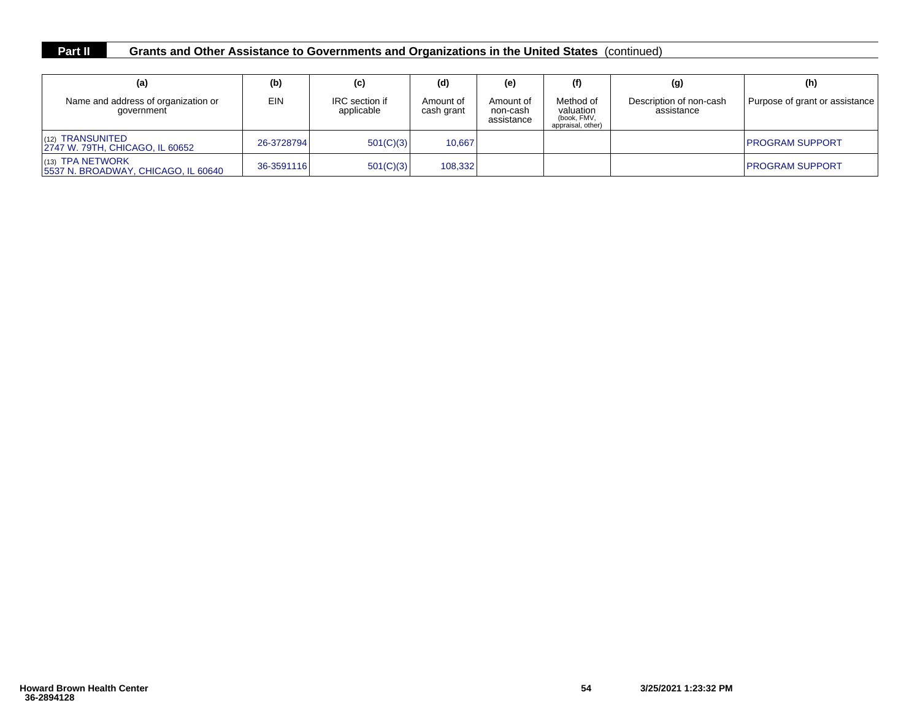## **Part II Grants and Other Assistance to Governments and Organizations in the United States** (continued)

| (a)                                                       | (b)        | (c)                          | (d)                     | (e)                                 | (f)                                                        | (g)                                   | (h)                            |
|-----------------------------------------------------------|------------|------------------------------|-------------------------|-------------------------------------|------------------------------------------------------------|---------------------------------------|--------------------------------|
| Name and address of organization or<br>government         | EIN        | IRC section if<br>applicable | Amount of<br>cash grant | Amount of<br>non-cash<br>assistance | Method of<br>valuation<br>(book, FMV,<br>appraisal, other) | Description of non-cash<br>assistance | Purpose of grant or assistance |
| $(12)$ TRANSUNITED<br>2747 W. 79TH, CHICAGO, IL 60652     | 26-3728794 | 501(C)(3)                    | 10.667                  |                                     |                                                            |                                       | <b>IPROGRAM SUPPORT</b>        |
| $(13)$ TPA NETWORK<br>5537 N. BROADWAY, CHICAGO, IL 60640 | 36-3591116 | 501(C)(3)                    | 108,332                 |                                     |                                                            |                                       | <b>IPROGRAM SUPPORT</b>        |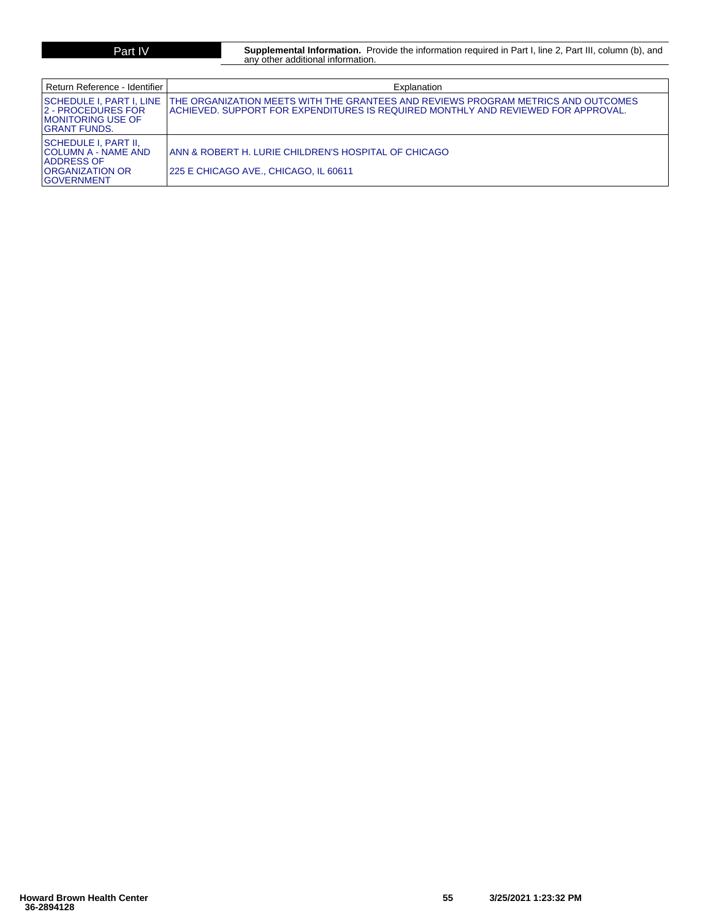**Part IV Supplemental Information.** Provide the information required in Part I, line 2, Part III, column (b), and<br>any other additional information.

| Return Reference - Identifier                                                                         | Explanation                                                                                                                                                             |
|-------------------------------------------------------------------------------------------------------|-------------------------------------------------------------------------------------------------------------------------------------------------------------------------|
| ISCHEDULE I. PART I. LINE<br>12 - PROCEDURES FOR<br>IMONITORING USE OF<br>IGRANT FUNDS.               | THE ORGANIZATION MEETS WITH THE GRANTEES AND REVIEWS PROGRAM METRICS AND OUTCOMES<br>IACHIEVED. SUPPORT FOR EXPENDITURES IS REQUIRED MONTHLY AND REVIEWED FOR APPROVAL. |
| ISCHEDULE I. PART II.<br>ICOLUMN A - NAME AND<br>IADDRESS OF<br>IORGANIZATION OR<br><b>GOVERNMENT</b> | IANN & ROBERT H. LURIE CHILDREN'S HOSPITAL OF CHICAGO<br>225 E CHICAGO AVE CHICAGO. IL 60611                                                                            |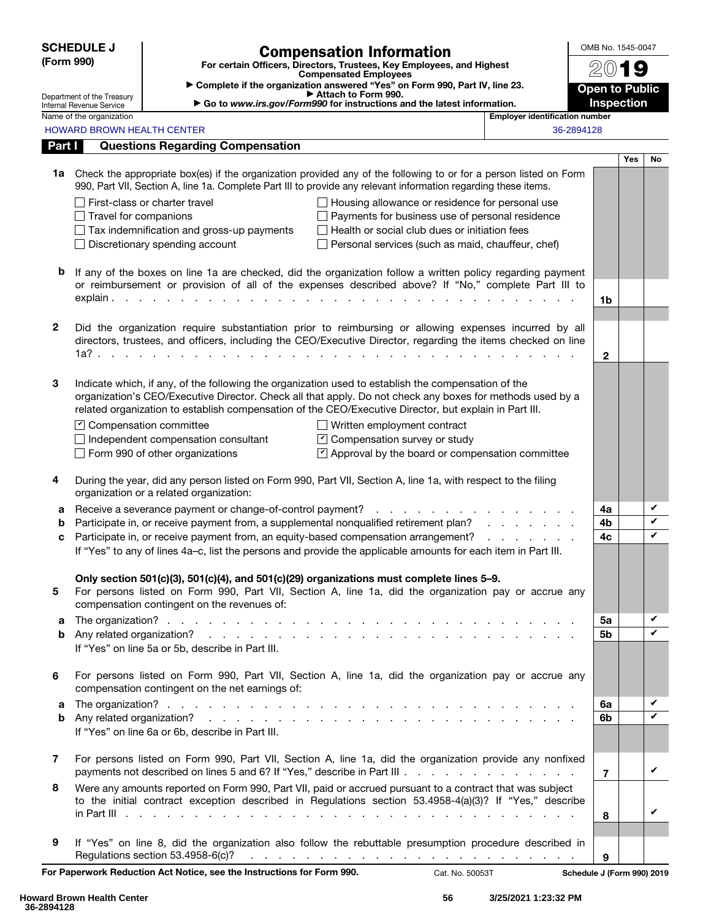| <b>SCHEDULE J</b> |                                                                                                                                                                                                                                                                                                                 | <b>Compensation Information</b>                                                                                                                                                                                                                                                                                                                                                                                                                                                                                                                                                                                                                                                                                                                                                            | OMB No. 1545-0047                     |                |            |        |
|-------------------|-----------------------------------------------------------------------------------------------------------------------------------------------------------------------------------------------------------------------------------------------------------------------------------------------------------------|--------------------------------------------------------------------------------------------------------------------------------------------------------------------------------------------------------------------------------------------------------------------------------------------------------------------------------------------------------------------------------------------------------------------------------------------------------------------------------------------------------------------------------------------------------------------------------------------------------------------------------------------------------------------------------------------------------------------------------------------------------------------------------------------|---------------------------------------|----------------|------------|--------|
| (Form 990)        |                                                                                                                                                                                                                                                                                                                 | For certain Officers, Directors, Trustees, Key Employees, and Highest<br><b>Compensated Employees</b>                                                                                                                                                                                                                                                                                                                                                                                                                                                                                                                                                                                                                                                                                      | 2019                                  |                |            |        |
|                   |                                                                                                                                                                                                                                                                                                                 | Complete if the organization answered "Yes" on Form 990, Part IV, line 23.                                                                                                                                                                                                                                                                                                                                                                                                                                                                                                                                                                                                                                                                                                                 | <b>Open to Public</b>                 |                |            |        |
|                   | Department of the Treasury<br>Internal Revenue Service                                                                                                                                                                                                                                                          | Attach to Form 990.<br>Go to www.irs.gov/Form990 for instructions and the latest information.                                                                                                                                                                                                                                                                                                                                                                                                                                                                                                                                                                                                                                                                                              |                                       | Inspection     |            |        |
|                   | Name of the organization                                                                                                                                                                                                                                                                                        |                                                                                                                                                                                                                                                                                                                                                                                                                                                                                                                                                                                                                                                                                                                                                                                            | <b>Employer identification number</b> |                |            |        |
| Part I            | <b>HOWARD BROWN HEALTH CENTER</b>                                                                                                                                                                                                                                                                               | <b>Questions Regarding Compensation</b>                                                                                                                                                                                                                                                                                                                                                                                                                                                                                                                                                                                                                                                                                                                                                    |                                       | 36-2894128     |            |        |
|                   |                                                                                                                                                                                                                                                                                                                 |                                                                                                                                                                                                                                                                                                                                                                                                                                                                                                                                                                                                                                                                                                                                                                                            |                                       |                | <b>Yes</b> | No     |
| 1a                | $\Box$ Travel for companions                                                                                                                                                                                                                                                                                    | Check the appropriate box(es) if the organization provided any of the following to or for a person listed on Form<br>990, Part VII, Section A, line 1a. Complete Part III to provide any relevant information regarding these items.<br>First-class or charter travel<br>Housing allowance or residence for personal use<br>Payments for business use of personal residence<br>Health or social club dues or initiation fees<br>$\Box$ Tax indemnification and gross-up payments                                                                                                                                                                                                                                                                                                           |                                       |                |            |        |
| b                 | $\Box$ Discretionary spending account<br>Personal services (such as maid, chauffeur, chef)<br>If any of the boxes on line 1a are checked, did the organization follow a written policy regarding payment<br>or reimbursement or provision of all of the expenses described above? If "No," complete Part III to |                                                                                                                                                                                                                                                                                                                                                                                                                                                                                                                                                                                                                                                                                                                                                                                            |                                       |                |            |        |
| $\mathbf{2}$      |                                                                                                                                                                                                                                                                                                                 | Did the organization require substantiation prior to reimbursing or allowing expenses incurred by all<br>directors, trustees, and officers, including the CEO/Executive Director, regarding the items checked on line                                                                                                                                                                                                                                                                                                                                                                                                                                                                                                                                                                      |                                       | $\mathbf{2}$   |            |        |
| 3                 |                                                                                                                                                                                                                                                                                                                 | Indicate which, if any, of the following the organization used to establish the compensation of the<br>organization's CEO/Executive Director. Check all that apply. Do not check any boxes for methods used by a<br>related organization to establish compensation of the CEO/Executive Director, but explain in Part III.<br>□ Compensation committee<br>$\Box$ Written employment contract<br>$\Box$ Independent compensation consultant<br>$\triangleright$ Compensation survey or study<br>$\Box$ Form 990 of other organizations<br>$\triangleright$ Approval by the board or compensation committee                                                                                                                                                                                  |                                       |                |            |        |
| 4                 |                                                                                                                                                                                                                                                                                                                 | During the year, did any person listed on Form 990, Part VII, Section A, line 1a, with respect to the filing<br>organization or a related organization:                                                                                                                                                                                                                                                                                                                                                                                                                                                                                                                                                                                                                                    |                                       |                |            |        |
| а                 |                                                                                                                                                                                                                                                                                                                 |                                                                                                                                                                                                                                                                                                                                                                                                                                                                                                                                                                                                                                                                                                                                                                                            |                                       | 4a             |            | V      |
| b                 |                                                                                                                                                                                                                                                                                                                 | Participate in, or receive payment from, a supplemental nonqualified retirement plan?                                                                                                                                                                                                                                                                                                                                                                                                                                                                                                                                                                                                                                                                                                      |                                       | 4b<br>4c       |            | V<br>V |
| c                 |                                                                                                                                                                                                                                                                                                                 | Participate in, or receive payment from, an equity-based compensation arrangement?<br>If "Yes" to any of lines 4a-c, list the persons and provide the applicable amounts for each item in Part III.                                                                                                                                                                                                                                                                                                                                                                                                                                                                                                                                                                                        |                                       |                |            |        |
| 5                 |                                                                                                                                                                                                                                                                                                                 | Only section 501(c)(3), 501(c)(4), and 501(c)(29) organizations must complete lines 5–9.<br>For persons listed on Form 990, Part VII, Section A, line 1a, did the organization pay or accrue any<br>compensation contingent on the revenues of:                                                                                                                                                                                                                                                                                                                                                                                                                                                                                                                                            |                                       |                |            |        |
| a                 |                                                                                                                                                                                                                                                                                                                 |                                                                                                                                                                                                                                                                                                                                                                                                                                                                                                                                                                                                                                                                                                                                                                                            |                                       | 5a             |            | V      |
| b                 |                                                                                                                                                                                                                                                                                                                 | If "Yes" on line 5a or 5b, describe in Part III.                                                                                                                                                                                                                                                                                                                                                                                                                                                                                                                                                                                                                                                                                                                                           |                                       | 5b             |            | ✓      |
| 6                 |                                                                                                                                                                                                                                                                                                                 | For persons listed on Form 990, Part VII, Section A, line 1a, did the organization pay or accrue any<br>compensation contingent on the net earnings of:                                                                                                                                                                                                                                                                                                                                                                                                                                                                                                                                                                                                                                    |                                       |                |            |        |
| а                 |                                                                                                                                                                                                                                                                                                                 |                                                                                                                                                                                                                                                                                                                                                                                                                                                                                                                                                                                                                                                                                                                                                                                            |                                       | 6a             |            | V      |
| b                 |                                                                                                                                                                                                                                                                                                                 | If "Yes" on line 6a or 6b, describe in Part III.                                                                                                                                                                                                                                                                                                                                                                                                                                                                                                                                                                                                                                                                                                                                           |                                       | 6b             |            | V      |
| $\overline{7}$    |                                                                                                                                                                                                                                                                                                                 | For persons listed on Form 990, Part VII, Section A, line 1a, did the organization provide any nonfixed                                                                                                                                                                                                                                                                                                                                                                                                                                                                                                                                                                                                                                                                                    |                                       | $\overline{7}$ |            | V      |
| 8                 |                                                                                                                                                                                                                                                                                                                 | Were any amounts reported on Form 990, Part VII, paid or accrued pursuant to a contract that was subject<br>to the initial contract exception described in Regulations section 53.4958-4(a)(3)? If "Yes," describe                                                                                                                                                                                                                                                                                                                                                                                                                                                                                                                                                                         |                                       | 8              |            | V      |
| 9                 |                                                                                                                                                                                                                                                                                                                 | If "Yes" on line 8, did the organization also follow the rebuttable presumption procedure described in<br>Regulations section 53.4958-6(c)? $\ldots$ $\ldots$ $\ldots$ $\ldots$ $\ldots$ $\ldots$ $\ldots$ $\ldots$ $\ldots$ $\ldots$<br>$\overline{\phantom{a}}$ $\overline{\phantom{a}}$ $\overline{\phantom{a}}$ $\overline{\phantom{a}}$ $\overline{\phantom{a}}$ $\overline{\phantom{a}}$ $\overline{\phantom{a}}$ $\overline{\phantom{a}}$ $\overline{\phantom{a}}$ $\overline{\phantom{a}}$ $\overline{\phantom{a}}$ $\overline{\phantom{a}}$ $\overline{\phantom{a}}$ $\overline{\phantom{a}}$ $\overline{\phantom{a}}$ $\overline{\phantom{a}}$ $\overline{\phantom{a}}$ $\overline{\phantom{a}}$ $\overline{\$<br>enverk Reduction Act Notice, and the Instructions for Form 000 |                                       | 9              |            |        |

For Paperwork Reduction Act Notice, see the Instructions for Form 990. Cat. No. 50053T Schedule J (Form 990) 2019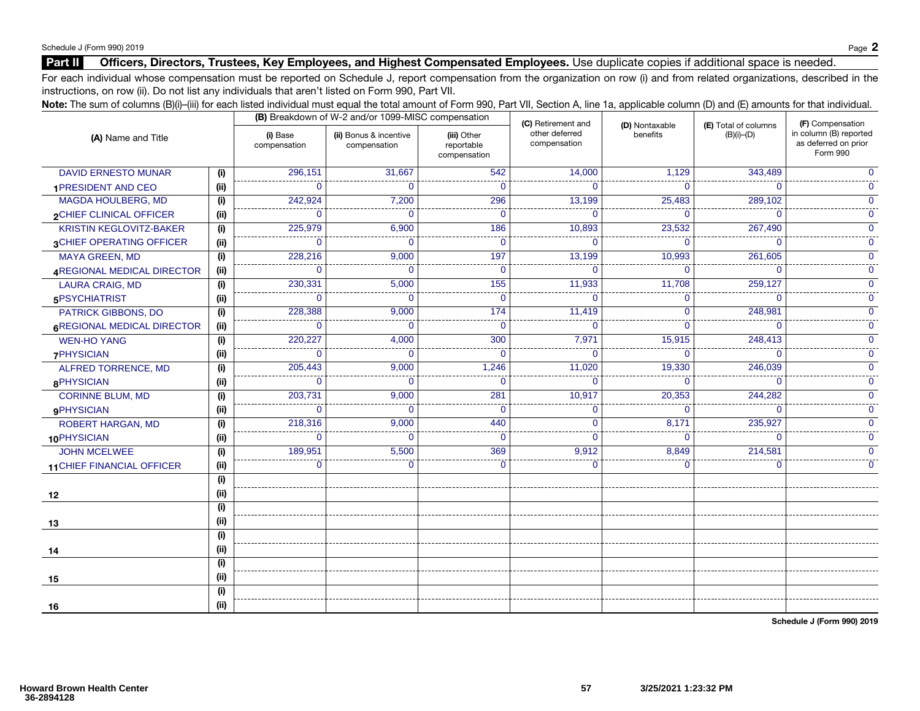### Part II Officers, Directors, Trustees, Key Employees, and Highest Compensated Employees. Use duplicate copies if additional space is needed.

For each individual whose compensation must be reported on Schedule J, report compensation from the organization on row (i) and from related organizations, described in the instructions, on row (ii). Do not list any individuals that aren't listed on Form 990, Part VII.

| Note: The sum of columns (B)(i)-(iii) for each listed individual must equal the total amount of Form 990, Part VII, Section A, line 1a, applicable column (D) and (E) amounts for that individual. |      |                          | (B) Breakdown of W-2 and/or 1099-MISC compensation |                                           | (C) Retirement and             |                            |                                                 | (F) Compensation                                           |
|----------------------------------------------------------------------------------------------------------------------------------------------------------------------------------------------------|------|--------------------------|----------------------------------------------------|-------------------------------------------|--------------------------------|----------------------------|-------------------------------------------------|------------------------------------------------------------|
| (A) Name and Title                                                                                                                                                                                 |      | (i) Base<br>compensation | (ii) Bonus & incentive<br>compensation             | (iii) Other<br>reportable<br>compensation | other deferred<br>compensation | (D) Nontaxable<br>benefits | <b>(E)</b> Total of columns<br>$(B)(i)$ - $(D)$ | in column (B) reported<br>as deferred on prior<br>Form 990 |
| <b>DAVID ERNESTO MUNAR</b>                                                                                                                                                                         | (i)  | 296,151                  | 31,667                                             | 542                                       | 14,000                         | 1.129                      | 343.489                                         |                                                            |
| 1 PRESIDENT AND CEO                                                                                                                                                                                | (i)  |                          |                                                    |                                           |                                |                            |                                                 |                                                            |
| <b>MAGDA HOULBERG, MD</b>                                                                                                                                                                          | (i)  | 242,924                  | 7.200                                              | 296                                       | 13,199                         | 25.483                     | 289.102                                         |                                                            |
| 2CHIEF CLINICAL OFFICER                                                                                                                                                                            | (ii) |                          |                                                    |                                           |                                |                            |                                                 |                                                            |
| <b>KRISTIN KEGLOVITZ-BAKER</b>                                                                                                                                                                     | (i)  | 225,979                  | 6,900                                              | 186                                       | 10,893                         | 23,532                     | 267,490                                         |                                                            |
| 3CHIEF OPERATING OFFICER                                                                                                                                                                           | (ii) |                          |                                                    |                                           |                                |                            |                                                 |                                                            |
| <b>MAYA GREEN, MD</b>                                                                                                                                                                              | (i)  | 228,216                  | 9,000                                              | 197                                       | 13,199                         | 10,993                     | 261,605                                         |                                                            |
| 4REGIONAL MEDICAL DIRECTOR                                                                                                                                                                         | (ii) |                          | O                                                  | 0                                         | 0                              |                            |                                                 |                                                            |
| <b>LAURA CRAIG, MD</b>                                                                                                                                                                             | (i)  | 230,331                  | 5,000                                              | 155                                       | 11,933                         | 11,708                     | 259,127                                         |                                                            |
| 5PSYCHIATRIST                                                                                                                                                                                      | (ii) | 0                        | 0                                                  | 0                                         | $\mathbf 0$                    | 0                          |                                                 |                                                            |
| PATRICK GIBBONS, DO                                                                                                                                                                                | (i)  | 228,388                  | 9,000                                              | 174                                       | 11,419                         | $\Omega$                   | 248,981                                         |                                                            |
| <b>6REGIONAL MEDICAL DIRECTOR</b>                                                                                                                                                                  | (ii) |                          | $\mathbf{0}$                                       | $\mathbf 0$                               | $\mathbf 0$                    | 0                          |                                                 |                                                            |
| <b>WEN-HO YANG</b>                                                                                                                                                                                 | (i)  | 220,227                  | 4,000                                              | 300                                       | 7,971                          | 15,915                     | 248,413                                         |                                                            |
| <b>7PHYSICIAN</b>                                                                                                                                                                                  | (ii) |                          | $\Omega$                                           | 0                                         | $\Omega$                       |                            |                                                 |                                                            |
| ALFRED TORRENCE, MD                                                                                                                                                                                | (i)  | 205,443                  | 9,000                                              | 1,246                                     | 11,020                         | 19,330                     | 246,039                                         | ∩                                                          |
| <b>8PHYSICIAN</b>                                                                                                                                                                                  | (ii) |                          | 0                                                  | $\mathbf{I}$                              | $\Omega$                       |                            |                                                 |                                                            |
| <b>CORINNE BLUM, MD</b>                                                                                                                                                                            | (i)  | 203,731                  | 9,000                                              | 281                                       | 10,917                         | 20,353                     | 244,282                                         |                                                            |
| <b>9PHYSICIAN</b>                                                                                                                                                                                  | (ii) | <sup>0</sup>             | $\Omega$                                           | $\Omega$                                  | $\Omega$                       | n                          |                                                 |                                                            |
| ROBERT HARGAN, MD                                                                                                                                                                                  | (i)  | 218,316                  | 9,000                                              | 440                                       | $\Omega$                       | 8,171                      | 235,927                                         |                                                            |
| 10PHYSICIAN                                                                                                                                                                                        | (ii) |                          | $\Omega$                                           | ∩                                         | $\Omega$                       | n                          |                                                 |                                                            |
| <b>JOHN MCELWEE</b>                                                                                                                                                                                | (i)  | 189,951                  | 5,500                                              | 369                                       | 9,912                          | 8,849                      | 214,581                                         |                                                            |
| <b>11 CHIEF FINANCIAL OFFICER</b>                                                                                                                                                                  | (ii) | $\Omega$                 | $\Omega$                                           | $\Omega$                                  | $\Omega$                       | $\Omega$                   | $\Omega$                                        | 0                                                          |
|                                                                                                                                                                                                    | (i)  |                          |                                                    |                                           |                                |                            |                                                 |                                                            |
| 12                                                                                                                                                                                                 | (i)  |                          |                                                    |                                           |                                |                            |                                                 |                                                            |
|                                                                                                                                                                                                    | (i)  |                          |                                                    |                                           |                                |                            |                                                 |                                                            |
| 13                                                                                                                                                                                                 | (ii) |                          |                                                    |                                           |                                |                            |                                                 |                                                            |
|                                                                                                                                                                                                    | (i)  |                          |                                                    |                                           |                                |                            |                                                 |                                                            |
| 14                                                                                                                                                                                                 | (ii) |                          |                                                    |                                           |                                |                            |                                                 |                                                            |
|                                                                                                                                                                                                    | (i)  |                          |                                                    |                                           |                                |                            |                                                 |                                                            |
| 15                                                                                                                                                                                                 | (ii) |                          |                                                    |                                           |                                |                            |                                                 |                                                            |
|                                                                                                                                                                                                    | (i)  |                          |                                                    |                                           |                                |                            |                                                 |                                                            |
| 16                                                                                                                                                                                                 | (ii) |                          |                                                    |                                           |                                |                            |                                                 |                                                            |

Schedule J (Form 990) 2019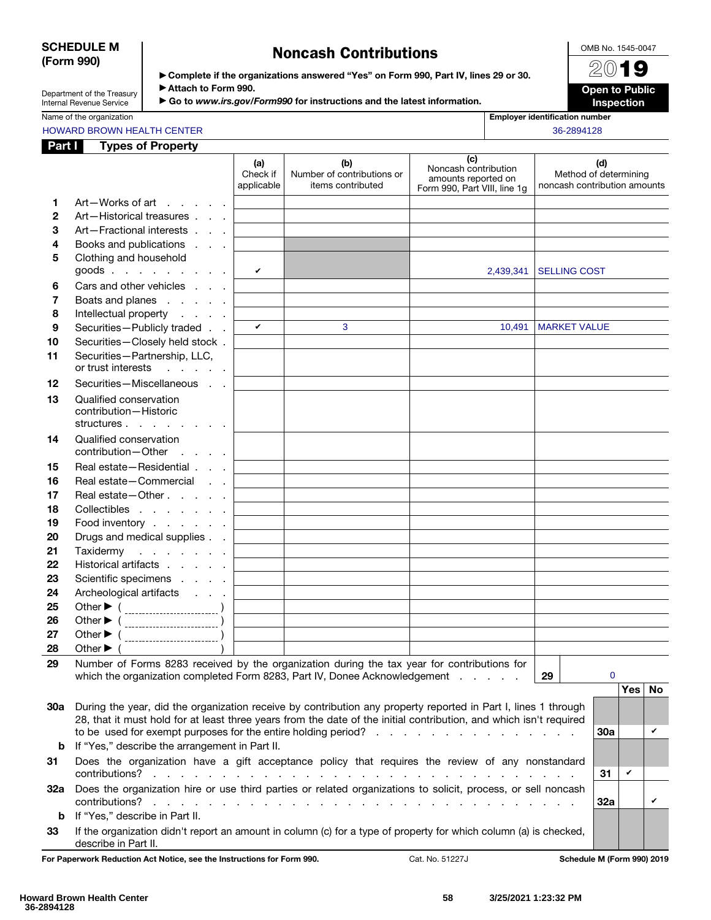### SCHEDULE M (Form 990)

# Noncash Contributions

OMB No. 1545-0047 2019

Open to Public

Department of the Treasury Internal Revenue Service

| ► Complete if the organizations answered "Yes" on Form 990, Part IV, lines 29 or 30. |  |
|--------------------------------------------------------------------------------------|--|
| Attach to Form 990.                                                                  |  |

▶ Go to *www.irs.gov/Form990* for instructions and the latest information.

Name of the organization in the organization  $\blacksquare$ 

# Inspection

|              | HOWARD BROWN HEALTH CENTER                                 |                               |                                                        |                                                                                    |           | 36-2894128                                                   |
|--------------|------------------------------------------------------------|-------------------------------|--------------------------------------------------------|------------------------------------------------------------------------------------|-----------|--------------------------------------------------------------|
| Part I       | <b>Types of Property</b>                                   |                               |                                                        |                                                                                    |           |                                                              |
|              |                                                            | (a)<br>Check if<br>applicable | (b)<br>Number of contributions or<br>items contributed | (c)<br>Noncash contribution<br>amounts reported on<br>Form 990, Part VIII, line 1g |           | (d)<br>Method of determining<br>noncash contribution amounts |
|              | Art-Works of art                                           |                               |                                                        |                                                                                    |           |                                                              |
| $\mathbf{2}$ | Art-Historical treasures                                   |                               |                                                        |                                                                                    |           |                                                              |
| 3            | Art-Fractional interests                                   |                               |                                                        |                                                                                    |           |                                                              |
| 4            | Books and publications                                     |                               |                                                        |                                                                                    |           |                                                              |
| 5            | Clothing and household<br>goods $\cdots$ $\cdots$ $\cdots$ | v                             |                                                        |                                                                                    | 2,439,341 | <b>SELLING COST</b>                                          |
| 6            | Cars and other vehicles                                    |                               |                                                        |                                                                                    |           |                                                              |
|              | Boats and planes                                           |                               |                                                        |                                                                                    |           |                                                              |
| 8            | Intellectual property                                      |                               |                                                        |                                                                                    |           |                                                              |
| 9            | Securities-Publicly traded                                 | $\checkmark$                  | 3                                                      |                                                                                    | 10.491    | <b>MARKET VALUE</b>                                          |
| 10           | Securities-Closely held stock.                             |                               |                                                        |                                                                                    |           |                                                              |

| 13 | Qualified conservation  |  |
|----|-------------------------|--|
|    | contribution - Historic |  |
|    | structures              |  |

| 9       | Securities-Publicly traded                                                                            | $\checkmark$ | 3 | 10,491   MARKET VALUE |
|---------|-------------------------------------------------------------------------------------------------------|--------------|---|-----------------------|
| 10      | Securities-Closely held stock.                                                                        |              |   |                       |
| 11      | Securities-Partnership, LLC,                                                                          |              |   |                       |
|         | or trust interests                                                                                    |              |   |                       |
| $12 \,$ | Securities-Miscellaneous                                                                              |              |   |                       |
| 13      | Qualified conservation                                                                                |              |   |                       |
|         | contribution - Historic                                                                               |              |   |                       |
|         | structures                                                                                            |              |   |                       |
| 14      | Qualified conservation                                                                                |              |   |                       |
|         | contribution-Other                                                                                    |              |   |                       |
| 15      | Real estate – Residential                                                                             |              |   |                       |
| 16      | Real estate-Commercial                                                                                |              |   |                       |
| 17      | Real estate - Other                                                                                   |              |   |                       |
| 18      | Collectibles                                                                                          |              |   |                       |
| 19      | Food inventory                                                                                        |              |   |                       |
| 20      | Drugs and medical supplies                                                                            |              |   |                       |
| 21      | Taxidermy                                                                                             |              |   |                       |
| 22      | Historical artifacts                                                                                  |              |   |                       |
| 23      | Scientific specimens                                                                                  |              |   |                       |
| 24      | Archeological artifacts                                                                               |              |   |                       |
| 25      |                                                                                                       |              |   |                       |
| 26      | Other ▶ ( __________________________)                                                                 |              |   |                       |
| 27      |                                                                                                       |              |   |                       |
| 28      | Other $\blacktriangleright$ (                                                                         |              |   |                       |
| 29      | Number of Forms 8283 received by the organization during the tax year for contributions for           |              |   |                       |
|         | which the organization completed Form 8283, Part IV, Donee Acknowledgement entercated by the complete |              |   | 29<br>$\mathbf{0}$    |

29 Number of Forms 8283 received by the organization during the tax year for contributions for which the organization completed Form 8283, Part IV, Donee Acknowledgement . . . . . . 29

| n |  |
|---|--|

|     |                                                                                                                                                                                                                                                 |            | Yes | <b>No</b> |
|-----|-------------------------------------------------------------------------------------------------------------------------------------------------------------------------------------------------------------------------------------------------|------------|-----|-----------|
| 30a | During the year, did the organization receive by contribution any property reported in Part I, lines 1 through<br>28, that it must hold for at least three years from the date of the initial contribution, and which isn't required            |            |     |           |
|     |                                                                                                                                                                                                                                                 | <b>30a</b> |     |           |
|     | <b>b</b> If "Yes," describe the arrangement in Part II.                                                                                                                                                                                         |            |     |           |
| 31  | Does the organization have a gift acceptance policy that requires the review of any nonstandard                                                                                                                                                 |            |     |           |
|     |                                                                                                                                                                                                                                                 | 31         | ✓   |           |
| 32а | Does the organization hire or use third parties or related organizations to solicit, process, or sell noncash                                                                                                                                   |            |     |           |
|     | contributions?<br>and a construction of the construction of the construction of the construction of the construction of the construction of the construction of the construction of the construction of the construction of the construction of | 32a        |     |           |
| b.  | If "Yes," describe in Part II.                                                                                                                                                                                                                  |            |     |           |
| 33  | If the organization didn't report an amount in column (c) for a type of property for which column (a) is checked,<br>describe in Part II.                                                                                                       |            |     |           |

For Paperwork Reduction Act Notice, see the Instructions for Form 990. Cat. No. 51227J Schedule M (Form 990) 2019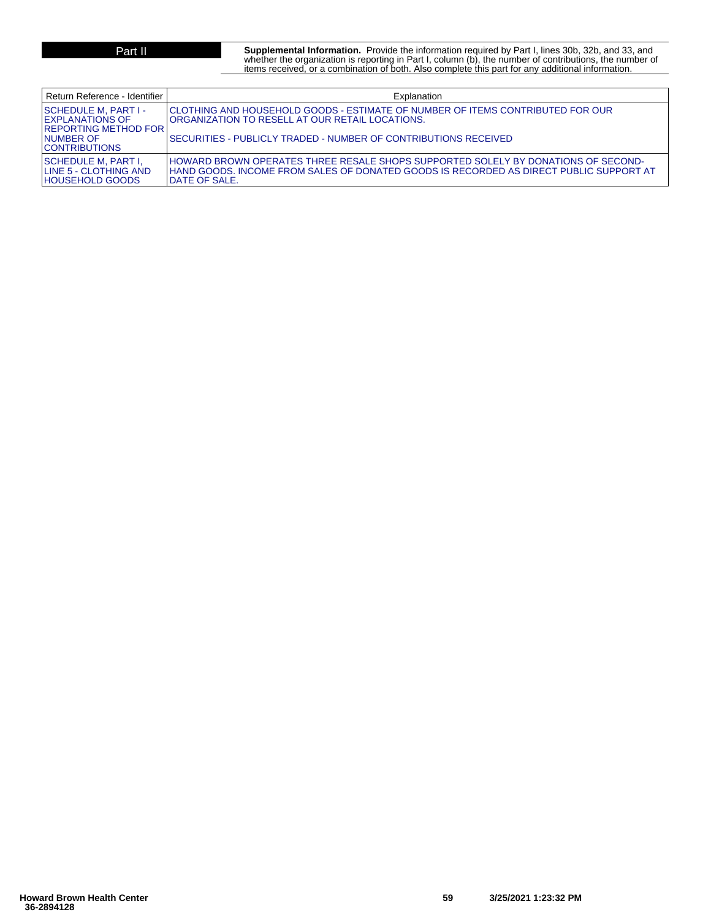**Part II Supplemental Information.** Provide the information required by Part I, lines 30b, 32b, and 33, and whether the organization is reporting in Part I, column (b), the number of contributions, the number of items received, or a combination of both. Also complete this part for any additional information.

| Return Reference - Identifier                                                                              | Explanation                                                                                                                                                                                                   |
|------------------------------------------------------------------------------------------------------------|---------------------------------------------------------------------------------------------------------------------------------------------------------------------------------------------------------------|
| SCHEDULE M. PART   -<br>I EXPLANATIONS OF<br> REPORTING METHOD FOR  <br>INUMBER OF<br><b>CONTRIBUTIONS</b> | ICLOTHING AND HOUSEHOLD GOODS - ESTIMATE OF NUMBER OF ITEMS CONTRIBUTED FOR OUR<br><b>ORGANIZATION TO RESELL AT OUR RETAIL LOCATIONS.</b><br>ISECURITIES - PUBLICLY TRADED - NUMBER OF CONTRIBUTIONS RECEIVED |
| SCHEDULE M. PART I.<br>ILINE 5 - CLOTHING AND<br>IHOUSEHOLD GOODS                                          | HOWARD BROWN OPERATES THREE RESALE SHOPS SUPPORTED SOLELY BY DONATIONS OF SECOND-<br>IHAND GOODS. INCOME FROM SALES OF DONATED GOODS IS RECORDED AS DIRECT PUBLIC SUPPORT AT<br>IDATE OF SALE.                |